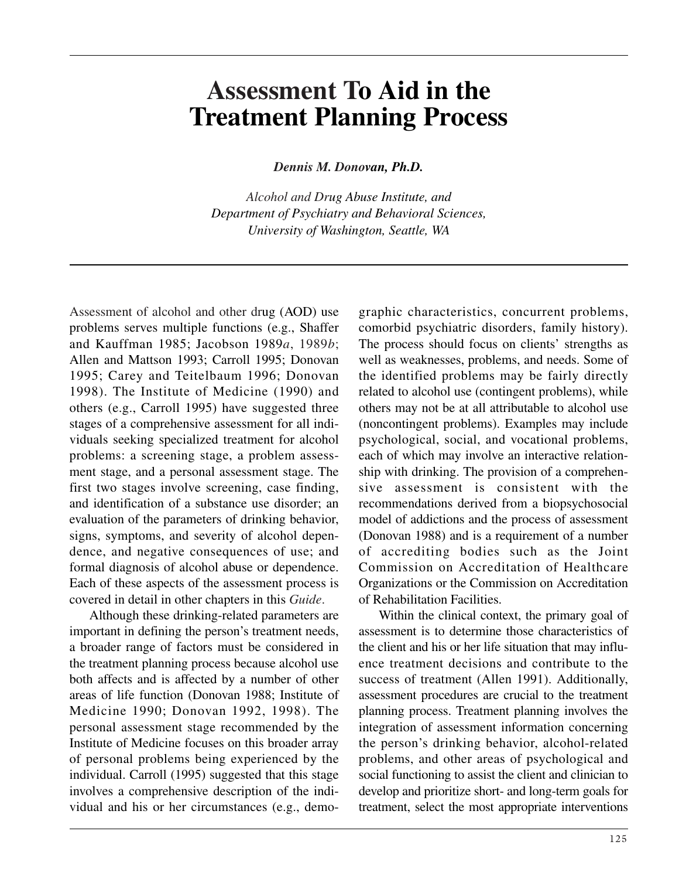# **Assessment To Aid in the Treatment Planning Process**

*Dennis M. Donovan, Ph.D.* 

*Alcohol and Drug Abuse Institute, and Department of Psychiatry and Behavioral Sciences, University of Washington, Seattle, WA* 

Assessment of alcohol and other drug (AOD) use problems serves multiple functions (e.g., Shaffer and Kauffman 1985; Jacobson 1989*a*, 1989*b*; Allen and Mattson 1993; Carroll 1995; Donovan 1995; Carey and Teitelbaum 1996; Donovan 1998). The Institute of Medicine (1990) and others (e.g., Carroll 1995) have suggested three stages of a comprehensive assessment for all individuals seeking specialized treatment for alcohol problems: a screening stage, a problem assessment stage, and a personal assessment stage. The first two stages involve screening, case finding, and identification of a substance use disorder; an evaluation of the parameters of drinking behavior, signs, symptoms, and severity of alcohol dependence, and negative consequences of use; and formal diagnosis of alcohol abuse or dependence. Each of these aspects of the assessment process is covered in detail in other chapters in this *Guide*.

Although these drinking-related parameters are important in defining the person's treatment needs, a broader range of factors must be considered in the treatment planning process because alcohol use both affects and is affected by a number of other areas of life function (Donovan 1988; Institute of Medicine 1990; Donovan 1992, 1998). The personal assessment stage recommended by the Institute of Medicine focuses on this broader array of personal problems being experienced by the individual. Carroll (1995) suggested that this stage involves a comprehensive description of the individual and his or her circumstances (e.g., demo-

graphic characteristics, concurrent problems, comorbid psychiatric disorders, family history). The process should focus on clients' strengths as well as weaknesses, problems, and needs. Some of the identified problems may be fairly directly related to alcohol use (contingent problems), while others may not be at all attributable to alcohol use (noncontingent problems). Examples may include psychological, social, and vocational problems, each of which may involve an interactive relationship with drinking. The provision of a comprehensive assessment is consistent with the recommendations derived from a biopsychosocial model of addictions and the process of assessment (Donovan 1988) and is a requirement of a number of accrediting bodies such as the Joint Commission on Accreditation of Healthcare Organizations or the Commission on Accreditation of Rehabilitation Facilities.

Within the clinical context, the primary goal of assessment is to determine those characteristics of the client and his or her life situation that may influence treatment decisions and contribute to the success of treatment (Allen 1991). Additionally, assessment procedures are crucial to the treatment planning process. Treatment planning involves the integration of assessment information concerning the person's drinking behavior, alcohol-related problems, and other areas of psychological and social functioning to assist the client and clinician to develop and prioritize short- and long-term goals for treatment, select the most appropriate interventions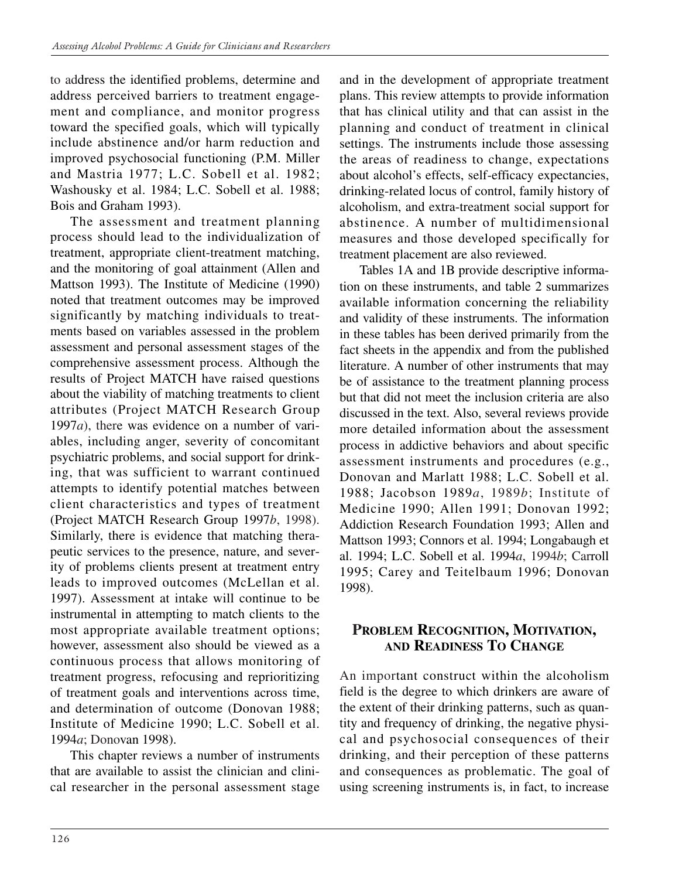to address the identified problems, determine and address perceived barriers to treatment engagement and compliance, and monitor progress toward the specified goals, which will typically include abstinence and/or harm reduction and improved psychosocial functioning (P.M. Miller and Mastria 1977; L.C. Sobell et al. 1982; Washousky et al. 1984; L.C. Sobell et al. 1988; Bois and Graham 1993).

The assessment and treatment planning process should lead to the individualization of treatment, appropriate client-treatment matching, and the monitoring of goal attainment (Allen and Mattson 1993). The Institute of Medicine (1990) noted that treatment outcomes may be improved significantly by matching individuals to treatments based on variables assessed in the problem assessment and personal assessment stages of the comprehensive assessment process. Although the results of Project MATCH have raised questions about the viability of matching treatments to client attributes (Project MATCH Research Group 1997*a*), there was evidence on a number of variables, including anger, severity of concomitant psychiatric problems, and social support for drinking, that was sufficient to warrant continued attempts to identify potential matches between client characteristics and types of treatment (Project MATCH Research Group 1997*b*, 1998). Similarly, there is evidence that matching therapeutic services to the presence, nature, and severity of problems clients present at treatment entry leads to improved outcomes (McLellan et al. 1997). Assessment at intake will continue to be instrumental in attempting to match clients to the most appropriate available treatment options; however, assessment also should be viewed as a continuous process that allows monitoring of treatment progress, refocusing and reprioritizing of treatment goals and interventions across time, and determination of outcome (Donovan 1988; Institute of Medicine 1990; L.C. Sobell et al. 1994*a*; Donovan 1998).

This chapter reviews a number of instruments that are available to assist the clinician and clinical researcher in the personal assessment stage and in the development of appropriate treatment plans. This review attempts to provide information that has clinical utility and that can assist in the planning and conduct of treatment in clinical settings. The instruments include those assessing the areas of readiness to change, expectations about alcohol's effects, self-efficacy expectancies, drinking-related locus of control, family history of alcoholism, and extra-treatment social support for abstinence. A number of multidimensional measures and those developed specifically for treatment placement are also reviewed.

Tables 1A and 1B provide descriptive information on these instruments, and table 2 summarizes available information concerning the reliability and validity of these instruments. The information in these tables has been derived primarily from the fact sheets in the appendix and from the published literature. A number of other instruments that may be of assistance to the treatment planning process but that did not meet the inclusion criteria are also discussed in the text. Also, several reviews provide more detailed information about the assessment process in addictive behaviors and about specific assessment instruments and procedures (e.g., Donovan and Marlatt 1988; L.C. Sobell et al. 1988; Jacobson 1989*a*, 1989*b*; Institute of Medicine 1990; Allen 1991; Donovan 1992; Addiction Research Foundation 1993; Allen and Mattson 1993; Connors et al. 1994; Longabaugh et al. 1994; L.C. Sobell et al. 1994*a*, 1994*b*; Carroll 1995; Carey and Teitelbaum 1996; Donovan 1998).

## **PROBLEM RECOGNITION, MOTIVATION, AND READINESS TO CHANGE**

An important construct within the alcoholism field is the degree to which drinkers are aware of the extent of their drinking patterns, such as quantity and frequency of drinking, the negative physical and psychosocial consequences of their drinking, and their perception of these patterns and consequences as problematic. The goal of using screening instruments is, in fact, to increase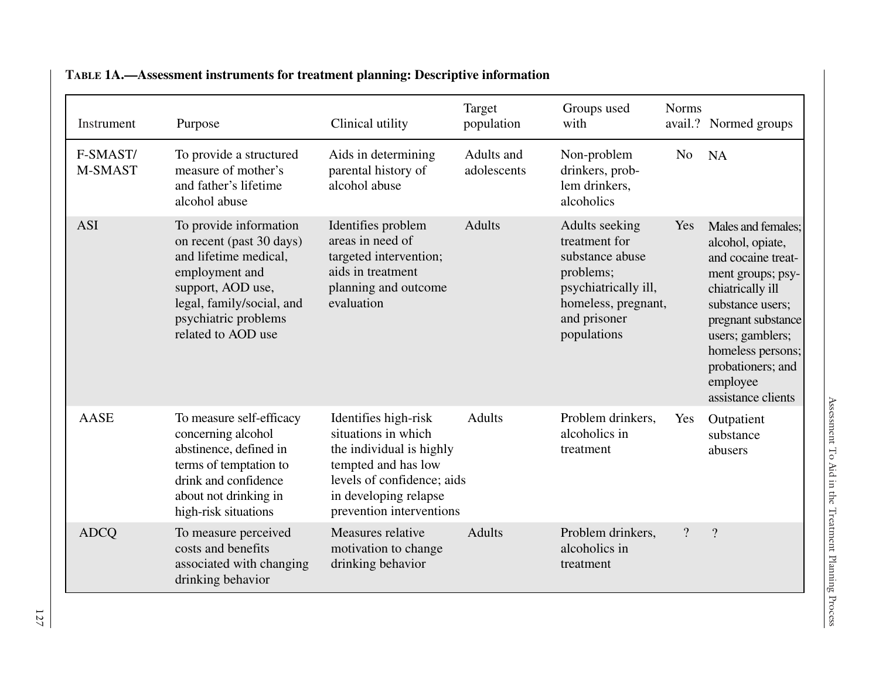| Instrument          | Purpose                                                                                                                                                                                       | Clinical utility                                                                                                                                                                  | Target<br>population      | Groups used<br>with                                                                                                                           | <b>Norms</b>   | avail.? Normed groups                                                                                                                                                                                                                           |
|---------------------|-----------------------------------------------------------------------------------------------------------------------------------------------------------------------------------------------|-----------------------------------------------------------------------------------------------------------------------------------------------------------------------------------|---------------------------|-----------------------------------------------------------------------------------------------------------------------------------------------|----------------|-------------------------------------------------------------------------------------------------------------------------------------------------------------------------------------------------------------------------------------------------|
| F-SMAST/<br>M-SMAST | To provide a structured<br>measure of mother's<br>and father's lifetime<br>alcohol abuse                                                                                                      | Aids in determining<br>parental history of<br>alcohol abuse                                                                                                                       | Adults and<br>adolescents | Non-problem<br>drinkers, prob-<br>lem drinkers,<br>alcoholics                                                                                 | N <sub>o</sub> | <b>NA</b>                                                                                                                                                                                                                                       |
| <b>ASI</b>          | To provide information<br>on recent (past 30 days)<br>and lifetime medical,<br>employment and<br>support, AOD use,<br>legal, family/social, and<br>psychiatric problems<br>related to AOD use | Identifies problem<br>areas in need of<br>targeted intervention;<br>aids in treatment<br>planning and outcome<br>evaluation                                                       | <b>Adults</b>             | Adults seeking<br>treatment for<br>substance abuse<br>problems;<br>psychiatrically ill,<br>homeless, pregnant,<br>and prisoner<br>populations | Yes            | Males and females;<br>alcohol, opiate,<br>and cocaine treat-<br>ment groups; psy-<br>chiatrically ill<br>substance users;<br>pregnant substance<br>users; gamblers;<br>homeless persons;<br>probationers; and<br>employee<br>assistance clients |
| <b>AASE</b>         | To measure self-efficacy<br>concerning alcohol<br>abstinence, defined in<br>terms of temptation to<br>drink and confidence<br>about not drinking in<br>high-risk situations                   | Identifies high-risk<br>situations in which<br>the individual is highly<br>tempted and has low<br>levels of confidence; aids<br>in developing relapse<br>prevention interventions | <b>Adults</b>             | Problem drinkers,<br>alcoholics in<br>treatment                                                                                               | Yes            | Outpatient<br>substance<br>abusers                                                                                                                                                                                                              |
| <b>ADCO</b>         | To measure perceived<br>costs and benefits<br>associated with changing<br>drinking behavior                                                                                                   | Measures relative<br>motivation to change<br>drinking behavior                                                                                                                    | <b>Adults</b>             | Problem drinkers,<br>alcoholics in<br>treatment                                                                                               | $\overline{?}$ | $\overline{?}$                                                                                                                                                                                                                                  |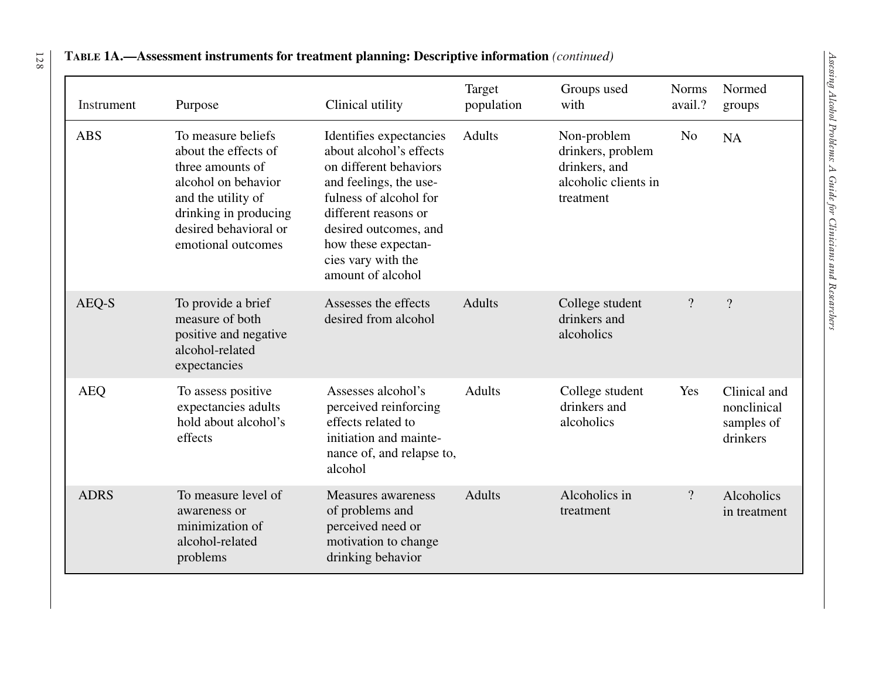| Instrument  | Purpose                                                                                                                                                                             | Clinical utility                                                                                                                                                                                                                                    | Target<br>population | Groups used<br>with                                                                    | <b>Norms</b><br>avail.?  | Normed<br>groups                                      |
|-------------|-------------------------------------------------------------------------------------------------------------------------------------------------------------------------------------|-----------------------------------------------------------------------------------------------------------------------------------------------------------------------------------------------------------------------------------------------------|----------------------|----------------------------------------------------------------------------------------|--------------------------|-------------------------------------------------------|
| <b>ABS</b>  | To measure beliefs<br>about the effects of<br>three amounts of<br>alcohol on behavior<br>and the utility of<br>drinking in producing<br>desired behavioral or<br>emotional outcomes | Identifies expectancies<br>about alcohol's effects<br>on different behaviors<br>and feelings, the use-<br>fulness of alcohol for<br>different reasons or<br>desired outcomes, and<br>how these expectan-<br>cies vary with the<br>amount of alcohol | <b>Adults</b>        | Non-problem<br>drinkers, problem<br>drinkers, and<br>alcoholic clients in<br>treatment | N <sub>o</sub>           | <b>NA</b>                                             |
| AEQ-S       | To provide a brief<br>measure of both<br>positive and negative<br>alcohol-related<br>expectancies                                                                                   | Assesses the effects<br>desired from alcohol                                                                                                                                                                                                        | <b>Adults</b>        | College student<br>drinkers and<br>alcoholics                                          | $\overline{?}$           | $\overline{?}$                                        |
| <b>AEQ</b>  | To assess positive<br>expectancies adults<br>hold about alcohol's<br>effects                                                                                                        | Assesses alcohol's<br>perceived reinforcing<br>effects related to<br>initiation and mainte-<br>nance of, and relapse to,<br>alcohol                                                                                                                 | <b>Adults</b>        | College student<br>drinkers and<br>alcoholics                                          | Yes                      | Clinical and<br>nonclinical<br>samples of<br>drinkers |
| <b>ADRS</b> | To measure level of<br>awareness or<br>minimization of<br>alcohol-related<br>problems                                                                                               | <b>Measures</b> awareness<br>of problems and<br>perceived need or<br>motivation to change<br>drinking behavior                                                                                                                                      | <b>Adults</b>        | Alcoholics in<br>treatment                                                             | $\overline{\mathcal{L}}$ | Alcoholics<br>in treatment                            |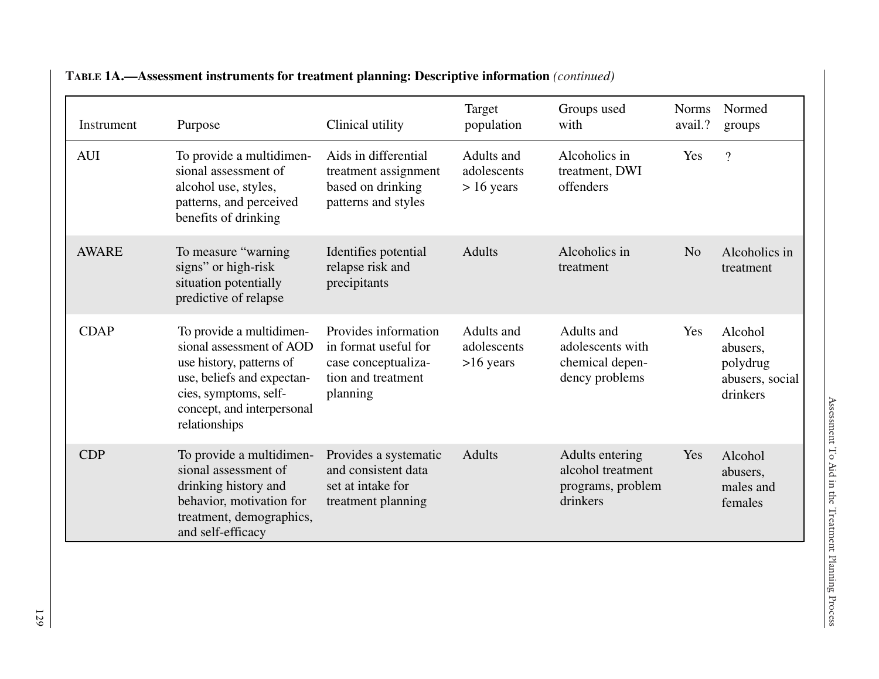| Instrument   | Purpose                                                                                                                                                                                | Clinical utility                                                                                      | Target<br>population                      | Groups used<br>with                                                   | <b>Norms</b><br>avail.? | Normed<br>groups                                               |
|--------------|----------------------------------------------------------------------------------------------------------------------------------------------------------------------------------------|-------------------------------------------------------------------------------------------------------|-------------------------------------------|-----------------------------------------------------------------------|-------------------------|----------------------------------------------------------------|
| <b>AUI</b>   | To provide a multidimen-<br>sional assessment of<br>alcohol use, styles,<br>patterns, and perceived<br>benefits of drinking                                                            | Aids in differential<br>treatment assignment<br>based on drinking<br>patterns and styles              | Adults and<br>adolescents<br>$> 16$ years | Alcoholics in<br>treatment, DWI<br>offenders                          | Yes                     | $\overline{?}$                                                 |
| <b>AWARE</b> | To measure "warning"<br>signs" or high-risk<br>situation potentially<br>predictive of relapse                                                                                          | Identifies potential<br>relapse risk and<br>precipitants                                              | <b>Adults</b>                             | Alcoholics in<br>treatment                                            | N <sub>o</sub>          | Alcoholics in<br>treatment                                     |
| <b>CDAP</b>  | To provide a multidimen-<br>sional assessment of AOD<br>use history, patterns of<br>use, beliefs and expectan-<br>cies, symptoms, self-<br>concept, and interpersonal<br>relationships | Provides information<br>in format useful for<br>case conceptualiza-<br>tion and treatment<br>planning | Adults and<br>adolescents<br>$>16$ years  | Adults and<br>adolescents with<br>chemical depen-<br>dency problems   | Yes                     | Alcohol<br>abusers,<br>polydrug<br>abusers, social<br>drinkers |
| CDP          | To provide a multidimen-<br>sional assessment of<br>drinking history and<br>behavior, motivation for<br>treatment, demographics,<br>and self-efficacy                                  | Provides a systematic<br>and consistent data<br>set at intake for<br>treatment planning               | <b>Adults</b>                             | Adults entering<br>alcohol treatment<br>programs, problem<br>drinkers | Yes                     | Alcohol<br>abusers,<br>males and<br>females                    |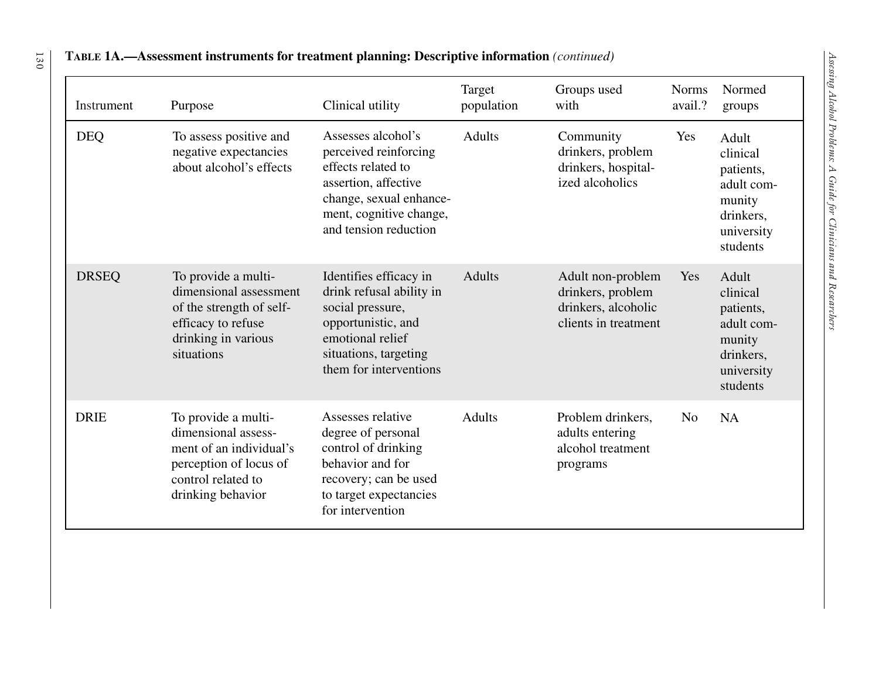| Instrument   | Purpose                                                                                                                                    | Clinical utility                                                                                                                                                         | Target<br>population | Groups used<br>with                                                                   | <b>Norms</b><br>avail.? | Normed<br>groups                                                                              |
|--------------|--------------------------------------------------------------------------------------------------------------------------------------------|--------------------------------------------------------------------------------------------------------------------------------------------------------------------------|----------------------|---------------------------------------------------------------------------------------|-------------------------|-----------------------------------------------------------------------------------------------|
| <b>DEQ</b>   | To assess positive and<br>negative expectancies<br>about alcohol's effects                                                                 | Assesses alcohol's<br>perceived reinforcing<br>effects related to<br>assertion, affective<br>change, sexual enhance-<br>ment, cognitive change,<br>and tension reduction | <b>Adults</b>        | Community<br>drinkers, problem<br>drinkers, hospital-<br>ized alcoholics              | Yes                     | Adult<br>clinical<br>patients,<br>adult com-<br>munity<br>drinkers,<br>university<br>students |
| <b>DRSEQ</b> | To provide a multi-<br>dimensional assessment<br>of the strength of self-<br>efficacy to refuse<br>drinking in various<br>situations       | Identifies efficacy in<br>drink refusal ability in<br>social pressure,<br>opportunistic, and<br>emotional relief<br>situations, targeting<br>them for interventions      | <b>Adults</b>        | Adult non-problem<br>drinkers, problem<br>drinkers, alcoholic<br>clients in treatment | Yes                     | Adult<br>clinical<br>patients,<br>adult com-<br>munity<br>drinkers,<br>university<br>students |
| <b>DRIE</b>  | To provide a multi-<br>dimensional assess-<br>ment of an individual's<br>perception of locus of<br>control related to<br>drinking behavior | Assesses relative<br>degree of personal<br>control of drinking<br>behavior and for<br>recovery; can be used<br>to target expectancies<br>for intervention                | <b>Adults</b>        | Problem drinkers,<br>adults entering<br>alcohol treatment<br>programs                 | N <sub>o</sub>          | <b>NA</b>                                                                                     |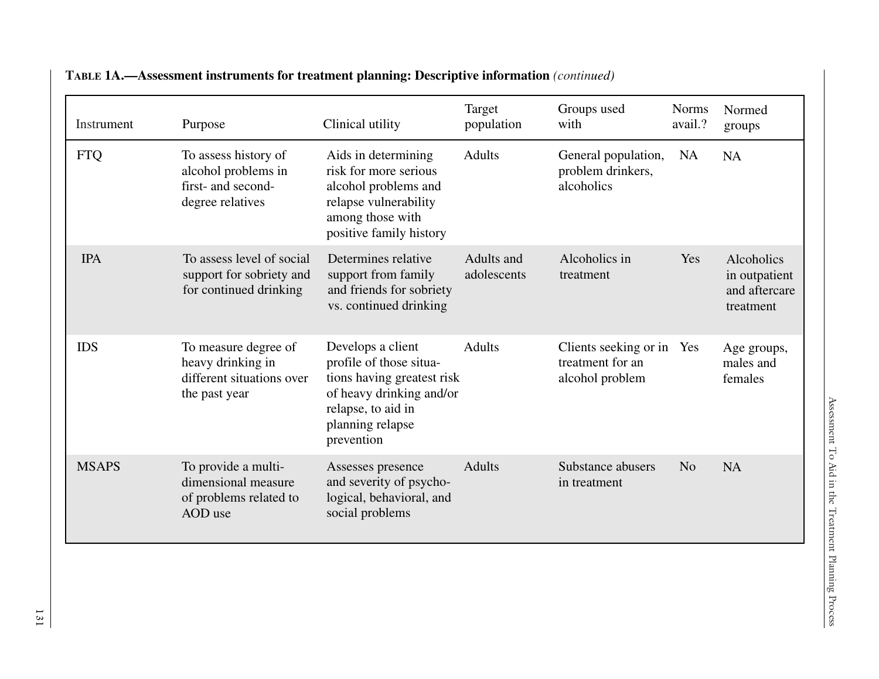| Instrument   | Purpose                                                                                 | Clinical utility                                                                                                                                               | Target<br>population      | Groups used<br>with                                              | <b>Norms</b><br>avail.? | Normed<br>groups                                          |
|--------------|-----------------------------------------------------------------------------------------|----------------------------------------------------------------------------------------------------------------------------------------------------------------|---------------------------|------------------------------------------------------------------|-------------------------|-----------------------------------------------------------|
| <b>FTQ</b>   | To assess history of<br>alcohol problems in<br>first- and second-<br>degree relatives   | Aids in determining<br>risk for more serious<br>alcohol problems and<br>relapse vulnerability<br>among those with<br>positive family history                   | <b>Adults</b>             | General population,<br>problem drinkers,<br>alcoholics           | <b>NA</b>               | <b>NA</b>                                                 |
| <b>IPA</b>   | To assess level of social<br>support for sobriety and<br>for continued drinking         | Determines relative<br>support from family<br>and friends for sobriety<br>vs. continued drinking                                                               | Adults and<br>adolescents | Alcoholics in<br>treatment                                       | Yes                     | Alcoholics<br>in outpatient<br>and aftercare<br>treatment |
| <b>IDS</b>   | To measure degree of<br>heavy drinking in<br>different situations over<br>the past year | Develops a client<br>profile of those situa-<br>tions having greatest risk<br>of heavy drinking and/or<br>relapse, to aid in<br>planning relapse<br>prevention | <b>Adults</b>             | Clients seeking or in Yes<br>treatment for an<br>alcohol problem |                         | Age groups,<br>males and<br>females                       |
| <b>MSAPS</b> | To provide a multi-<br>dimensional measure<br>of problems related to<br>AOD use         | Assesses presence<br>and severity of psycho-<br>logical, behavioral, and<br>social problems                                                                    | <b>Adults</b>             | Substance abusers<br>in treatment                                | N <sub>o</sub>          | <b>NA</b>                                                 |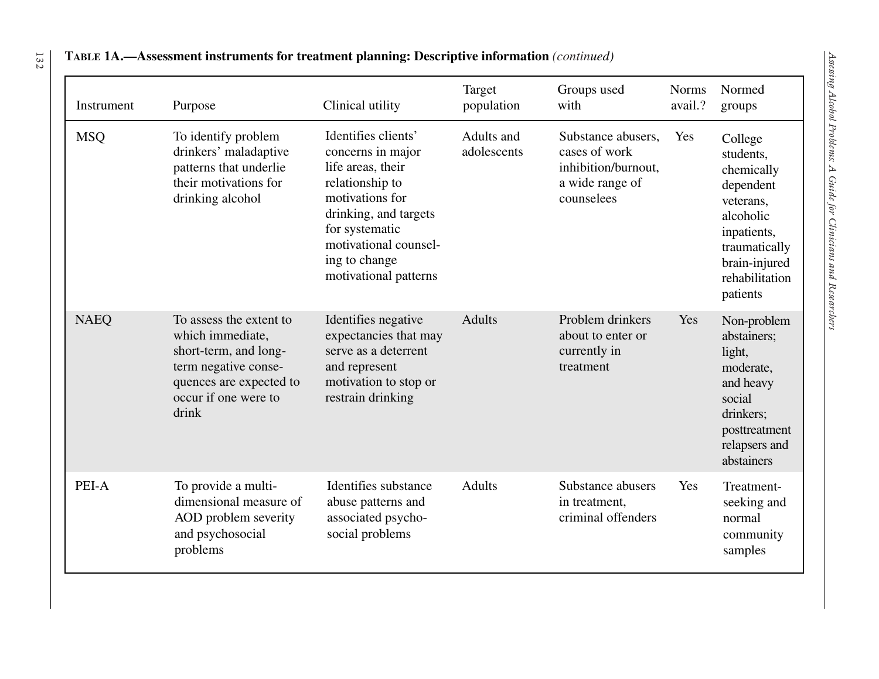| Instrument  | Purpose                                                                                                                                                  | Clinical utility                                                                                                                                                                                                  | Target<br>population      | Groups used<br>with                                                                         | <b>Norms</b><br>avail.? | Normed<br>groups                                                                                                                                         |
|-------------|----------------------------------------------------------------------------------------------------------------------------------------------------------|-------------------------------------------------------------------------------------------------------------------------------------------------------------------------------------------------------------------|---------------------------|---------------------------------------------------------------------------------------------|-------------------------|----------------------------------------------------------------------------------------------------------------------------------------------------------|
| <b>MSQ</b>  | To identify problem<br>drinkers' maladaptive<br>patterns that underlie<br>their motivations for<br>drinking alcohol                                      | Identifies clients'<br>concerns in major<br>life areas, their<br>relationship to<br>motivations for<br>drinking, and targets<br>for systematic<br>motivational counsel-<br>ing to change<br>motivational patterns | Adults and<br>adolescents | Substance abusers,<br>cases of work<br>inhibition/burnout,<br>a wide range of<br>counselees | Yes                     | College<br>students,<br>chemically<br>dependent<br>veterans,<br>alcoholic<br>inpatients,<br>traumatically<br>brain-injured<br>rehabilitation<br>patients |
| <b>NAEQ</b> | To assess the extent to<br>which immediate,<br>short-term, and long-<br>term negative conse-<br>quences are expected to<br>occur if one were to<br>drink | Identifies negative<br>expectancies that may<br>serve as a deterrent<br>and represent<br>motivation to stop or<br>restrain drinking                                                                               | <b>Adults</b>             | Problem drinkers<br>about to enter or<br>currently in<br>treatment                          | Yes                     | Non-problem<br>abstainers;<br>light,<br>moderate,<br>and heavy<br>social<br>drinkers;<br>posttreatment<br>relapsers and<br>abstainers                    |
| PEI-A       | To provide a multi-<br>dimensional measure of<br>AOD problem severity<br>and psychosocial<br>problems                                                    | Identifies substance<br>abuse patterns and<br>associated psycho-<br>social problems                                                                                                                               | Adults                    | Substance abusers<br>in treatment,<br>criminal offenders                                    | Yes                     | Treatment-<br>seeking and<br>normal<br>community<br>samples                                                                                              |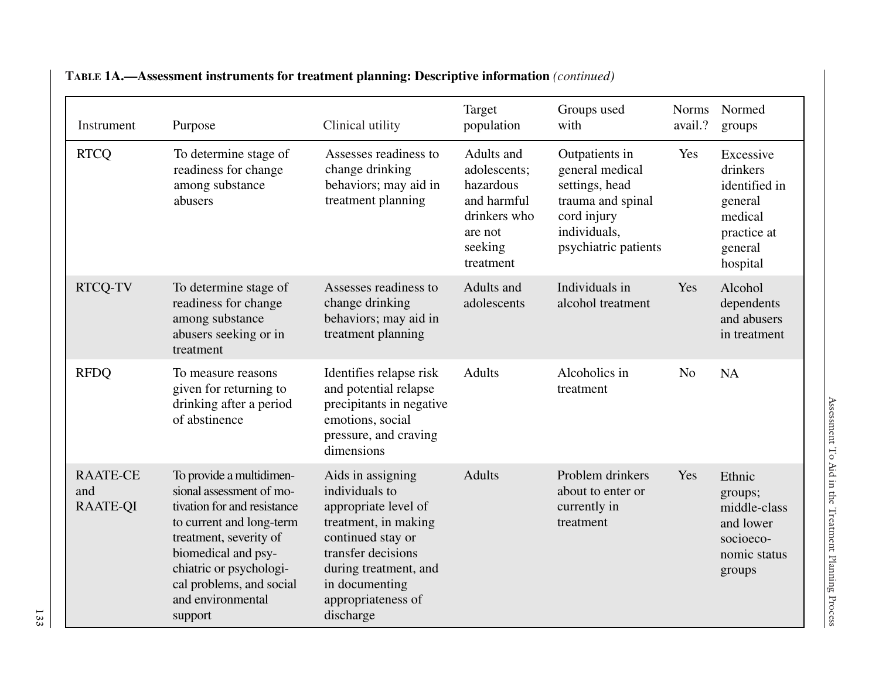| Instrument                                | Purpose                                                                                                                                                                                                                                                 | Clinical utility                                                                                                                                                                                             | Target<br>population                                                                                      | Groups used<br>with                                                                                                             | <b>Norms</b><br>avail.? | Normed<br>groups                                                                                   |
|-------------------------------------------|---------------------------------------------------------------------------------------------------------------------------------------------------------------------------------------------------------------------------------------------------------|--------------------------------------------------------------------------------------------------------------------------------------------------------------------------------------------------------------|-----------------------------------------------------------------------------------------------------------|---------------------------------------------------------------------------------------------------------------------------------|-------------------------|----------------------------------------------------------------------------------------------------|
| <b>RTCQ</b>                               | To determine stage of<br>readiness for change<br>among substance<br>abusers                                                                                                                                                                             | Assesses readiness to<br>change drinking<br>behaviors; may aid in<br>treatment planning                                                                                                                      | Adults and<br>adolescents;<br>hazardous<br>and harmful<br>drinkers who<br>are not<br>seeking<br>treatment | Outpatients in<br>general medical<br>settings, head<br>trauma and spinal<br>cord injury<br>individuals,<br>psychiatric patients | Yes                     | Excessive<br>drinkers<br>identified in<br>general<br>medical<br>practice at<br>general<br>hospital |
| <b>RTCQ-TV</b>                            | To determine stage of<br>readiness for change<br>among substance<br>abusers seeking or in<br>treatment                                                                                                                                                  | Assesses readiness to<br>change drinking<br>behaviors; may aid in<br>treatment planning                                                                                                                      | Adults and<br>adolescents                                                                                 | Individuals in<br>alcohol treatment                                                                                             | Yes                     | Alcohol<br>dependents<br>and abusers<br>in treatment                                               |
| <b>RFDQ</b>                               | To measure reasons<br>given for returning to<br>drinking after a period<br>of abstinence                                                                                                                                                                | Identifies relapse risk<br>and potential relapse<br>precipitants in negative<br>emotions, social<br>pressure, and craving<br>dimensions                                                                      | <b>Adults</b>                                                                                             | Alcoholics in<br>treatment                                                                                                      | N <sub>o</sub>          | <b>NA</b>                                                                                          |
| <b>RAATE-CE</b><br>and<br><b>RAATE-QI</b> | To provide a multidimen-<br>sional assessment of mo-<br>tivation for and resistance<br>to current and long-term<br>treatment, severity of<br>biomedical and psy-<br>chiatric or psychologi-<br>cal problems, and social<br>and environmental<br>support | Aids in assigning<br>individuals to<br>appropriate level of<br>treatment, in making<br>continued stay or<br>transfer decisions<br>during treatment, and<br>in documenting<br>appropriateness of<br>discharge | <b>Adults</b>                                                                                             | Problem drinkers<br>about to enter or<br>currently in<br>treatment                                                              | Yes                     | Ethnic<br>groups;<br>middle-class<br>and lower<br>socioeco-<br>nomic status<br>groups              |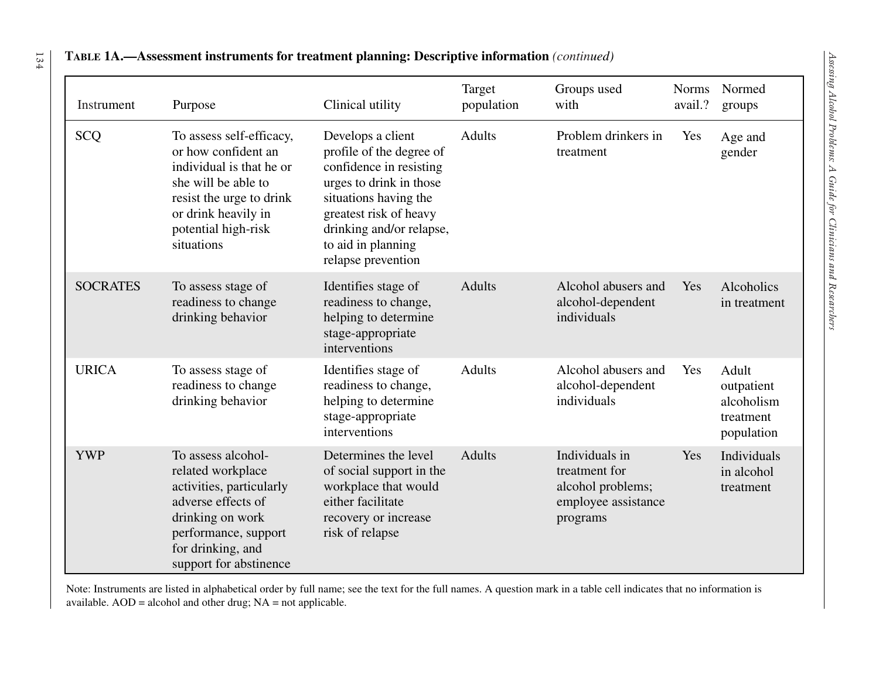| Instrument      | Purpose                                                                                                                                                                                    | Clinical utility                                                                                                                                                                                                               | Target<br>population | Groups used<br>with                                                                     | <b>Norms</b><br>avail.? | Normed<br>groups                                             |
|-----------------|--------------------------------------------------------------------------------------------------------------------------------------------------------------------------------------------|--------------------------------------------------------------------------------------------------------------------------------------------------------------------------------------------------------------------------------|----------------------|-----------------------------------------------------------------------------------------|-------------------------|--------------------------------------------------------------|
| <b>SCQ</b>      | To assess self-efficacy,<br>or how confident an<br>individual is that he or<br>she will be able to<br>resist the urge to drink<br>or drink heavily in<br>potential high-risk<br>situations | Develops a client<br>profile of the degree of<br>confidence in resisting<br>urges to drink in those<br>situations having the<br>greatest risk of heavy<br>drinking and/or relapse,<br>to aid in planning<br>relapse prevention | <b>Adults</b>        | Problem drinkers in<br>treatment                                                        | Yes                     | Age and<br>gender                                            |
| <b>SOCRATES</b> | To assess stage of<br>readiness to change<br>drinking behavior                                                                                                                             | Identifies stage of<br>readiness to change,<br>helping to determine<br>stage-appropriate<br>interventions                                                                                                                      | <b>Adults</b>        | Alcohol abusers and<br>alcohol-dependent<br>individuals                                 | Yes                     | Alcoholics<br>in treatment                                   |
| <b>URICA</b>    | To assess stage of<br>readiness to change<br>drinking behavior                                                                                                                             | Identifies stage of<br>readiness to change,<br>helping to determine<br>stage-appropriate<br>interventions                                                                                                                      | <b>Adults</b>        | Alcohol abusers and<br>alcohol-dependent<br>individuals                                 | Yes                     | Adult<br>outpatient<br>alcoholism<br>treatment<br>population |
| <b>YWP</b>      | To assess alcohol-<br>related workplace<br>activities, particularly<br>adverse effects of<br>drinking on work<br>performance, support<br>for drinking, and<br>support for abstinence       | Determines the level<br>of social support in the<br>workplace that would<br>either facilitate<br>recovery or increase<br>risk of relapse                                                                                       | <b>Adults</b>        | Individuals in<br>treatment for<br>alcohol problems;<br>employee assistance<br>programs | Yes                     | Individuals<br>in alcohol<br>treatment                       |

Note: Instruments are listed in alphabetical order by full name; see the text for the full names. A question mark in a table cell indicates that no information is available. AOD = alcohol and other drug; NA = not applicable.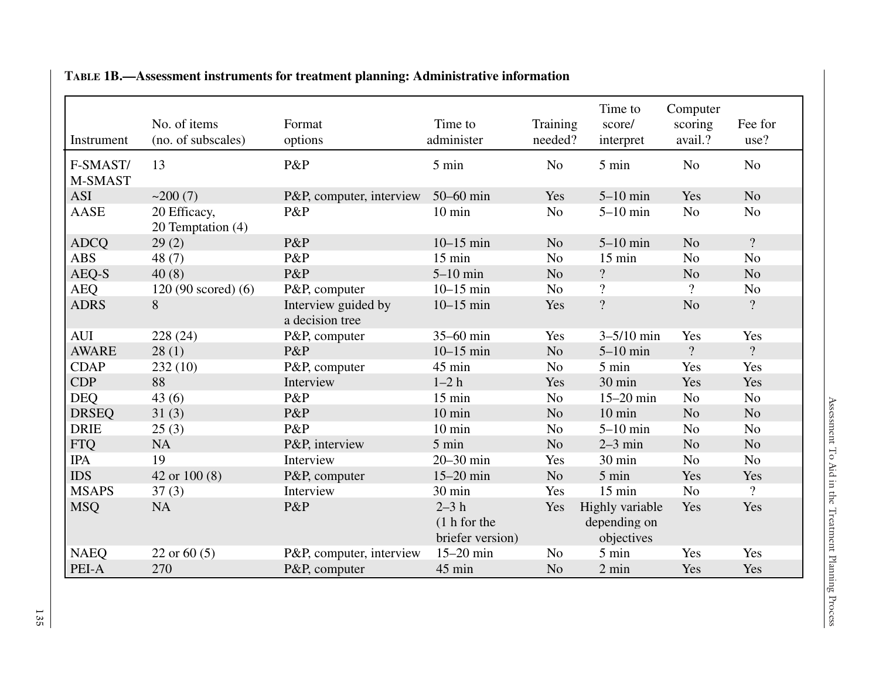| Instrument          | No. of items<br>(no. of subscales) | Format<br>options                      | Time to<br>administer                       | Training<br>needed? | Time to<br>score/<br>interpret                | Computer<br>scoring<br>avail.? | Fee for<br>use? |
|---------------------|------------------------------------|----------------------------------------|---------------------------------------------|---------------------|-----------------------------------------------|--------------------------------|-----------------|
| F-SMAST/<br>M-SMAST | 13                                 | P&P                                    | 5 min                                       | N <sub>o</sub>      | 5 min                                         | N <sub>o</sub>                 | N <sub>o</sub>  |
| <b>ASI</b>          | ~200(7)                            | P&P, computer, interview               | 50-60 min                                   | Yes                 | $5-10$ min                                    | Yes                            | N <sub>o</sub>  |
| <b>AASE</b>         | 20 Efficacy,<br>20 Temptation (4)  | P&P                                    | $10 \text{ min}$                            | N <sub>o</sub>      | $5-10$ min                                    | N <sub>o</sub>                 | N <sub>o</sub>  |
| <b>ADCQ</b>         | 29(2)                              | P&P                                    | $10-15$ min                                 | N <sub>o</sub>      | $5-10$ min                                    | N <sub>o</sub>                 | $\gamma$        |
| <b>ABS</b>          | 48 $(7)$                           | P&P                                    | $15 \text{ min}$                            | N <sub>o</sub>      | $15 \text{ min}$                              | N <sub>o</sub>                 | N <sub>o</sub>  |
| AEQ-S               | 40(8)                              | P&P                                    | $5-10$ min                                  | N <sub>o</sub>      | $\overline{?}$                                | N <sub>o</sub>                 | N <sub>o</sub>  |
| <b>AEQ</b>          | $120(90 \text{ scored}) (6)$       | P&P, computer                          | $10-15$ min                                 | N <sub>o</sub>      | $\overline{\mathcal{L}}$                      | $\boldsymbol{?}$               | N <sub>o</sub>  |
| <b>ADRS</b>         | 8                                  | Interview guided by<br>a decision tree | $10-15$ min                                 | Yes                 | $\overline{?}$                                | N <sub>o</sub>                 | $\overline{?}$  |
| <b>AUI</b>          | 228 (24)                           | P&P, computer                          | 35-60 min                                   | Yes                 | $3 - 5/10$ min                                | Yes                            | Yes             |
| <b>AWARE</b>        | 28(1)                              | P&P                                    | $10 - 15$ min                               | No                  | $5-10$ min                                    | $\overline{?}$                 | $\overline{?}$  |
| <b>CDAP</b>         | 232(10)                            | P&P, computer                          | 45 min                                      | N <sub>o</sub>      | 5 min                                         | Yes                            | Yes             |
| <b>CDP</b>          | 88                                 | Interview                              | $1-2h$                                      | Yes                 | 30 min                                        | Yes                            | Yes             |
| <b>DEQ</b>          | 43(6)                              | P&P                                    | $15$ min                                    | N <sub>o</sub>      | $15-20$ min                                   | N <sub>o</sub>                 | No              |
| <b>DRSEQ</b>        | 31(3)                              | P&P                                    | $10 \text{ min}$                            | N <sub>o</sub>      | $10 \text{ min}$                              | N <sub>o</sub>                 | N <sub>o</sub>  |
| <b>DRIE</b>         | 25(3)                              | P&P                                    | $10 \text{ min}$                            | N <sub>o</sub>      | $5-10$ min                                    | N <sub>o</sub>                 | N <sub>o</sub>  |
| <b>FTQ</b>          | <b>NA</b>                          | P&P, interview                         | 5 min                                       | N <sub>o</sub>      | $2-3$ min                                     | N <sub>o</sub>                 | N <sub>o</sub>  |
| <b>IPA</b>          | 19                                 | Interview                              | 20-30 min                                   | Yes                 | 30 min                                        | N <sub>o</sub>                 | N <sub>o</sub>  |
| <b>IDS</b>          | 42 or 100 (8)                      | P&P, computer                          | $15-20$ min                                 | N <sub>o</sub>      | 5 min                                         | Yes                            | Yes             |
| <b>MSAPS</b>        | 37(3)                              | Interview                              | 30 min                                      | Yes                 | $15$ min                                      | N <sub>o</sub>                 | $\overline{?}$  |
| <b>MSQ</b>          | <b>NA</b>                          | P&P                                    | $2-3h$<br>$(1h$ for the<br>briefer version) | Yes                 | Highly variable<br>depending on<br>objectives | Yes                            | Yes             |
| <b>NAEQ</b>         | 22 or $60(5)$                      | P&P, computer, interview               | $15-20$ min                                 | N <sub>o</sub>      | 5 min                                         | Yes                            | Yes             |
| PEI-A               | 270                                | P&P, computer                          | 45 min                                      | N <sub>o</sub>      | 2 min                                         | Yes                            | Yes             |

## **TABLE 1B.—Assessment instruments for treatment planning: Administrative information**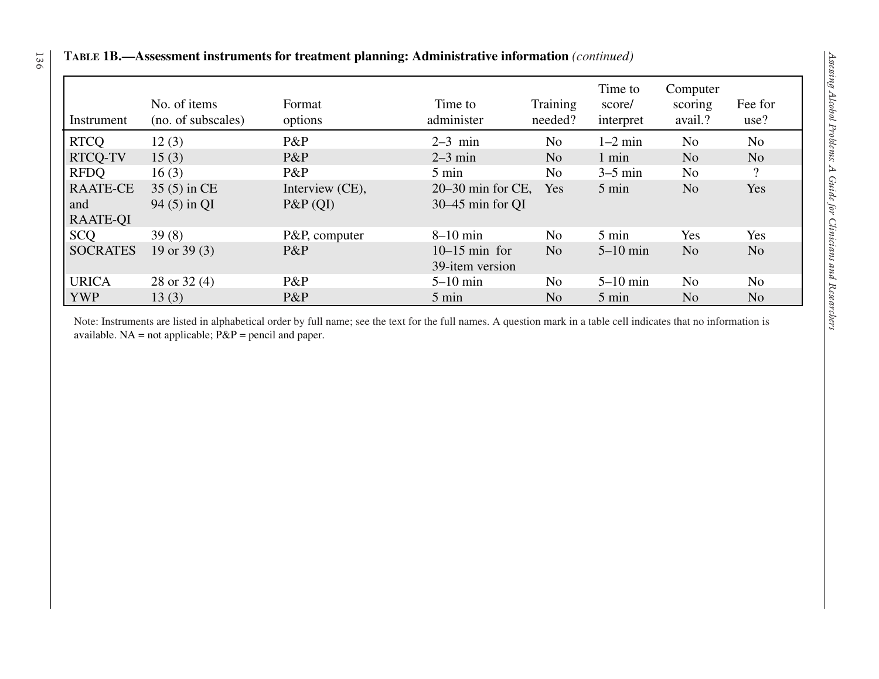| Instrument                                | No. of items<br>(no. of subscales) | Format<br>options             | Time to<br>administer                   | Training<br>needed? | Time to<br>score/<br>interpret | Computer<br>scoring<br>avail.? | Fee for<br>use? |
|-------------------------------------------|------------------------------------|-------------------------------|-----------------------------------------|---------------------|--------------------------------|--------------------------------|-----------------|
| <b>RTCO</b>                               | 12(3)                              | P&P                           | $2-3$ min                               | N <sub>o</sub>      | $1-2$ min                      | N <sub>o</sub>                 | N <sub>o</sub>  |
| <b>RTCQ-TV</b>                            | 15(3)                              | P&P                           | $2-3$ min                               | N <sub>o</sub>      | 1 min                          | N <sub>o</sub>                 | N <sub>o</sub>  |
| <b>RFDO</b>                               | 16(3)                              | $P\&P$                        | $5 \text{ min}$                         | N <sub>0</sub>      | $3-5$ min                      | N <sub>0</sub>                 | $\overline{?}$  |
| <b>RAATE-CE</b><br>and<br><b>RAATE-OI</b> | 35 (5) in CE<br>94 (5) in QI       | Interview (CE),<br>$P\&P(QI)$ | $20-30$ min for CE,<br>30–45 min for QI | Yes                 | 5 min                          | N <sub>o</sub>                 | Yes             |
| <b>SCQ</b>                                | 39(8)                              | P&P, computer                 | $8-10$ min                              | N <sub>o</sub>      | 5 min                          | Yes                            | Yes             |
| <b>SOCRATES</b>                           | 19 or $39(3)$                      | $P\&P$                        | $10-15$ min for<br>39-item version      | N <sub>o</sub>      | $5-10$ min                     | N <sub>o</sub>                 | N <sub>o</sub>  |
| <b>URICA</b>                              | 28 or $32(4)$                      | P&P                           | $5-10$ min                              | No.                 | $5-10$ min                     | N <sub>o</sub>                 | N <sub>o</sub>  |
| <b>YWP</b>                                | 13(3)                              | P&P                           | $5 \text{ min}$                         | N <sub>o</sub>      | 5 min                          | N <sub>o</sub>                 | N <sub>o</sub>  |

available.  $NA = not applicable$ ;  $P\&P = pencil$  and paper.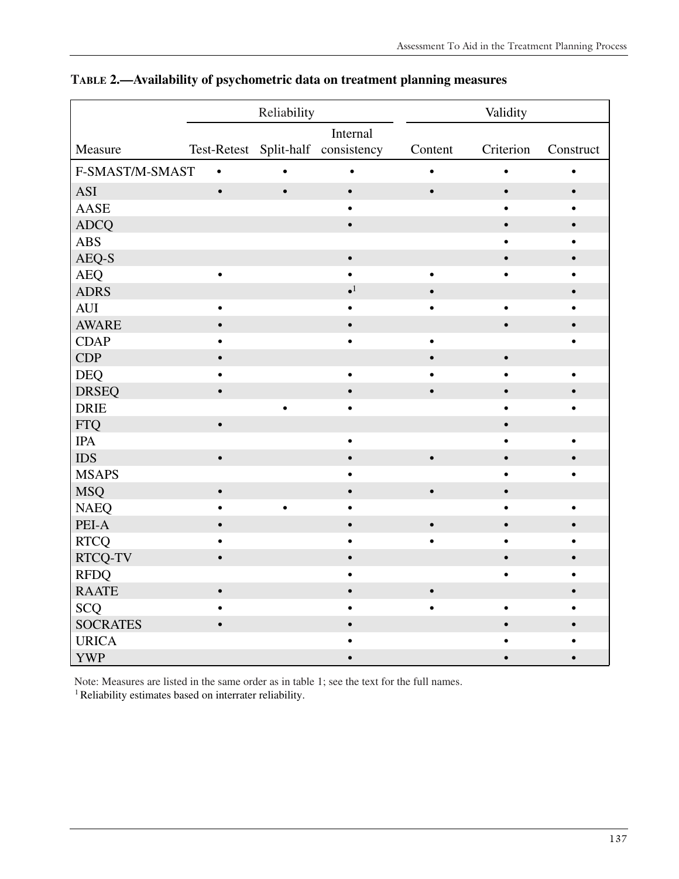|                 |           | Reliability |                                            |           | Validity  |           |
|-----------------|-----------|-------------|--------------------------------------------|-----------|-----------|-----------|
|                 |           |             | Internal                                   |           |           |           |
| Measure         |           |             | Test-Retest Split-half consistency Content |           | Criterion | Construct |
| F-SMAST/M-SMAST | $\bullet$ |             | $\bullet$                                  |           | $\bullet$ |           |
| <b>ASI</b>      | $\bullet$ | $\bullet$   | $\bullet$                                  | $\bullet$ | $\bullet$ | $\bullet$ |
| <b>AASE</b>     |           |             | $\bullet$                                  |           | ٠         |           |
| <b>ADCQ</b>     |           |             | $\bullet$                                  |           | $\bullet$ |           |
| <b>ABS</b>      |           |             |                                            |           |           |           |
| AEQ-S           |           |             | $\bullet$                                  |           | $\bullet$ |           |
| <b>AEQ</b>      | $\bullet$ |             |                                            |           |           |           |
| <b>ADRS</b>     |           |             | $\bullet^1$                                |           |           |           |
| <b>AUI</b>      | $\bullet$ |             |                                            |           | $\bullet$ |           |
| <b>AWARE</b>    | $\bullet$ |             | $\bullet$                                  |           | $\bullet$ |           |
| <b>CDAP</b>     | $\bullet$ |             | $\bullet$                                  |           |           |           |
| <b>CDP</b>      | $\bullet$ |             |                                            |           | $\bullet$ |           |
| <b>DEQ</b>      | $\bullet$ |             | $\bullet$                                  |           |           |           |
| <b>DRSEQ</b>    | $\bullet$ |             | $\bullet$                                  | $\bullet$ | $\bullet$ |           |
| <b>DRIE</b>     |           |             | $\bullet$                                  |           |           |           |
| <b>FTQ</b>      | $\bullet$ |             |                                            |           | Ö         |           |
| <b>IPA</b>      |           |             | $\bullet$                                  |           |           |           |
| <b>IDS</b>      | $\bullet$ |             | $\bullet$                                  | $\bullet$ |           |           |
| <b>MSAPS</b>    |           |             |                                            |           |           |           |
| <b>MSQ</b>      | $\bullet$ |             | $\bullet$                                  |           |           |           |
| <b>NAEQ</b>     |           |             |                                            |           |           |           |
| PEI-A           | $\bullet$ |             | $\bullet$                                  | $\bullet$ | $\bullet$ |           |
| <b>RTCQ</b>     |           |             |                                            |           |           |           |
| RTCQ-TV         | $\bullet$ |             |                                            |           |           |           |
| <b>RFDQ</b>     |           |             |                                            |           |           |           |
| <b>RAATE</b>    | $\bullet$ |             | $\bullet$                                  | $\bullet$ |           |           |
| <b>SCQ</b>      |           |             |                                            |           | $\bullet$ |           |
| <b>SOCRATES</b> |           |             |                                            |           |           |           |
| <b>URICA</b>    |           |             |                                            |           |           |           |
| <b>YWP</b>      |           |             |                                            |           |           |           |

#### **TABLE 2.—Availability of psychometric data on treatment planning measures**

Note: Measures are listed in the same order as in table 1; see the text for the full names.

<sup>1</sup> Reliability estimates based on interrater reliability.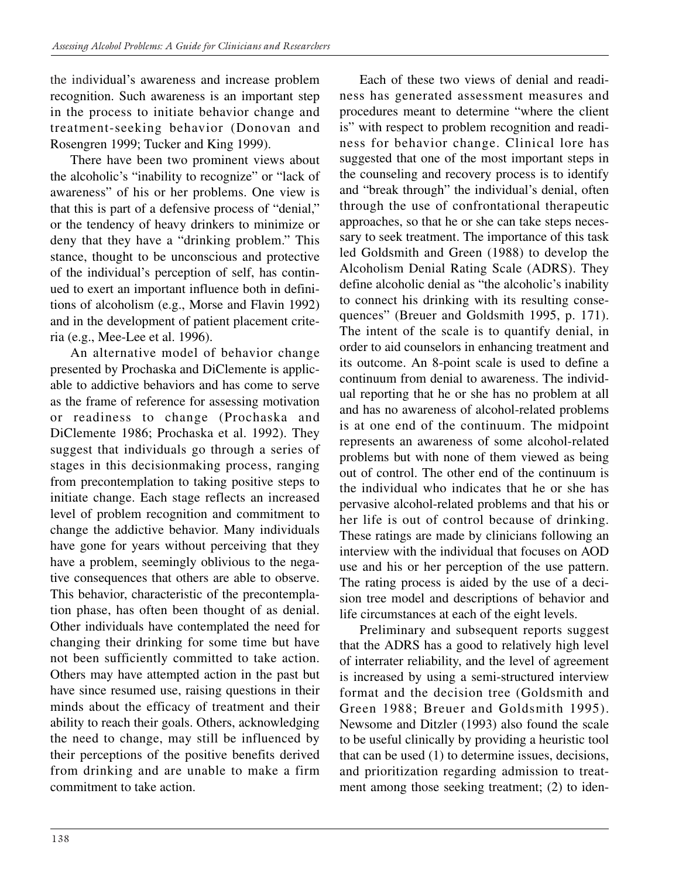the individual's awareness and increase problem recognition. Such awareness is an important step in the process to initiate behavior change and treatment-seeking behavior (Donovan and Rosengren 1999; Tucker and King 1999).

There have been two prominent views about the alcoholic's "inability to recognize" or "lack of awareness" of his or her problems. One view is that this is part of a defensive process of "denial," or the tendency of heavy drinkers to minimize or deny that they have a "drinking problem." This stance, thought to be unconscious and protective of the individual's perception of self, has continued to exert an important influence both in definitions of alcoholism (e.g., Morse and Flavin 1992) and in the development of patient placement criteria (e.g., Mee-Lee et al. 1996).

An alternative model of behavior change presented by Prochaska and DiClemente is applicable to addictive behaviors and has come to serve as the frame of reference for assessing motivation or readiness to change (Prochaska and DiClemente 1986; Prochaska et al. 1992). They suggest that individuals go through a series of stages in this decisionmaking process, ranging from precontemplation to taking positive steps to initiate change. Each stage reflects an increased level of problem recognition and commitment to change the addictive behavior. Many individuals have gone for years without perceiving that they have a problem, seemingly oblivious to the negative consequences that others are able to observe. This behavior, characteristic of the precontemplation phase, has often been thought of as denial. Other individuals have contemplated the need for changing their drinking for some time but have not been sufficiently committed to take action. Others may have attempted action in the past but have since resumed use, raising questions in their minds about the efficacy of treatment and their ability to reach their goals. Others, acknowledging the need to change, may still be influenced by their perceptions of the positive benefits derived from drinking and are unable to make a firm commitment to take action.

Each of these two views of denial and readiness has generated assessment measures and procedures meant to determine "where the client is" with respect to problem recognition and readiness for behavior change. Clinical lore has suggested that one of the most important steps in the counseling and recovery process is to identify and "break through" the individual's denial, often through the use of confrontational therapeutic approaches, so that he or she can take steps necessary to seek treatment. The importance of this task led Goldsmith and Green (1988) to develop the Alcoholism Denial Rating Scale (ADRS). They define alcoholic denial as "the alcoholic's inability to connect his drinking with its resulting consequences" (Breuer and Goldsmith 1995, p. 171). The intent of the scale is to quantify denial, in order to aid counselors in enhancing treatment and its outcome. An 8-point scale is used to define a continuum from denial to awareness. The individual reporting that he or she has no problem at all and has no awareness of alcohol-related problems is at one end of the continuum. The midpoint represents an awareness of some alcohol-related problems but with none of them viewed as being out of control. The other end of the continuum is the individual who indicates that he or she has pervasive alcohol-related problems and that his or her life is out of control because of drinking. These ratings are made by clinicians following an interview with the individual that focuses on AOD use and his or her perception of the use pattern. The rating process is aided by the use of a decision tree model and descriptions of behavior and life circumstances at each of the eight levels.

Preliminary and subsequent reports suggest that the ADRS has a good to relatively high level of interrater reliability, and the level of agreement is increased by using a semi-structured interview format and the decision tree (Goldsmith and Green 1988; Breuer and Goldsmith 1995). Newsome and Ditzler (1993) also found the scale to be useful clinically by providing a heuristic tool that can be used (1) to determine issues, decisions, and prioritization regarding admission to treatment among those seeking treatment; (2) to iden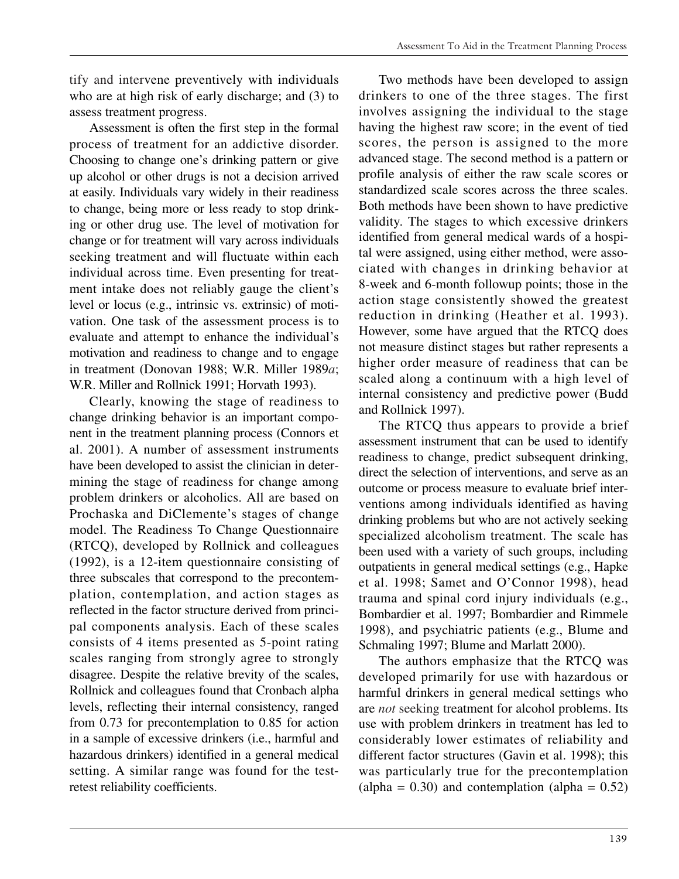tify and intervene preventively with individuals who are at high risk of early discharge; and (3) to assess treatment progress.

Assessment is often the first step in the formal process of treatment for an addictive disorder. Choosing to change one's drinking pattern or give up alcohol or other drugs is not a decision arrived at easily. Individuals vary widely in their readiness to change, being more or less ready to stop drinking or other drug use. The level of motivation for change or for treatment will vary across individuals seeking treatment and will fluctuate within each individual across time. Even presenting for treatment intake does not reliably gauge the client's level or locus (e.g., intrinsic vs. extrinsic) of motivation. One task of the assessment process is to evaluate and attempt to enhance the individual's motivation and readiness to change and to engage in treatment (Donovan 1988; W.R. Miller 1989*a*; W.R. Miller and Rollnick 1991; Horvath 1993).

Clearly, knowing the stage of readiness to change drinking behavior is an important component in the treatment planning process (Connors et al. 2001). A number of assessment instruments have been developed to assist the clinician in determining the stage of readiness for change among problem drinkers or alcoholics. All are based on Prochaska and DiClemente's stages of change model. The Readiness To Change Questionnaire (RTCQ), developed by Rollnick and colleagues (1992), is a 12-item questionnaire consisting of three subscales that correspond to the precontemplation, contemplation, and action stages as reflected in the factor structure derived from principal components analysis. Each of these scales consists of 4 items presented as 5-point rating scales ranging from strongly agree to strongly disagree. Despite the relative brevity of the scales, Rollnick and colleagues found that Cronbach alpha levels, reflecting their internal consistency, ranged from 0.73 for precontemplation to 0.85 for action in a sample of excessive drinkers (i.e., harmful and hazardous drinkers) identified in a general medical setting. A similar range was found for the testretest reliability coefficients.

Two methods have been developed to assign drinkers to one of the three stages. The first involves assigning the individual to the stage having the highest raw score; in the event of tied scores, the person is assigned to the more advanced stage. The second method is a pattern or profile analysis of either the raw scale scores or standardized scale scores across the three scales. Both methods have been shown to have predictive validity. The stages to which excessive drinkers identified from general medical wards of a hospital were assigned, using either method, were associated with changes in drinking behavior at 8-week and 6-month followup points; those in the action stage consistently showed the greatest reduction in drinking (Heather et al. 1993). However, some have argued that the RTCQ does not measure distinct stages but rather represents a higher order measure of readiness that can be scaled along a continuum with a high level of internal consistency and predictive power (Budd and Rollnick 1997).

The RTCQ thus appears to provide a brief assessment instrument that can be used to identify readiness to change, predict subsequent drinking, direct the selection of interventions, and serve as an outcome or process measure to evaluate brief interventions among individuals identified as having drinking problems but who are not actively seeking specialized alcoholism treatment. The scale has been used with a variety of such groups, including outpatients in general medical settings (e.g., Hapke et al. 1998; Samet and O'Connor 1998), head trauma and spinal cord injury individuals (e.g., Bombardier et al. 1997; Bombardier and Rimmele 1998), and psychiatric patients (e.g., Blume and Schmaling 1997; Blume and Marlatt 2000).

The authors emphasize that the RTCQ was developed primarily for use with hazardous or harmful drinkers in general medical settings who are *not* seeking treatment for alcohol problems. Its use with problem drinkers in treatment has led to considerably lower estimates of reliability and different factor structures (Gavin et al. 1998); this was particularly true for the precontemplation  $\alpha$  (alpha = 0.30) and contemplation (alpha = 0.52)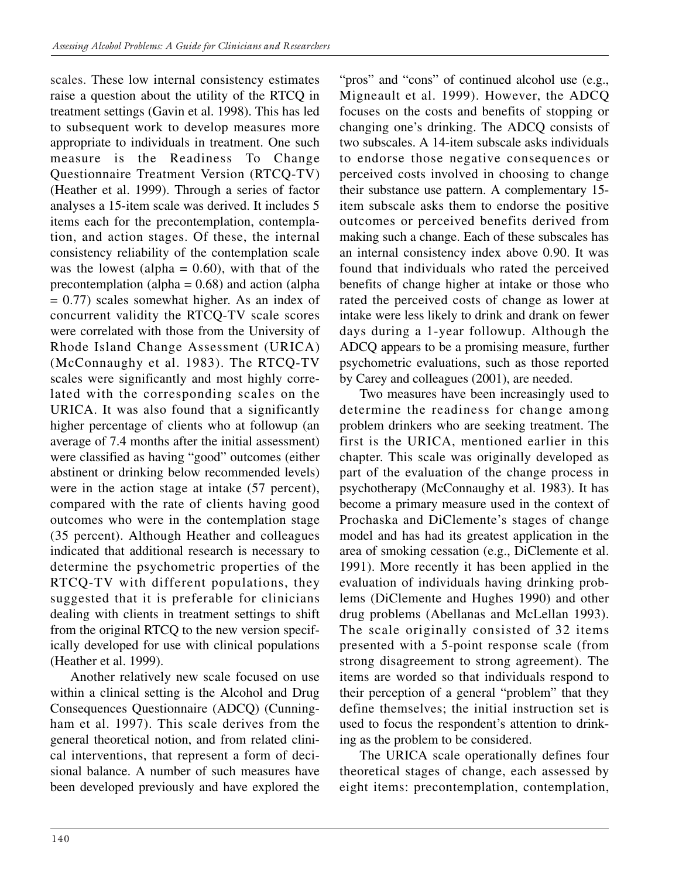scales. These low internal consistency estimates raise a question about the utility of the RTCQ in treatment settings (Gavin et al. 1998). This has led to subsequent work to develop measures more appropriate to individuals in treatment. One such measure is the Readiness To Change Questionnaire Treatment Version (RTCQ-TV) (Heather et al. 1999). Through a series of factor analyses a 15-item scale was derived. It includes 5 items each for the precontemplation, contemplation, and action stages. Of these, the internal consistency reliability of the contemplation scale was the lowest (alpha  $= 0.60$ ), with that of the precontemplation (alpha  $= 0.68$ ) and action (alpha  $= 0.77$ ) scales somewhat higher. As an index of concurrent validity the RTCQ-TV scale scores were correlated with those from the University of Rhode Island Change Assessment (URICA) (McConnaughy et al. 1983). The RTCQ-TV scales were significantly and most highly correlated with the corresponding scales on the URICA. It was also found that a significantly higher percentage of clients who at followup (an average of 7.4 months after the initial assessment) were classified as having "good" outcomes (either abstinent or drinking below recommended levels) were in the action stage at intake  $(57$  percent), compared with the rate of clients having good outcomes who were in the contemplation stage (35 percent). Although Heather and colleagues indicated that additional research is necessary to determine the psychometric properties of the RTCQ-TV with different populations, they suggested that it is preferable for clinicians dealing with clients in treatment settings to shift from the original RTCQ to the new version specifically developed for use with clinical populations (Heather et al. 1999).

Another relatively new scale focused on use within a clinical setting is the Alcohol and Drug Consequences Questionnaire (ADCQ) (Cunningham et al. 1997). This scale derives from the general theoretical notion, and from related clinical interventions, that represent a form of decisional balance. A number of such measures have been developed previously and have explored the "pros" and "cons" of continued alcohol use (e.g., Migneault et al. 1999). However, the ADCQ focuses on the costs and benefits of stopping or changing one's drinking. The ADCQ consists of two subscales. A 14-item subscale asks individuals to endorse those negative consequences or perceived costs involved in choosing to change their substance use pattern. A complementary 15 item subscale asks them to endorse the positive outcomes or perceived benefits derived from making such a change. Each of these subscales has an internal consistency index above 0.90. It was found that individuals who rated the perceived benefits of change higher at intake or those who rated the perceived costs of change as lower at intake were less likely to drink and drank on fewer days during a 1-year followup. Although the ADCQ appears to be a promising measure, further psychometric evaluations, such as those reported by Carey and colleagues (2001), are needed.

Two measures have been increasingly used to determine the readiness for change among problem drinkers who are seeking treatment. The first is the URICA, mentioned earlier in this chapter. This scale was originally developed as part of the evaluation of the change process in psychotherapy (McConnaughy et al. 1983). It has become a primary measure used in the context of Prochaska and DiClemente's stages of change model and has had its greatest application in the area of smoking cessation (e.g., DiClemente et al. 1991). More recently it has been applied in the evaluation of individuals having drinking problems (DiClemente and Hughes 1990) and other drug problems (Abellanas and McLellan 1993). The scale originally consisted of 32 items presented with a 5-point response scale (from strong disagreement to strong agreement). The items are worded so that individuals respond to their perception of a general "problem" that they define themselves; the initial instruction set is used to focus the respondent's attention to drinking as the problem to be considered.

The URICA scale operationally defines four theoretical stages of change, each assessed by eight items: precontemplation, contemplation,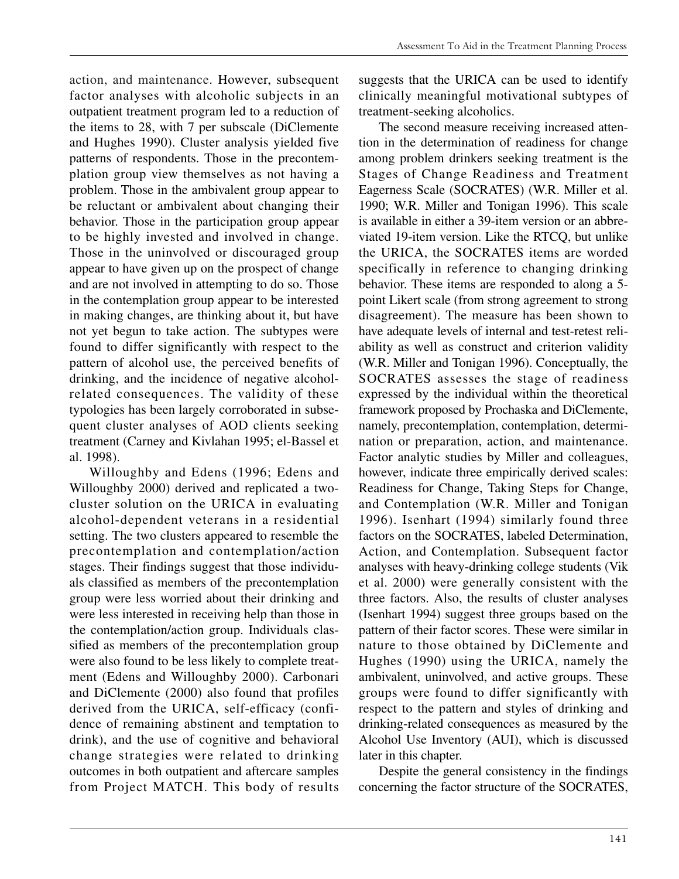action, and maintenance. However, subsequent factor analyses with alcoholic subjects in an outpatient treatment program led to a reduction of the items to 28, with 7 per subscale (DiClemente and Hughes 1990). Cluster analysis yielded five patterns of respondents. Those in the precontemplation group view themselves as not having a problem. Those in the ambivalent group appear to be reluctant or ambivalent about changing their behavior. Those in the participation group appear to be highly invested and involved in change. Those in the uninvolved or discouraged group appear to have given up on the prospect of change and are not involved in attempting to do so. Those in the contemplation group appear to be interested in making changes, are thinking about it, but have not yet begun to take action. The subtypes were found to differ significantly with respect to the pattern of alcohol use, the perceived benefits of drinking, and the incidence of negative alcoholrelated consequences. The validity of these typologies has been largely corroborated in subsequent cluster analyses of AOD clients seeking treatment (Carney and Kivlahan 1995; el-Bassel et al. 1998).

Willoughby and Edens (1996; Edens and Willoughby 2000) derived and replicated a twocluster solution on the URICA in evaluating alcohol-dependent veterans in a residential setting. The two clusters appeared to resemble the precontemplation and contemplation/action stages. Their findings suggest that those individuals classified as members of the precontemplation group were less worried about their drinking and were less interested in receiving help than those in the contemplation/action group. Individuals classified as members of the precontemplation group were also found to be less likely to complete treatment (Edens and Willoughby 2000). Carbonari and DiClemente (2000) also found that profiles derived from the URICA, self-efficacy (confidence of remaining abstinent and temptation to drink), and the use of cognitive and behavioral change strategies were related to drinking outcomes in both outpatient and aftercare samples from Project MATCH. This body of results

suggests that the URICA can be used to identify clinically meaningful motivational subtypes of treatment-seeking alcoholics.

The second measure receiving increased attention in the determination of readiness for change among problem drinkers seeking treatment is the Stages of Change Readiness and Treatment Eagerness Scale (SOCRATES) (W.R. Miller et al. 1990; W.R. Miller and Tonigan 1996). This scale is available in either a 39-item version or an abbreviated 19-item version. Like the RTCQ, but unlike the URICA, the SOCRATES items are worded specifically in reference to changing drinking behavior. These items are responded to along a 5 point Likert scale (from strong agreement to strong disagreement). The measure has been shown to have adequate levels of internal and test-retest reliability as well as construct and criterion validity (W.R. Miller and Tonigan 1996). Conceptually, the SOCRATES assesses the stage of readiness expressed by the individual within the theoretical framework proposed by Prochaska and DiClemente, namely, precontemplation, contemplation, determination or preparation, action, and maintenance. Factor analytic studies by Miller and colleagues, however, indicate three empirically derived scales: Readiness for Change, Taking Steps for Change, and Contemplation (W.R. Miller and Tonigan 1996). Isenhart (1994) similarly found three factors on the SOCRATES, labeled Determination, Action, and Contemplation. Subsequent factor analyses with heavy-drinking college students (Vik et al. 2000) were generally consistent with the three factors. Also, the results of cluster analyses (Isenhart 1994) suggest three groups based on the pattern of their factor scores. These were similar in nature to those obtained by DiClemente and Hughes (1990) using the URICA, namely the ambivalent, uninvolved, and active groups. These groups were found to differ significantly with respect to the pattern and styles of drinking and drinking-related consequences as measured by the Alcohol Use Inventory (AUI), which is discussed later in this chapter.

Despite the general consistency in the findings concerning the factor structure of the SOCRATES,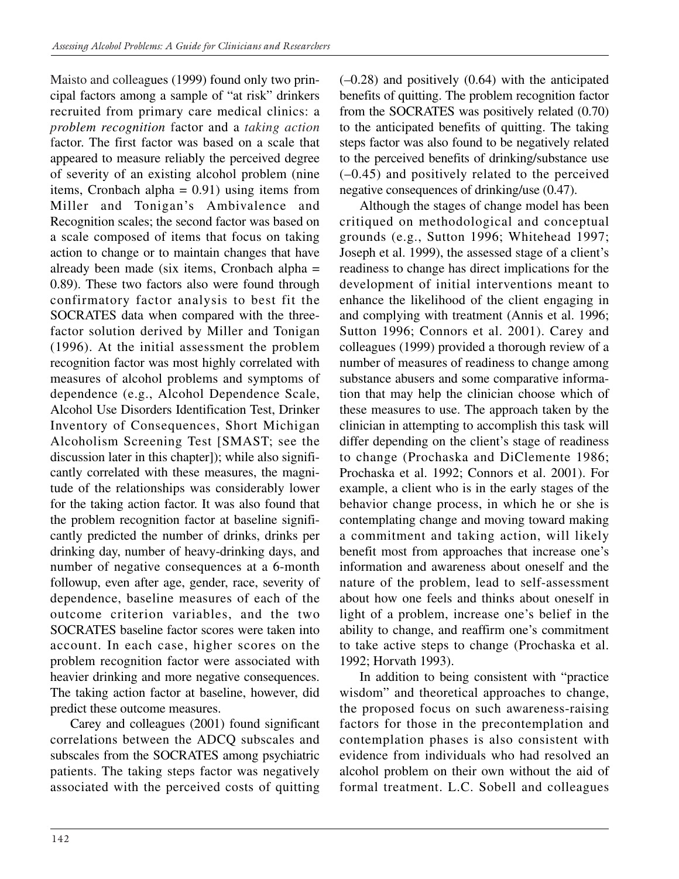Maisto and colleagues (1999) found only two principal factors among a sample of "at risk" drinkers recruited from primary care medical clinics: a *problem recognition* factor and a *taking action*  factor. The first factor was based on a scale that appeared to measure reliably the perceived degree of severity of an existing alcohol problem (nine items, Cronbach alpha  $= 0.91$ ) using items from Miller and Tonigan's Ambivalence and Recognition scales; the second factor was based on a scale composed of items that focus on taking action to change or to maintain changes that have already been made (six items, Cronbach alpha = 0.89). These two factors also were found through confirmatory factor analysis to best fit the SOCRATES data when compared with the threefactor solution derived by Miller and Tonigan (1996). At the initial assessment the problem recognition factor was most highly correlated with measures of alcohol problems and symptoms of dependence (e.g., Alcohol Dependence Scale, Alcohol Use Disorders Identification Test, Drinker Inventory of Consequences, Short Michigan Alcoholism Screening Test [SMAST; see the discussion later in this chapter]); while also significantly correlated with these measures, the magnitude of the relationships was considerably lower for the taking action factor. It was also found that the problem recognition factor at baseline significantly predicted the number of drinks, drinks per drinking day, number of heavy-drinking days, and number of negative consequences at a 6-month followup, even after age, gender, race, severity of dependence, baseline measures of each of the outcome criterion variables, and the two SOCRATES baseline factor scores were taken into account. In each case, higher scores on the problem recognition factor were associated with heavier drinking and more negative consequences. The taking action factor at baseline, however, did predict these outcome measures.

Carey and colleagues (2001) found significant correlations between the ADCQ subscales and subscales from the SOCRATES among psychiatric patients. The taking steps factor was negatively associated with the perceived costs of quitting  $(-0.28)$  and positively  $(0.64)$  with the anticipated benefits of quitting. The problem recognition factor from the SOCRATES was positively related (0.70) to the anticipated benefits of quitting. The taking steps factor was also found to be negatively related to the perceived benefits of drinking/substance use (–0.45) and positively related to the perceived negative consequences of drinking/use (0.47).

Although the stages of change model has been critiqued on methodological and conceptual grounds (e.g., Sutton 1996; Whitehead 1997; Joseph et al. 1999), the assessed stage of a client's readiness to change has direct implications for the development of initial interventions meant to enhance the likelihood of the client engaging in and complying with treatment (Annis et al. 1996; Sutton 1996; Connors et al. 2001). Carey and colleagues (1999) provided a thorough review of a number of measures of readiness to change among substance abusers and some comparative information that may help the clinician choose which of these measures to use. The approach taken by the clinician in attempting to accomplish this task will differ depending on the client's stage of readiness to change (Prochaska and DiClemente 1986; Prochaska et al. 1992; Connors et al. 2001). For example, a client who is in the early stages of the behavior change process, in which he or she is contemplating change and moving toward making a commitment and taking action, will likely benefit most from approaches that increase one's information and awareness about oneself and the nature of the problem, lead to self-assessment about how one feels and thinks about oneself in light of a problem, increase one's belief in the ability to change, and reaffirm one's commitment to take active steps to change (Prochaska et al. 1992; Horvath 1993).

In addition to being consistent with "practice wisdom" and theoretical approaches to change, the proposed focus on such awareness-raising factors for those in the precontemplation and contemplation phases is also consistent with evidence from individuals who had resolved an alcohol problem on their own without the aid of formal treatment. L.C. Sobell and colleagues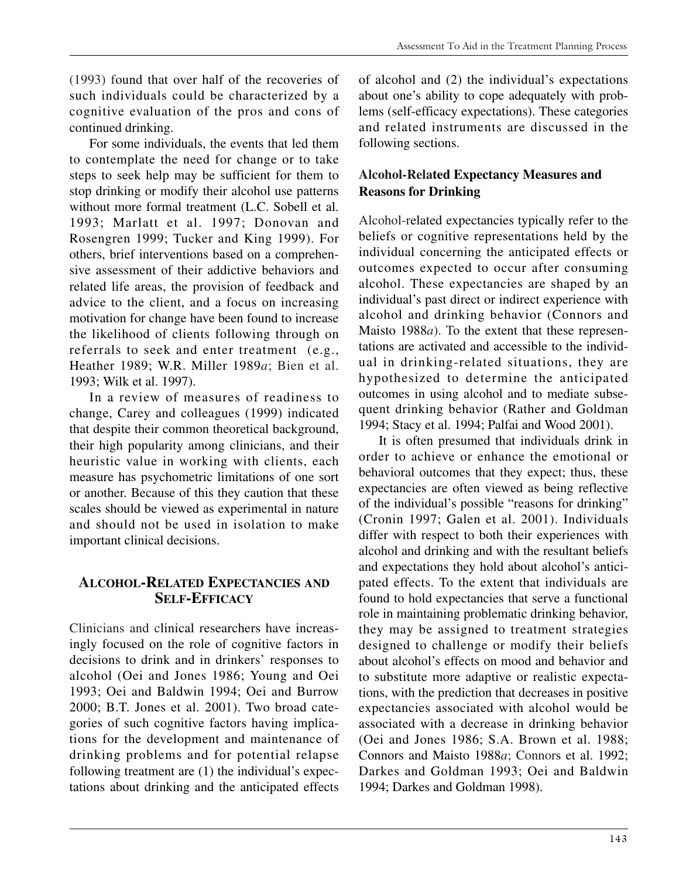(1993) found that over half of the recoveries of such individuals could be characterized by a cognitive evaluation of the pros and cons of continued drinking.

For some individuals, the events that led them to contemplate the need for change or to take steps to seek help may be sufficient for them to stop drinking or modify their alcohol use patterns without more formal treatment (L.C. Sobell et al. 1993; Marlatt et al. 1997; Donovan and Rosengren 1999; Tucker and King 1999). For others, brief interventions based on a comprehensive assessment of their addictive behaviors and related life areas, the provision of feedback and advice to the client, and a focus on increasing motivation for change have been found to increase the likelihood of clients following through on referrals to seek and enter treatment (e.g., Heather 1989; W.R. Miller 1989*a*; Bien et al. 1993; Wilk et al. 1997).

In a review of measures of readiness to change, Carey and colleagues (1999) indicated that despite their common theoretical background, their high popularity among clinicians, and their heuristic value in working with clients, each measure has psychometric limitations of one sort or another. Because of this they caution that these scales should be viewed as experimental in nature and should not be used in isolation to make important clinical decisions.

## **ALCOHOL-RELATED EXPECTANCIES AND SELF-EFFICACY**

Clinicians and clinical researchers have increasingly focused on the role of cognitive factors in decisions to drink and in drinkers' responses to alcohol (Oei and Jones 1986; Young and Oei 1993; Oei and Baldwin 1994; Oei and Burrow 2000; B.T. Jones et al. 2001). Two broad categories of such cognitive factors having implications for the development and maintenance of drinking problems and for potential relapse following treatment are (1) the individual's expectations about drinking and the anticipated effects

of alcohol and (2) the individual's expectations about one's ability to cope adequately with problems (self-efficacy expectations). These categories and related instruments are discussed in the following sections.

## **Alcohol-Related Expectancy Measures and Reasons for Drinking**

Alcohol-related expectancies typically refer to the beliefs or cognitive representations held by the individual concerning the anticipated effects or outcomes expected to occur after consuming alcohol. These expectancies are shaped by an individual's past direct or indirect experience with alcohol and drinking behavior (Connors and Maisto 1988*a*). To the extent that these representations are activated and accessible to the individual in drinking-related situations, they are hypothesized to determine the anticipated outcomes in using alcohol and to mediate subsequent drinking behavior (Rather and Goldman 1994; Stacy et al. 1994; Palfai and Wood 2001).

It is often presumed that individuals drink in order to achieve or enhance the emotional or behavioral outcomes that they expect; thus, these expectancies are often viewed as being reflective of the individual's possible "reasons for drinking" (Cronin 1997; Galen et al. 2001). Individuals differ with respect to both their experiences with alcohol and drinking and with the resultant beliefs and expectations they hold about alcohol's anticipated effects. To the extent that individuals are found to hold expectancies that serve a functional role in maintaining problematic drinking behavior, they may be assigned to treatment strategies designed to challenge or modify their beliefs about alcohol's effects on mood and behavior and to substitute more adaptive or realistic expectations, with the prediction that decreases in positive expectancies associated with alcohol would be associated with a decrease in drinking behavior (Oei and Jones 1986; S.A. Brown et al. 1988; Connors and Maisto 1988*a*; Connors et al. 1992; Darkes and Goldman 1993; Oei and Baldwin 1994; Darkes and Goldman 1998).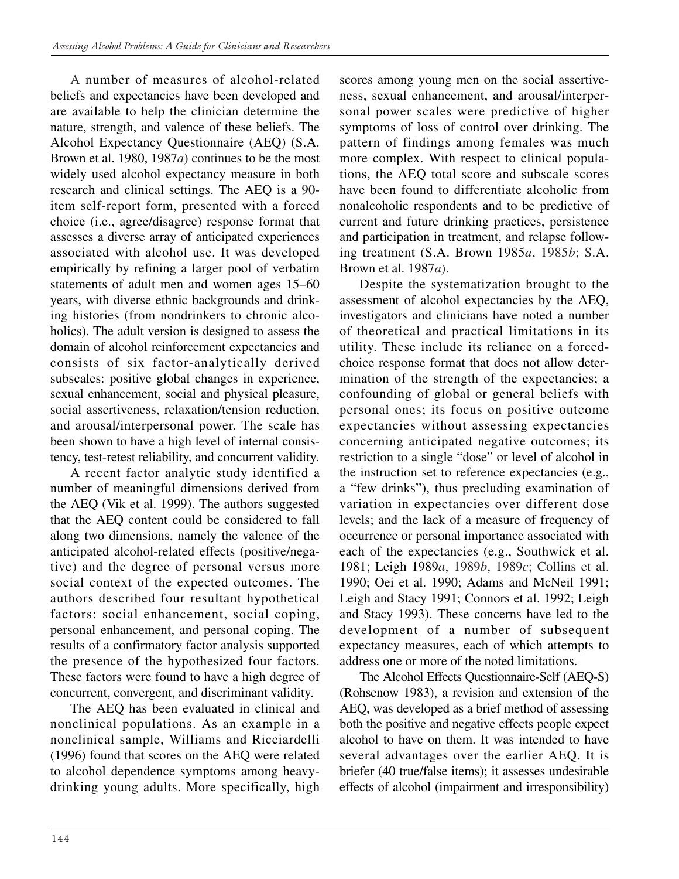A number of measures of alcohol-related beliefs and expectancies have been developed and are available to help the clinician determine the nature, strength, and valence of these beliefs. The Alcohol Expectancy Questionnaire (AEQ) (S.A. Brown et al. 1980, 1987*a*) continues to be the most widely used alcohol expectancy measure in both research and clinical settings. The AEQ is a 90 item self-report form, presented with a forced choice (i.e., agree/disagree) response format that assesses a diverse array of anticipated experiences associated with alcohol use. It was developed empirically by refining a larger pool of verbatim statements of adult men and women ages 15–60 years, with diverse ethnic backgrounds and drinking histories (from nondrinkers to chronic alcoholics). The adult version is designed to assess the domain of alcohol reinforcement expectancies and consists of six factor-analytically derived subscales: positive global changes in experience, sexual enhancement, social and physical pleasure, social assertiveness, relaxation/tension reduction, and arousal/interpersonal power. The scale has been shown to have a high level of internal consistency, test-retest reliability, and concurrent validity.

A recent factor analytic study identified a number of meaningful dimensions derived from the AEQ (Vik et al. 1999). The authors suggested that the AEQ content could be considered to fall along two dimensions, namely the valence of the anticipated alcohol-related effects (positive/negative) and the degree of personal versus more social context of the expected outcomes. The authors described four resultant hypothetical factors: social enhancement, social coping, personal enhancement, and personal coping. The results of a confirmatory factor analysis supported the presence of the hypothesized four factors. These factors were found to have a high degree of concurrent, convergent, and discriminant validity.

The AEQ has been evaluated in clinical and nonclinical populations. As an example in a nonclinical sample, Williams and Ricciardelli (1996) found that scores on the AEQ were related to alcohol dependence symptoms among heavydrinking young adults. More specifically, high scores among young men on the social assertiveness, sexual enhancement, and arousal/interpersonal power scales were predictive of higher symptoms of loss of control over drinking. The pattern of findings among females was much more complex. With respect to clinical populations, the AEQ total score and subscale scores have been found to differentiate alcoholic from nonalcoholic respondents and to be predictive of current and future drinking practices, persistence and participation in treatment, and relapse following treatment (S.A. Brown 1985*a*, 1985*b*; S.A. Brown et al. 1987*a*).

Despite the systematization brought to the assessment of alcohol expectancies by the AEQ, investigators and clinicians have noted a number of theoretical and practical limitations in its utility. These include its reliance on a forcedchoice response format that does not allow determination of the strength of the expectancies; a confounding of global or general beliefs with personal ones; its focus on positive outcome expectancies without assessing expectancies concerning anticipated negative outcomes; its restriction to a single "dose" or level of alcohol in the instruction set to reference expectancies (e.g., a "few drinks"), thus precluding examination of variation in expectancies over different dose levels; and the lack of a measure of frequency of occurrence or personal importance associated with each of the expectancies (e.g., Southwick et al. 1981; Leigh 1989*a*, 1989*b*, 1989*c*; Collins et al. 1990; Oei et al. 1990; Adams and McNeil 1991; Leigh and Stacy 1991; Connors et al. 1992; Leigh and Stacy 1993). These concerns have led to the development of a number of subsequent expectancy measures, each of which attempts to address one or more of the noted limitations.

The Alcohol Effects Questionnaire-Self (AEQ-S) (Rohsenow 1983), a revision and extension of the AEQ, was developed as a brief method of assessing both the positive and negative effects people expect alcohol to have on them. It was intended to have several advantages over the earlier AEQ. It is briefer (40 true/false items); it assesses undesirable effects of alcohol (impairment and irresponsibility)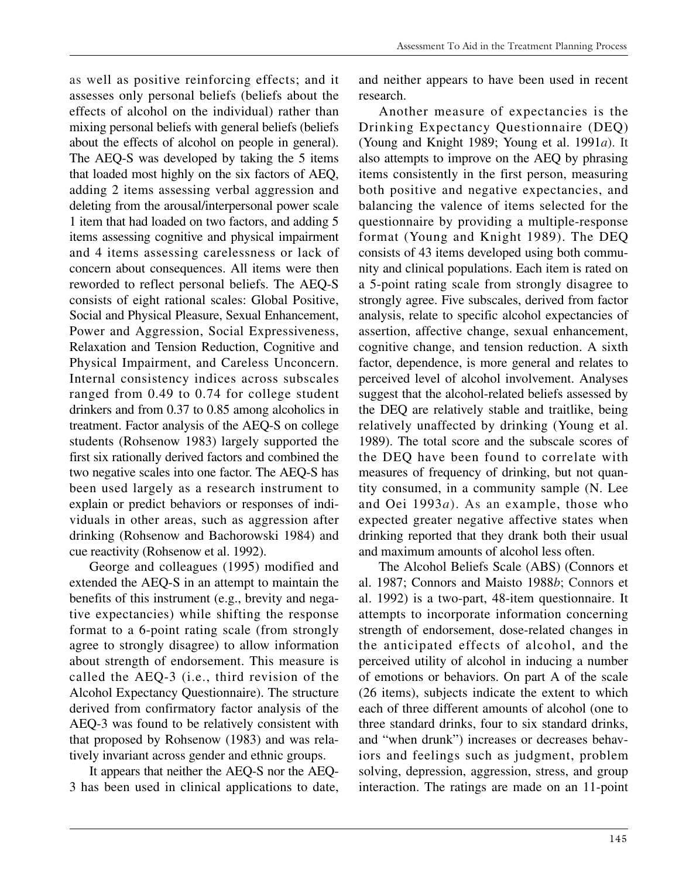as well as positive reinforcing effects; and it assesses only personal beliefs (beliefs about the effects of alcohol on the individual) rather than mixing personal beliefs with general beliefs (beliefs about the effects of alcohol on people in general). The AEQ-S was developed by taking the 5 items that loaded most highly on the six factors of AEQ, adding 2 items assessing verbal aggression and deleting from the arousal/interpersonal power scale 1 item that had loaded on two factors, and adding 5 items assessing cognitive and physical impairment and 4 items assessing carelessness or lack of concern about consequences. All items were then reworded to reflect personal beliefs. The AEQ-S consists of eight rational scales: Global Positive, Social and Physical Pleasure, Sexual Enhancement, Power and Aggression, Social Expressiveness, Relaxation and Tension Reduction, Cognitive and Physical Impairment, and Careless Unconcern. Internal consistency indices across subscales ranged from 0.49 to 0.74 for college student drinkers and from 0.37 to 0.85 among alcoholics in treatment. Factor analysis of the AEQ-S on college students (Rohsenow 1983) largely supported the first six rationally derived factors and combined the two negative scales into one factor. The AEQ-S has been used largely as a research instrument to explain or predict behaviors or responses of individuals in other areas, such as aggression after drinking (Rohsenow and Bachorowski 1984) and cue reactivity (Rohsenow et al. 1992).

George and colleagues (1995) modified and extended the AEQ-S in an attempt to maintain the benefits of this instrument (e.g., brevity and negative expectancies) while shifting the response format to a 6-point rating scale (from strongly agree to strongly disagree) to allow information about strength of endorsement. This measure is called the AEQ-3 (i.e., third revision of the Alcohol Expectancy Questionnaire). The structure derived from confirmatory factor analysis of the AEQ-3 was found to be relatively consistent with that proposed by Rohsenow (1983) and was relatively invariant across gender and ethnic groups.

It appears that neither the AEQ-S nor the AEQ-3 has been used in clinical applications to date,

and neither appears to have been used in recent research.

Another measure of expectancies is the Drinking Expectancy Questionnaire (DEQ) (Young and Knight 1989; Young et al. 1991*a*). It also attempts to improve on the AEQ by phrasing items consistently in the first person, measuring both positive and negative expectancies, and balancing the valence of items selected for the questionnaire by providing a multiple-response format (Young and Knight 1989). The DEQ consists of 43 items developed using both community and clinical populations. Each item is rated on a 5-point rating scale from strongly disagree to strongly agree. Five subscales, derived from factor analysis, relate to specific alcohol expectancies of assertion, affective change, sexual enhancement, cognitive change, and tension reduction. A sixth factor, dependence, is more general and relates to perceived level of alcohol involvement. Analyses suggest that the alcohol-related beliefs assessed by the DEQ are relatively stable and traitlike, being relatively unaffected by drinking (Young et al. 1989). The total score and the subscale scores of the DEQ have been found to correlate with measures of frequency of drinking, but not quantity consumed, in a community sample (N. Lee and Oei 1993*a*). As an example, those who expected greater negative affective states when drinking reported that they drank both their usual and maximum amounts of alcohol less often.

The Alcohol Beliefs Scale (ABS) (Connors et al. 1987; Connors and Maisto 1988*b*; Connors et al. 1992) is a two-part, 48-item questionnaire. It attempts to incorporate information concerning strength of endorsement, dose-related changes in the anticipated effects of alcohol, and the perceived utility of alcohol in inducing a number of emotions or behaviors. On part A of the scale (26 items), subjects indicate the extent to which each of three different amounts of alcohol (one to three standard drinks, four to six standard drinks, and "when drunk") increases or decreases behaviors and feelings such as judgment, problem solving, depression, aggression, stress, and group interaction. The ratings are made on an 11-point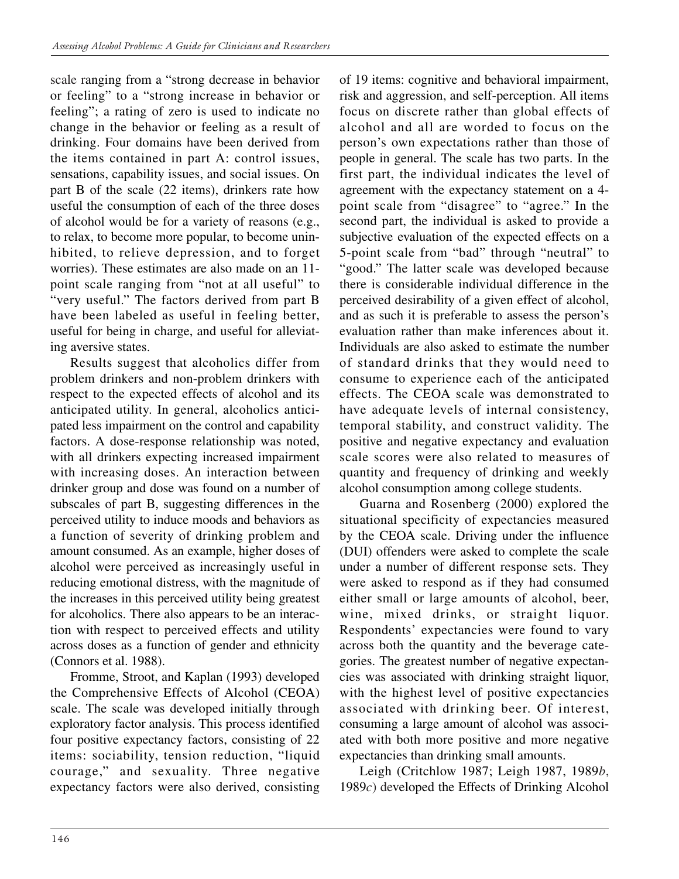scale ranging from a "strong decrease in behavior or feeling" to a "strong increase in behavior or feeling"; a rating of zero is used to indicate no change in the behavior or feeling as a result of drinking. Four domains have been derived from the items contained in part A: control issues, sensations, capability issues, and social issues. On part B of the scale (22 items), drinkers rate how useful the consumption of each of the three doses of alcohol would be for a variety of reasons (e.g., to relax, to become more popular, to become uninhibited, to relieve depression, and to forget worries). These estimates are also made on an 11 point scale ranging from "not at all useful" to "very useful." The factors derived from part B have been labeled as useful in feeling better, useful for being in charge, and useful for alleviating aversive states.

Results suggest that alcoholics differ from problem drinkers and non-problem drinkers with respect to the expected effects of alcohol and its anticipated utility. In general, alcoholics anticipated less impairment on the control and capability factors. A dose-response relationship was noted, with all drinkers expecting increased impairment with increasing doses. An interaction between drinker group and dose was found on a number of subscales of part B, suggesting differences in the perceived utility to induce moods and behaviors as a function of severity of drinking problem and amount consumed. As an example, higher doses of alcohol were perceived as increasingly useful in reducing emotional distress, with the magnitude of the increases in this perceived utility being greatest for alcoholics. There also appears to be an interaction with respect to perceived effects and utility across doses as a function of gender and ethnicity (Connors et al. 1988).

Fromme, Stroot, and Kaplan (1993) developed the Comprehensive Effects of Alcohol (CEOA) scale. The scale was developed initially through exploratory factor analysis. This process identified four positive expectancy factors, consisting of 22 items: sociability, tension reduction, "liquid courage," and sexuality. Three negative expectancy factors were also derived, consisting of 19 items: cognitive and behavioral impairment, risk and aggression, and self-perception. All items focus on discrete rather than global effects of alcohol and all are worded to focus on the person's own expectations rather than those of people in general. The scale has two parts. In the first part, the individual indicates the level of agreement with the expectancy statement on a 4 point scale from "disagree" to "agree." In the second part, the individual is asked to provide a subjective evaluation of the expected effects on a 5-point scale from "bad" through "neutral" to "good." The latter scale was developed because there is considerable individual difference in the perceived desirability of a given effect of alcohol, and as such it is preferable to assess the person's evaluation rather than make inferences about it. Individuals are also asked to estimate the number of standard drinks that they would need to consume to experience each of the anticipated effects. The CEOA scale was demonstrated to have adequate levels of internal consistency, temporal stability, and construct validity. The positive and negative expectancy and evaluation scale scores were also related to measures of quantity and frequency of drinking and weekly alcohol consumption among college students.

Guarna and Rosenberg (2000) explored the situational specificity of expectancies measured by the CEOA scale. Driving under the influence (DUI) offenders were asked to complete the scale under a number of different response sets. They were asked to respond as if they had consumed either small or large amounts of alcohol, beer, wine, mixed drinks, or straight liquor. Respondents' expectancies were found to vary across both the quantity and the beverage categories. The greatest number of negative expectancies was associated with drinking straight liquor, with the highest level of positive expectancies associated with drinking beer. Of interest, consuming a large amount of alcohol was associated with both more positive and more negative expectancies than drinking small amounts.

Leigh (Critchlow 1987; Leigh 1987, 1989*b*, 1989*c*) developed the Effects of Drinking Alcohol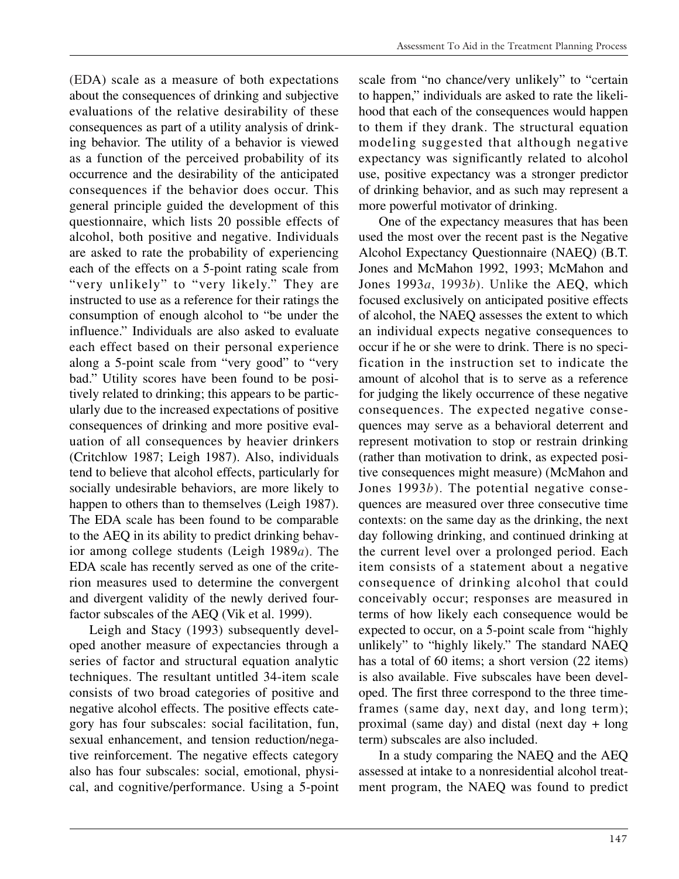(EDA) scale as a measure of both expectations about the consequences of drinking and subjective evaluations of the relative desirability of these consequences as part of a utility analysis of drinking behavior. The utility of a behavior is viewed as a function of the perceived probability of its occurrence and the desirability of the anticipated consequences if the behavior does occur. This general principle guided the development of this questionnaire, which lists 20 possible effects of alcohol, both positive and negative. Individuals are asked to rate the probability of experiencing each of the effects on a 5-point rating scale from "very unlikely" to "very likely." They are instructed to use as a reference for their ratings the consumption of enough alcohol to "be under the influence." Individuals are also asked to evaluate each effect based on their personal experience along a 5-point scale from "very good" to "very bad." Utility scores have been found to be positively related to drinking; this appears to be particularly due to the increased expectations of positive consequences of drinking and more positive evaluation of all consequences by heavier drinkers (Critchlow 1987; Leigh 1987). Also, individuals tend to believe that alcohol effects, particularly for socially undesirable behaviors, are more likely to happen to others than to themselves (Leigh 1987). The EDA scale has been found to be comparable to the AEQ in its ability to predict drinking behavior among college students (Leigh 1989*a*). The EDA scale has recently served as one of the criterion measures used to determine the convergent and divergent validity of the newly derived fourfactor subscales of the AEQ (Vik et al. 1999).

Leigh and Stacy (1993) subsequently developed another measure of expectancies through a series of factor and structural equation analytic techniques. The resultant untitled 34-item scale consists of two broad categories of positive and negative alcohol effects. The positive effects category has four subscales: social facilitation, fun, sexual enhancement, and tension reduction/negative reinforcement. The negative effects category also has four subscales: social, emotional, physical, and cognitive/performance. Using a 5-point

scale from "no chance/very unlikely" to "certain to happen," individuals are asked to rate the likelihood that each of the consequences would happen to them if they drank. The structural equation modeling suggested that although negative expectancy was significantly related to alcohol use, positive expectancy was a stronger predictor of drinking behavior, and as such may represent a more powerful motivator of drinking.

One of the expectancy measures that has been used the most over the recent past is the Negative Alcohol Expectancy Questionnaire (NAEQ) (B.T. Jones and McMahon 1992, 1993; McMahon and Jones 1993*a*, 1993*b*). Unlike the AEQ, which focused exclusively on anticipated positive effects of alcohol, the NAEQ assesses the extent to which an individual expects negative consequences to occur if he or she were to drink. There is no specification in the instruction set to indicate the amount of alcohol that is to serve as a reference for judging the likely occurrence of these negative consequences. The expected negative consequences may serve as a behavioral deterrent and represent motivation to stop or restrain drinking (rather than motivation to drink, as expected positive consequences might measure) (McMahon and Jones 1993*b*). The potential negative consequences are measured over three consecutive time contexts: on the same day as the drinking, the next day following drinking, and continued drinking at the current level over a prolonged period. Each item consists of a statement about a negative consequence of drinking alcohol that could conceivably occur; responses are measured in terms of how likely each consequence would be expected to occur, on a 5-point scale from "highly unlikely" to "highly likely." The standard NAEQ has a total of 60 items; a short version (22 items) is also available. Five subscales have been developed. The first three correspond to the three timeframes (same day, next day, and long term); proximal (same day) and distal (next day + long term) subscales are also included.

In a study comparing the NAEQ and the AEQ assessed at intake to a nonresidential alcohol treatment program, the NAEQ was found to predict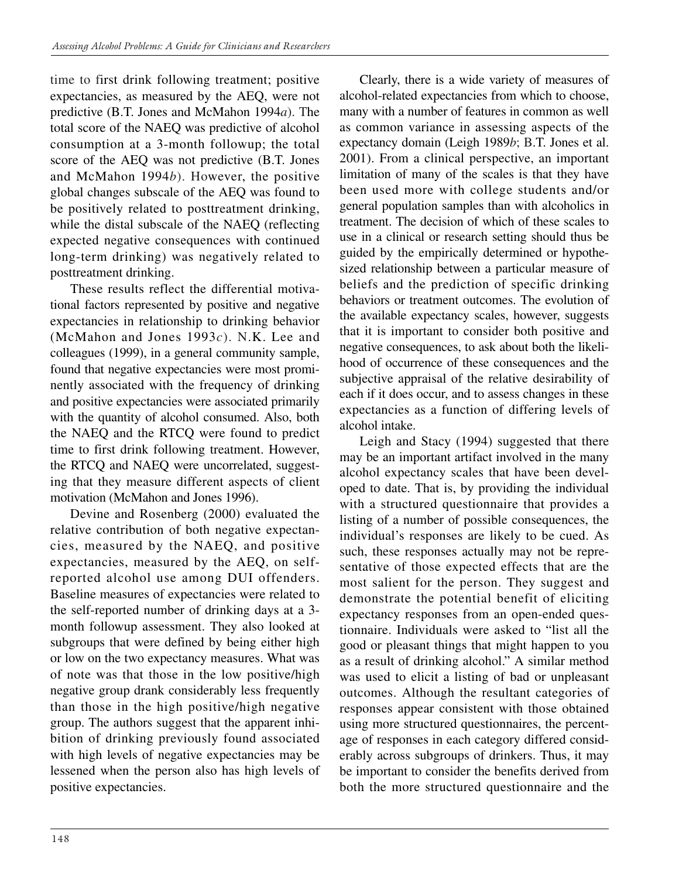time to first drink following treatment; positive expectancies, as measured by the AEQ, were not predictive (B.T. Jones and McMahon 1994*a*). The total score of the NAEQ was predictive of alcohol consumption at a 3-month followup; the total score of the AEQ was not predictive (B.T. Jones and McMahon 1994*b*). However, the positive global changes subscale of the AEQ was found to be positively related to posttreatment drinking, while the distal subscale of the NAEQ (reflecting expected negative consequences with continued long-term drinking) was negatively related to posttreatment drinking.

These results reflect the differential motivational factors represented by positive and negative expectancies in relationship to drinking behavior (McMahon and Jones 1993*c*). N.K. Lee and colleagues (1999), in a general community sample, found that negative expectancies were most prominently associated with the frequency of drinking and positive expectancies were associated primarily with the quantity of alcohol consumed. Also, both the NAEQ and the RTCQ were found to predict time to first drink following treatment. However, the RTCQ and NAEQ were uncorrelated, suggesting that they measure different aspects of client motivation (McMahon and Jones 1996).

Devine and Rosenberg (2000) evaluated the relative contribution of both negative expectancies, measured by the NAEQ, and positive expectancies, measured by the AEQ, on selfreported alcohol use among DUI offenders. Baseline measures of expectancies were related to the self-reported number of drinking days at a 3 month followup assessment. They also looked at subgroups that were defined by being either high or low on the two expectancy measures. What was of note was that those in the low positive/high negative group drank considerably less frequently than those in the high positive/high negative group. The authors suggest that the apparent inhibition of drinking previously found associated with high levels of negative expectancies may be lessened when the person also has high levels of positive expectancies.

Clearly, there is a wide variety of measures of alcohol-related expectancies from which to choose, many with a number of features in common as well as common variance in assessing aspects of the expectancy domain (Leigh 1989*b*; B.T. Jones et al. 2001). From a clinical perspective, an important limitation of many of the scales is that they have been used more with college students and/or general population samples than with alcoholics in treatment. The decision of which of these scales to use in a clinical or research setting should thus be guided by the empirically determined or hypothesized relationship between a particular measure of beliefs and the prediction of specific drinking behaviors or treatment outcomes. The evolution of the available expectancy scales, however, suggests that it is important to consider both positive and negative consequences, to ask about both the likelihood of occurrence of these consequences and the subjective appraisal of the relative desirability of each if it does occur, and to assess changes in these expectancies as a function of differing levels of alcohol intake.

Leigh and Stacy (1994) suggested that there may be an important artifact involved in the many alcohol expectancy scales that have been developed to date. That is, by providing the individual with a structured questionnaire that provides a listing of a number of possible consequences, the individual's responses are likely to be cued. As such, these responses actually may not be representative of those expected effects that are the most salient for the person. They suggest and demonstrate the potential benefit of eliciting expectancy responses from an open-ended questionnaire. Individuals were asked to "list all the good or pleasant things that might happen to you as a result of drinking alcohol." A similar method was used to elicit a listing of bad or unpleasant outcomes. Although the resultant categories of responses appear consistent with those obtained using more structured questionnaires, the percentage of responses in each category differed considerably across subgroups of drinkers. Thus, it may be important to consider the benefits derived from both the more structured questionnaire and the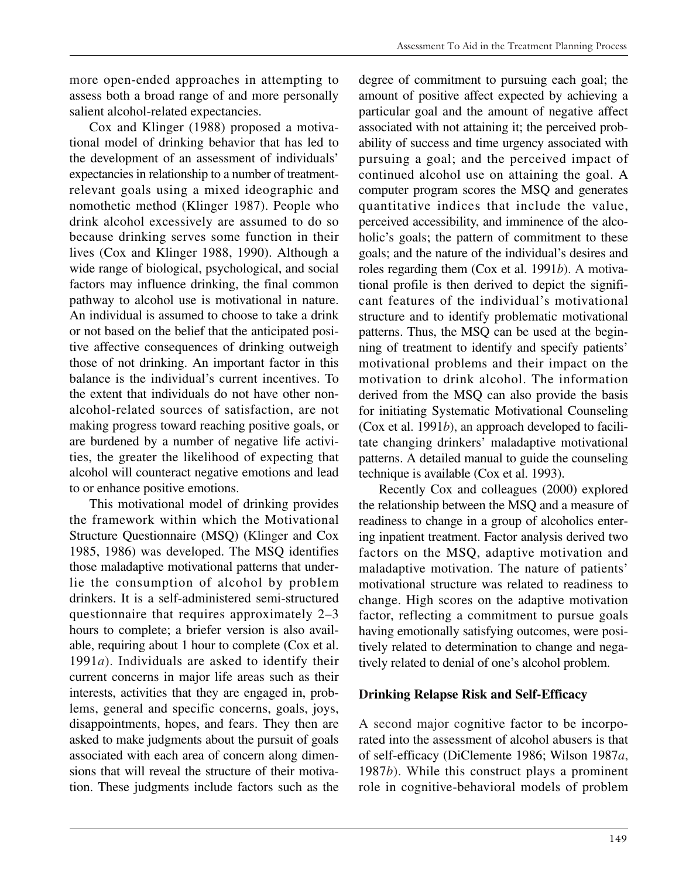more open-ended approaches in attempting to assess both a broad range of and more personally salient alcohol-related expectancies.

Cox and Klinger (1988) proposed a motivational model of drinking behavior that has led to the development of an assessment of individuals' expectancies in relationship to a number of treatmentrelevant goals using a mixed ideographic and nomothetic method (Klinger 1987). People who drink alcohol excessively are assumed to do so because drinking serves some function in their lives (Cox and Klinger 1988, 1990). Although a wide range of biological, psychological, and social factors may influence drinking, the final common pathway to alcohol use is motivational in nature. An individual is assumed to choose to take a drink or not based on the belief that the anticipated positive affective consequences of drinking outweigh those of not drinking. An important factor in this balance is the individual's current incentives. To the extent that individuals do not have other nonalcohol-related sources of satisfaction, are not making progress toward reaching positive goals, or are burdened by a number of negative life activities, the greater the likelihood of expecting that alcohol will counteract negative emotions and lead to or enhance positive emotions.

This motivational model of drinking provides the framework within which the Motivational Structure Questionnaire (MSQ) **(**Klinger and Cox 1985, 1986) was developed. The MSQ identifies those maladaptive motivational patterns that underlie the consumption of alcohol by problem drinkers. It is a self-administered semi-structured questionnaire that requires approximately 2–3 hours to complete; a briefer version is also available, requiring about 1 hour to complete (Cox et al. 1991*a*). Individuals are asked to identify their current concerns in major life areas such as their interests, activities that they are engaged in, problems, general and specific concerns, goals, joys, disappointments, hopes, and fears. They then are asked to make judgments about the pursuit of goals associated with each area of concern along dimensions that will reveal the structure of their motivation. These judgments include factors such as the

degree of commitment to pursuing each goal; the amount of positive affect expected by achieving a particular goal and the amount of negative affect associated with not attaining it; the perceived probability of success and time urgency associated with pursuing a goal; and the perceived impact of continued alcohol use on attaining the goal. A computer program scores the MSQ and generates quantitative indices that include the value, perceived accessibility, and imminence of the alcoholic's goals; the pattern of commitment to these goals; and the nature of the individual's desires and roles regarding them (Cox et al. 1991*b*). A motivational profile is then derived to depict the significant features of the individual's motivational structure and to identify problematic motivational patterns. Thus, the MSQ can be used at the beginning of treatment to identify and specify patients' motivational problems and their impact on the motivation to drink alcohol. The information derived from the MSQ can also provide the basis for initiating Systematic Motivational Counseling (Cox et al. 1991*b*), an approach developed to facilitate changing drinkers' maladaptive motivational patterns. A detailed manual to guide the counseling technique is available (Cox et al. 1993).

Recently Cox and colleagues (2000) explored the relationship between the MSQ and a measure of readiness to change in a group of alcoholics entering inpatient treatment. Factor analysis derived two factors on the MSQ, adaptive motivation and maladaptive motivation. The nature of patients' motivational structure was related to readiness to change. High scores on the adaptive motivation factor, reflecting a commitment to pursue goals having emotionally satisfying outcomes, were positively related to determination to change and negatively related to denial of one's alcohol problem.

#### **Drinking Relapse Risk and Self-Efficacy**

A second major cognitive factor to be incorporated into the assessment of alcohol abusers is that of self-efficacy (DiClemente 1986; Wilson 1987*a*, 1987*b*). While this construct plays a prominent role in cognitive-behavioral models of problem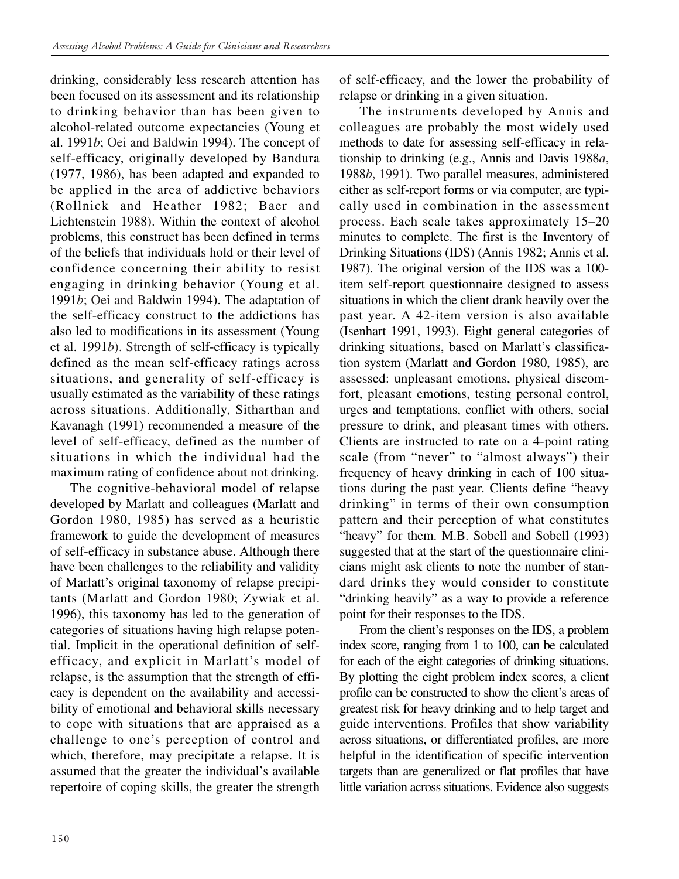drinking, considerably less research attention has been focused on its assessment and its relationship to drinking behavior than has been given to alcohol-related outcome expectancies (Young et al. 1991*b*; Oei and Baldwin 1994). The concept of self-efficacy, originally developed by Bandura (1977, 1986), has been adapted and expanded to be applied in the area of addictive behaviors (Rollnick and Heather 1982; Baer and Lichtenstein 1988). Within the context of alcohol problems, this construct has been defined in terms of the beliefs that individuals hold or their level of confidence concerning their ability to resist engaging in drinking behavior (Young et al. 1991*b*; Oei and Baldwin 1994). The adaptation of the self-efficacy construct to the addictions has also led to modifications in its assessment (Young et al. 1991*b*). Strength of self-efficacy is typically defined as the mean self-efficacy ratings across situations, and generality of self-efficacy is usually estimated as the variability of these ratings across situations. Additionally, Sitharthan and Kavanagh (1991) recommended a measure of the level of self-efficacy, defined as the number of situations in which the individual had the maximum rating of confidence about not drinking.

The cognitive-behavioral model of relapse developed by Marlatt and colleagues (Marlatt and Gordon 1980, 1985) has served as a heuristic framework to guide the development of measures of self-efficacy in substance abuse. Although there have been challenges to the reliability and validity of Marlatt's original taxonomy of relapse precipitants (Marlatt and Gordon 1980; Zywiak et al. 1996), this taxonomy has led to the generation of categories of situations having high relapse potential. Implicit in the operational definition of selfefficacy, and explicit in Marlatt's model of relapse, is the assumption that the strength of efficacy is dependent on the availability and accessibility of emotional and behavioral skills necessary to cope with situations that are appraised as a challenge to one's perception of control and which, therefore, may precipitate a relapse. It is assumed that the greater the individual's available repertoire of coping skills, the greater the strength of self-efficacy, and the lower the probability of relapse or drinking in a given situation.

The instruments developed by Annis and colleagues are probably the most widely used methods to date for assessing self-efficacy in relationship to drinking (e.g., Annis and Davis 1988*a*, 1988*b*, 1991). Two parallel measures, administered either as self-report forms or via computer, are typically used in combination in the assessment process. Each scale takes approximately 15–20 minutes to complete. The first is the Inventory of Drinking Situations (IDS) (Annis 1982; Annis et al. 1987). The original version of the IDS was a 100 item self-report questionnaire designed to assess situations in which the client drank heavily over the past year. A 42-item version is also available (Isenhart 1991, 1993). Eight general categories of drinking situations, based on Marlatt's classification system (Marlatt and Gordon 1980, 1985), are assessed: unpleasant emotions, physical discomfort, pleasant emotions, testing personal control, urges and temptations, conflict with others, social pressure to drink, and pleasant times with others. Clients are instructed to rate on a 4-point rating scale (from "never" to "almost always") their frequency of heavy drinking in each of 100 situations during the past year. Clients define "heavy drinking" in terms of their own consumption pattern and their perception of what constitutes "heavy" for them. M.B. Sobell and Sobell (1993) suggested that at the start of the questionnaire clinicians might ask clients to note the number of standard drinks they would consider to constitute "drinking heavily" as a way to provide a reference point for their responses to the IDS.

From the client's responses on the IDS, a problem index score, ranging from 1 to 100, can be calculated for each of the eight categories of drinking situations. By plotting the eight problem index scores, a client profile can be constructed to show the client's areas of greatest risk for heavy drinking and to help target and guide interventions. Profiles that show variability across situations, or differentiated profiles, are more helpful in the identification of specific intervention targets than are generalized or flat profiles that have little variation across situations. Evidence also suggests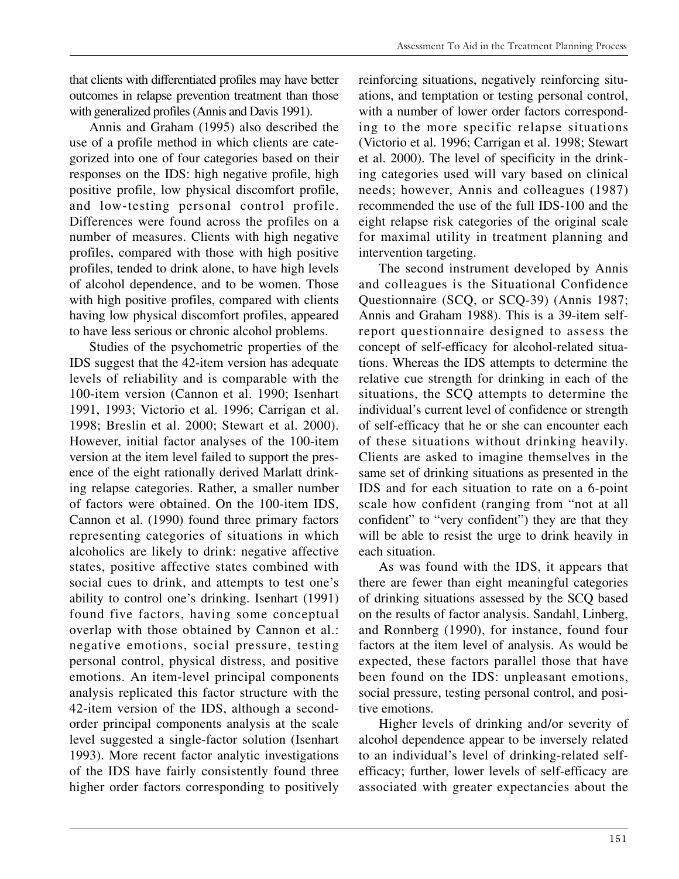that clients with differentiated profiles may have better outcomes in relapse prevention treatment than those with generalized profiles (Annis and Davis 1991).

Annis and Graham (1995) also described the use of a profile method in which clients are categorized into one of four categories based on their responses on the IDS: high negative profile, high positive profile, low physical discomfort profile, and low-testing personal control profile. Differences were found across the profiles on a number of measures. Clients with high negative profiles, compared with those with high positive profiles, tended to drink alone, to have high levels of alcohol dependence, and to be women. Those with high positive profiles, compared with clients having low physical discomfort profiles, appeared to have less serious or chronic alcohol problems.

Studies of the psychometric properties of the IDS suggest that the 42-item version has adequate levels of reliability and is comparable with the 100-item version (Cannon et al. 1990; Isenhart 1991, 1993; Victorio et al. 1996; Carrigan et al. 1998; Breslin et al. 2000; Stewart et al. 2000). However, initial factor analyses of the 100-item version at the item level failed to support the presence of the eight rationally derived Marlatt drinking relapse categories. Rather, a smaller number of factors were obtained. On the 100-item IDS, Cannon et al. (1990) found three primary factors representing categories of situations in which alcoholics are likely to drink: negative affective states, positive affective states combined with social cues to drink, and attempts to test one's ability to control one's drinking. Isenhart (1991) found five factors, having some conceptual overlap with those obtained by Cannon et al.: negative emotions, social pressure, testing personal control, physical distress, and positive emotions. An item-level principal components analysis replicated this factor structure with the 42-item version of the IDS, although a secondorder principal components analysis at the scale level suggested a single-factor solution (Isenhart 1993). More recent factor analytic investigations of the IDS have fairly consistently found three higher order factors corresponding to positively

reinforcing situations, negatively reinforcing situations, and temptation or testing personal control, with a number of lower order factors corresponding to the more specific relapse situations (Victorio et al. 1996; Carrigan et al. 1998; Stewart et al. 2000). The level of specificity in the drinking categories used will vary based on clinical needs; however, Annis and colleagues (1987) recommended the use of the full IDS-100 and the eight relapse risk categories of the original scale for maximal utility in treatment planning and intervention targeting.

The second instrument developed by Annis and colleagues is the Situational Confidence Questionnaire (SCQ, or SCQ-39) (Annis 1987; Annis and Graham 1988). This is a 39-item selfreport questionnaire designed to assess the concept of self-efficacy for alcohol-related situations. Whereas the IDS attempts to determine the relative cue strength for drinking in each of the situations, the SCQ attempts to determine the individual's current level of confidence or strength of self-efficacy that he or she can encounter each of these situations without drinking heavily. Clients are asked to imagine themselves in the same set of drinking situations as presented in the IDS and for each situation to rate on a 6-point scale how confident (ranging from "not at all confident" to "very confident") they are that they will be able to resist the urge to drink heavily in each situation.

As was found with the IDS, it appears that there are fewer than eight meaningful categories of drinking situations assessed by the SCQ based on the results of factor analysis. Sandahl, Linberg, and Ronnberg (1990), for instance, found four factors at the item level of analysis. As would be expected, these factors parallel those that have been found on the IDS: unpleasant emotions, social pressure, testing personal control, and positive emotions.

Higher levels of drinking and/or severity of alcohol dependence appear to be inversely related to an individual's level of drinking-related selfefficacy; further, lower levels of self-efficacy are associated with greater expectancies about the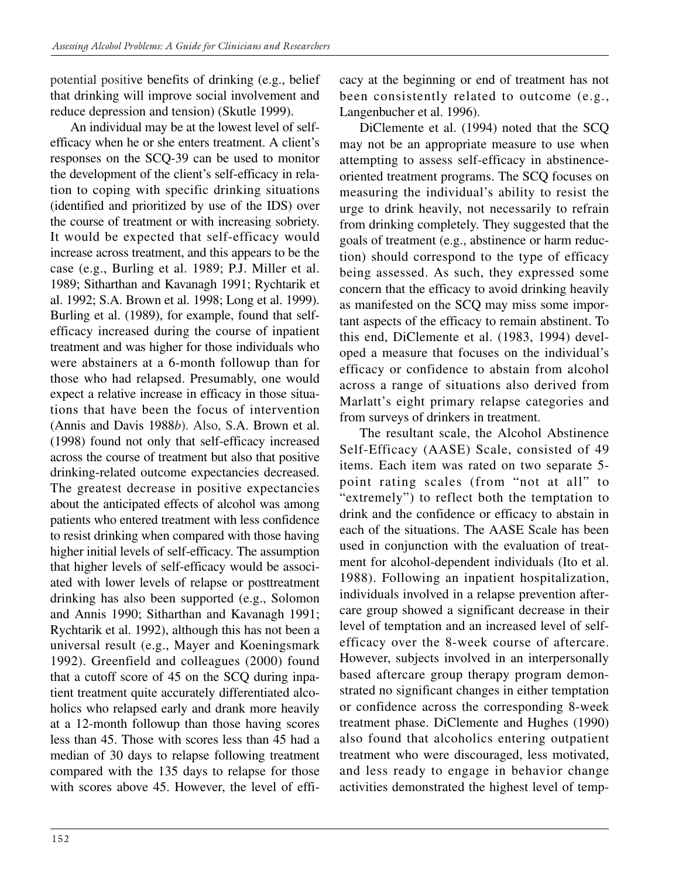potential positive benefits of drinking (e.g., belief that drinking will improve social involvement and reduce depression and tension) (Skutle 1999).

An individual may be at the lowest level of selfefficacy when he or she enters treatment. A client's responses on the SCQ-39 can be used to monitor the development of the client's self-efficacy in relation to coping with specific drinking situations (identified and prioritized by use of the IDS) over the course of treatment or with increasing sobriety. It would be expected that self-efficacy would increase across treatment, and this appears to be the case (e.g., Burling et al. 1989; P.J. Miller et al. 1989; Sitharthan and Kavanagh 1991; Rychtarik et al. 1992; S.A. Brown et al. 1998; Long et al. 1999). Burling et al. (1989), for example, found that selfefficacy increased during the course of inpatient treatment and was higher for those individuals who were abstainers at a 6-month followup than for those who had relapsed. Presumably, one would expect a relative increase in efficacy in those situations that have been the focus of intervention (Annis and Davis 1988*b*). Also, S.A. Brown et al. (1998) found not only that self-efficacy increased across the course of treatment but also that positive drinking-related outcome expectancies decreased. The greatest decrease in positive expectancies about the anticipated effects of alcohol was among patients who entered treatment with less confidence to resist drinking when compared with those having higher initial levels of self-efficacy. The assumption that higher levels of self-efficacy would be associated with lower levels of relapse or posttreatment drinking has also been supported (e.g., Solomon and Annis 1990; Sitharthan and Kavanagh 1991; Rychtarik et al. 1992), although this has not been a universal result (e.g., Mayer and Koeningsmark 1992). Greenfield and colleagues (2000) found that a cutoff score of 45 on the SCQ during inpatient treatment quite accurately differentiated alcoholics who relapsed early and drank more heavily at a 12-month followup than those having scores less than 45. Those with scores less than 45 had a median of 30 days to relapse following treatment compared with the 135 days to relapse for those with scores above 45. However, the level of efficacy at the beginning or end of treatment has not been consistently related to outcome (e.g., Langenbucher et al. 1996).

DiClemente et al. (1994) noted that the SCQ may not be an appropriate measure to use when attempting to assess self-efficacy in abstinenceoriented treatment programs. The SCQ focuses on measuring the individual's ability to resist the urge to drink heavily, not necessarily to refrain from drinking completely. They suggested that the goals of treatment (e.g., abstinence or harm reduction) should correspond to the type of efficacy being assessed. As such, they expressed some concern that the efficacy to avoid drinking heavily as manifested on the SCQ may miss some important aspects of the efficacy to remain abstinent. To this end, DiClemente et al. (1983, 1994) developed a measure that focuses on the individual's efficacy or confidence to abstain from alcohol across a range of situations also derived from Marlatt's eight primary relapse categories and from surveys of drinkers in treatment.

The resultant scale, the Alcohol Abstinence Self-Efficacy (AASE) Scale, consisted of 49 items. Each item was rated on two separate 5 point rating scales (from "not at all" to "extremely") to reflect both the temptation to drink and the confidence or efficacy to abstain in each of the situations. The AASE Scale has been used in conjunction with the evaluation of treatment for alcohol-dependent individuals (Ito et al. 1988). Following an inpatient hospitalization, individuals involved in a relapse prevention aftercare group showed a significant decrease in their level of temptation and an increased level of selfefficacy over the 8-week course of aftercare. However, subjects involved in an interpersonally based aftercare group therapy program demonstrated no significant changes in either temptation or confidence across the corresponding 8-week treatment phase. DiClemente and Hughes (1990) also found that alcoholics entering outpatient treatment who were discouraged, less motivated, and less ready to engage in behavior change activities demonstrated the highest level of temp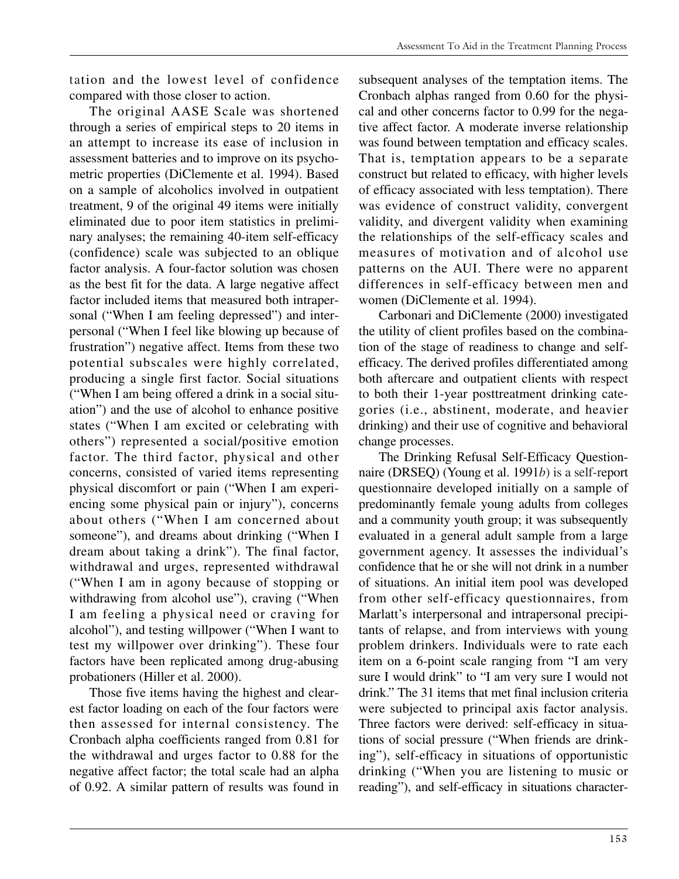tation and the lowest level of confidence compared with those closer to action.

The original AASE Scale was shortened through a series of empirical steps to 20 items in an attempt to increase its ease of inclusion in assessment batteries and to improve on its psychometric properties (DiClemente et al. 1994). Based on a sample of alcoholics involved in outpatient treatment, 9 of the original 49 items were initially eliminated due to poor item statistics in preliminary analyses; the remaining 40-item self-efficacy (confidence) scale was subjected to an oblique factor analysis. A four-factor solution was chosen as the best fit for the data. A large negative affect factor included items that measured both intrapersonal ("When I am feeling depressed") and interpersonal ("When I feel like blowing up because of frustration") negative affect. Items from these two potential subscales were highly correlated, producing a single first factor. Social situations ("When I am being offered a drink in a social situation") and the use of alcohol to enhance positive states ("When I am excited or celebrating with others") represented a social/positive emotion factor. The third factor, physical and other concerns, consisted of varied items representing physical discomfort or pain ("When I am experiencing some physical pain or injury"), concerns about others ("When I am concerned about someone"), and dreams about drinking ("When I dream about taking a drink"). The final factor, withdrawal and urges, represented withdrawal ("When I am in agony because of stopping or withdrawing from alcohol use"), craving ("When I am feeling a physical need or craving for alcohol"), and testing willpower ("When I want to test my willpower over drinking"). These four factors have been replicated among drug-abusing probationers (Hiller et al. 2000).

Those five items having the highest and clearest factor loading on each of the four factors were then assessed for internal consistency. The Cronbach alpha coefficients ranged from 0.81 for the withdrawal and urges factor to 0.88 for the negative affect factor; the total scale had an alpha of 0.92. A similar pattern of results was found in

subsequent analyses of the temptation items. The Cronbach alphas ranged from 0.60 for the physical and other concerns factor to 0.99 for the negative affect factor. A moderate inverse relationship was found between temptation and efficacy scales. That is, temptation appears to be a separate construct but related to efficacy, with higher levels of efficacy associated with less temptation). There was evidence of construct validity, convergent validity, and divergent validity when examining the relationships of the self-efficacy scales and measures of motivation and of alcohol use patterns on the AUI. There were no apparent differences in self-efficacy between men and women (DiClemente et al. 1994).

Carbonari and DiClemente (2000) investigated the utility of client profiles based on the combination of the stage of readiness to change and selfefficacy. The derived profiles differentiated among both aftercare and outpatient clients with respect to both their 1-year posttreatment drinking categories (i.e., abstinent, moderate, and heavier drinking) and their use of cognitive and behavioral change processes.

The Drinking Refusal Self-Efficacy Questionnaire (DRSEQ) (Young et al. 1991*b*) is a self-report questionnaire developed initially on a sample of predominantly female young adults from colleges and a community youth group; it was subsequently evaluated in a general adult sample from a large government agency. It assesses the individual's confidence that he or she will not drink in a number of situations. An initial item pool was developed from other self-efficacy questionnaires, from Marlatt's interpersonal and intrapersonal precipitants of relapse, and from interviews with young problem drinkers. Individuals were to rate each item on a 6-point scale ranging from "I am very sure I would drink" to "I am very sure I would not drink." The 31 items that met final inclusion criteria were subjected to principal axis factor analysis. Three factors were derived: self-efficacy in situations of social pressure ("When friends are drinking"), self-efficacy in situations of opportunistic drinking ("When you are listening to music or reading"), and self-efficacy in situations character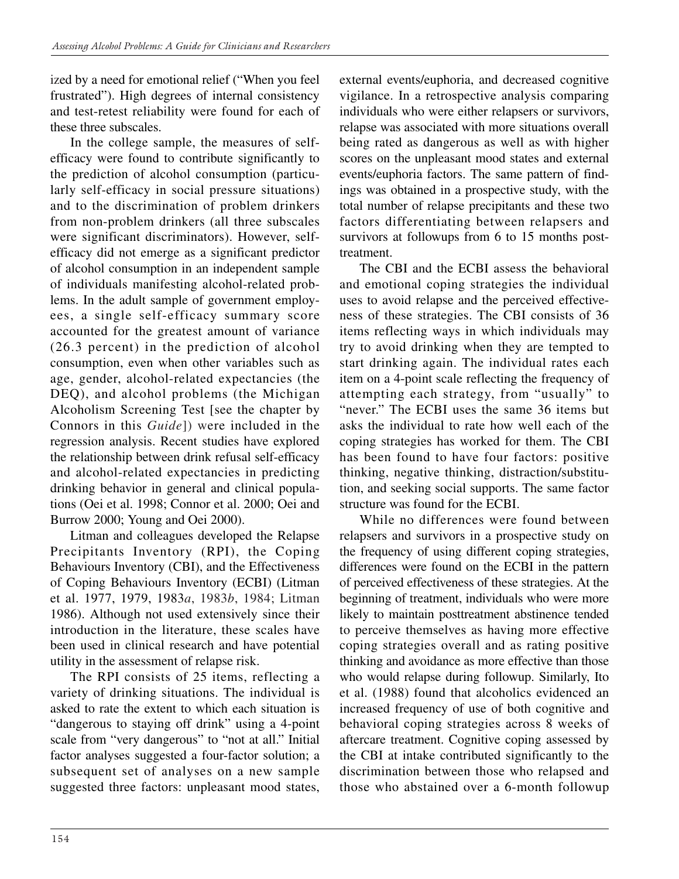ized by a need for emotional relief ("When you feel frustrated"). High degrees of internal consistency and test-retest reliability were found for each of these three subscales.

In the college sample, the measures of selfefficacy were found to contribute significantly to the prediction of alcohol consumption (particularly self-efficacy in social pressure situations) and to the discrimination of problem drinkers from non-problem drinkers (all three subscales were significant discriminators). However, selfefficacy did not emerge as a significant predictor of alcohol consumption in an independent sample of individuals manifesting alcohol-related problems. In the adult sample of government employees, a single self-efficacy summary score accounted for the greatest amount of variance (26.3 percent) in the prediction of alcohol consumption, even when other variables such as age, gender, alcohol-related expectancies (the DEQ), and alcohol problems (the Michigan Alcoholism Screening Test [see the chapter by Connors in this *Guide*]) were included in the regression analysis. Recent studies have explored the relationship between drink refusal self-efficacy and alcohol-related expectancies in predicting drinking behavior in general and clinical populations (Oei et al. 1998; Connor et al. 2000; Oei and Burrow 2000; Young and Oei 2000).

Litman and colleagues developed the Relapse Precipitants Inventory (RPI), the Coping Behaviours Inventory (CBI), and the Effectiveness of Coping Behaviours Inventory (ECBI) (Litman et al. 1977, 1979, 1983*a*, 1983*b*, 1984; Litman 1986). Although not used extensively since their introduction in the literature, these scales have been used in clinical research and have potential utility in the assessment of relapse risk.

The RPI consists of 25 items, reflecting a variety of drinking situations. The individual is asked to rate the extent to which each situation is "dangerous to staying off drink" using a 4-point scale from "very dangerous" to "not at all." Initial factor analyses suggested a four-factor solution; a subsequent set of analyses on a new sample suggested three factors: unpleasant mood states, external events/euphoria, and decreased cognitive vigilance. In a retrospective analysis comparing individuals who were either relapsers or survivors, relapse was associated with more situations overall being rated as dangerous as well as with higher scores on the unpleasant mood states and external events/euphoria factors. The same pattern of findings was obtained in a prospective study, with the total number of relapse precipitants and these two factors differentiating between relapsers and survivors at followups from 6 to 15 months posttreatment.

The CBI and the ECBI assess the behavioral and emotional coping strategies the individual uses to avoid relapse and the perceived effectiveness of these strategies. The CBI consists of 36 items reflecting ways in which individuals may try to avoid drinking when they are tempted to start drinking again. The individual rates each item on a 4-point scale reflecting the frequency of attempting each strategy, from "usually" to "never." The ECBI uses the same 36 items but asks the individual to rate how well each of the coping strategies has worked for them. The CBI has been found to have four factors: positive thinking, negative thinking, distraction/substitution, and seeking social supports. The same factor structure was found for the ECBI.

While no differences were found between relapsers and survivors in a prospective study on the frequency of using different coping strategies, differences were found on the ECBI in the pattern of perceived effectiveness of these strategies. At the beginning of treatment, individuals who were more likely to maintain posttreatment abstinence tended to perceive themselves as having more effective coping strategies overall and as rating positive thinking and avoidance as more effective than those who would relapse during followup. Similarly, Ito et al. (1988) found that alcoholics evidenced an increased frequency of use of both cognitive and behavioral coping strategies across 8 weeks of aftercare treatment. Cognitive coping assessed by the CBI at intake contributed significantly to the discrimination between those who relapsed and those who abstained over a 6-month followup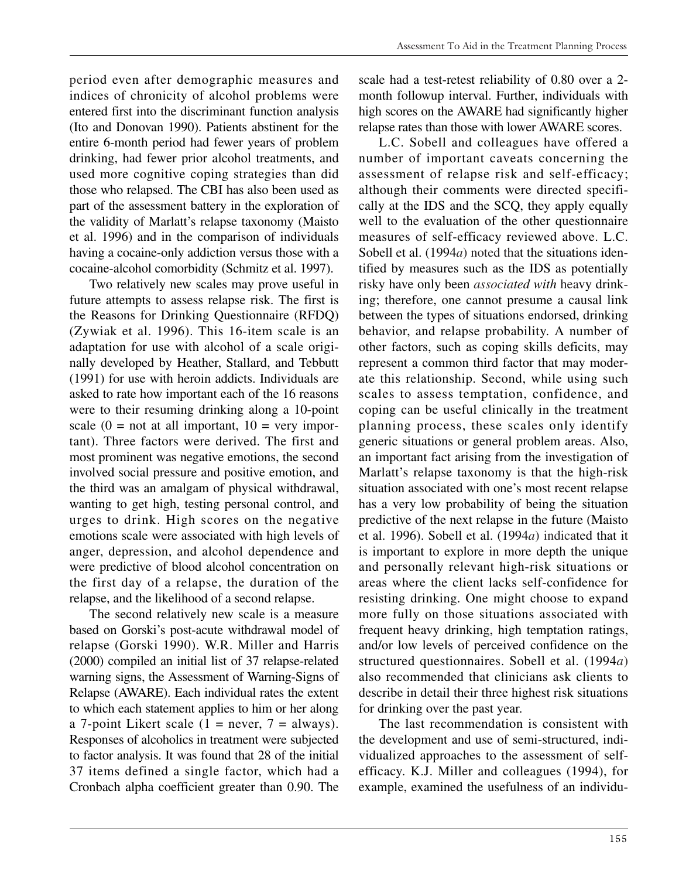period even after demographic measures and indices of chronicity of alcohol problems were entered first into the discriminant function analysis (Ito and Donovan 1990). Patients abstinent for the entire 6-month period had fewer years of problem drinking, had fewer prior alcohol treatments, and used more cognitive coping strategies than did those who relapsed. The CBI has also been used as part of the assessment battery in the exploration of the validity of Marlatt's relapse taxonomy (Maisto et al. 1996) and in the comparison of individuals having a cocaine-only addiction versus those with a cocaine-alcohol comorbidity (Schmitz et al. 1997).

Two relatively new scales may prove useful in future attempts to assess relapse risk. The first is the Reasons for Drinking Questionnaire (RFDQ) (Zywiak et al. 1996). This 16-item scale is an adaptation for use with alcohol of a scale originally developed by Heather, Stallard, and Tebbutt (1991) for use with heroin addicts. Individuals are asked to rate how important each of the 16 reasons were to their resuming drinking along a 10-point scale  $(0 = not at all important, 10 = very import)$ tant). Three factors were derived. The first and most prominent was negative emotions, the second involved social pressure and positive emotion, and the third was an amalgam of physical withdrawal, wanting to get high, testing personal control, and urges to drink. High scores on the negative emotions scale were associated with high levels of anger, depression, and alcohol dependence and were predictive of blood alcohol concentration on the first day of a relapse, the duration of the relapse, and the likelihood of a second relapse.

The second relatively new scale is a measure based on Gorski's post-acute withdrawal model of relapse (Gorski 1990). W.R. Miller and Harris (2000) compiled an initial list of 37 relapse-related warning signs, the Assessment of Warning-Signs of Relapse (AWARE). Each individual rates the extent to which each statement applies to him or her along a 7-point Likert scale  $(1 = never, 7 = always)$ . Responses of alcoholics in treatment were subjected to factor analysis. It was found that 28 of the initial 37 items defined a single factor, which had a Cronbach alpha coefficient greater than 0.90. The

scale had a test-retest reliability of 0.80 over a 2 month followup interval. Further, individuals with high scores on the AWARE had significantly higher relapse rates than those with lower AWARE scores.

L.C. Sobell and colleagues have offered a number of important caveats concerning the assessment of relapse risk and self-efficacy; although their comments were directed specifically at the IDS and the SCQ, they apply equally well to the evaluation of the other questionnaire measures of self-efficacy reviewed above. L.C. Sobell et al. (1994*a*) noted that the situations identified by measures such as the IDS as potentially risky have only been *associated with* heavy drinking; therefore, one cannot presume a causal link between the types of situations endorsed, drinking behavior, and relapse probability. A number of other factors, such as coping skills deficits, may represent a common third factor that may moderate this relationship. Second, while using such scales to assess temptation, confidence, and coping can be useful clinically in the treatment planning process, these scales only identify generic situations or general problem areas. Also, an important fact arising from the investigation of Marlatt's relapse taxonomy is that the high-risk situation associated with one's most recent relapse has a very low probability of being the situation predictive of the next relapse in the future (Maisto et al. 1996). Sobell et al. (1994*a*) indicated that it is important to explore in more depth the unique and personally relevant high-risk situations or areas where the client lacks self-confidence for resisting drinking. One might choose to expand more fully on those situations associated with frequent heavy drinking, high temptation ratings, and/or low levels of perceived confidence on the structured questionnaires. Sobell et al. (1994*a*) also recommended that clinicians ask clients to describe in detail their three highest risk situations for drinking over the past year.

The last recommendation is consistent with the development and use of semi-structured, individualized approaches to the assessment of selfefficacy. K.J. Miller and colleagues (1994), for example, examined the usefulness of an individu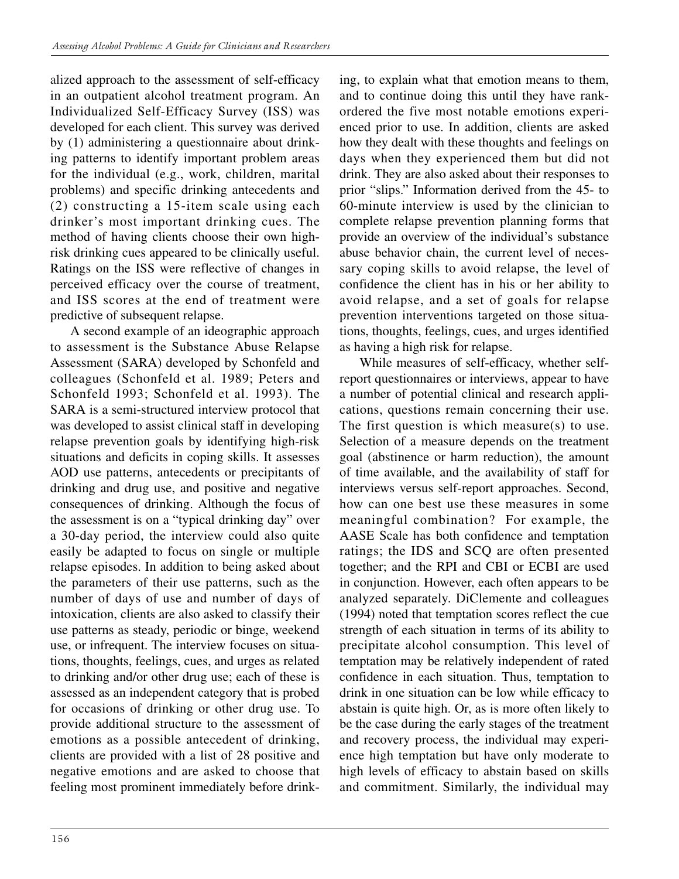alized approach to the assessment of self-efficacy in an outpatient alcohol treatment program. An Individualized Self-Efficacy Survey (ISS) was developed for each client. This survey was derived by (1) administering a questionnaire about drinking patterns to identify important problem areas for the individual (e.g., work, children, marital problems) and specific drinking antecedents and (2) constructing a 15-item scale using each drinker's most important drinking cues. The method of having clients choose their own highrisk drinking cues appeared to be clinically useful. Ratings on the ISS were reflective of changes in perceived efficacy over the course of treatment, and ISS scores at the end of treatment were predictive of subsequent relapse.

A second example of an ideographic approach to assessment is the Substance Abuse Relapse Assessment (SARA) developed by Schonfeld and colleagues (Schonfeld et al. 1989; Peters and Schonfeld 1993; Schonfeld et al. 1993). The SARA is a semi-structured interview protocol that was developed to assist clinical staff in developing relapse prevention goals by identifying high-risk situations and deficits in coping skills. It assesses AOD use patterns, antecedents or precipitants of drinking and drug use, and positive and negative consequences of drinking. Although the focus of the assessment is on a "typical drinking day" over a 30-day period, the interview could also quite easily be adapted to focus on single or multiple relapse episodes. In addition to being asked about the parameters of their use patterns, such as the number of days of use and number of days of intoxication, clients are also asked to classify their use patterns as steady, periodic or binge, weekend use, or infrequent. The interview focuses on situations, thoughts, feelings, cues, and urges as related to drinking and/or other drug use; each of these is assessed as an independent category that is probed for occasions of drinking or other drug use. To provide additional structure to the assessment of emotions as a possible antecedent of drinking, clients are provided with a list of 28 positive and negative emotions and are asked to choose that feeling most prominent immediately before drinking, to explain what that emotion means to them, and to continue doing this until they have rankordered the five most notable emotions experienced prior to use. In addition, clients are asked how they dealt with these thoughts and feelings on days when they experienced them but did not drink. They are also asked about their responses to prior "slips." Information derived from the 45- to 60-minute interview is used by the clinician to complete relapse prevention planning forms that provide an overview of the individual's substance abuse behavior chain, the current level of necessary coping skills to avoid relapse, the level of confidence the client has in his or her ability to avoid relapse, and a set of goals for relapse prevention interventions targeted on those situations, thoughts, feelings, cues, and urges identified as having a high risk for relapse.

While measures of self-efficacy, whether selfreport questionnaires or interviews, appear to have a number of potential clinical and research applications, questions remain concerning their use. The first question is which measure(s) to use. Selection of a measure depends on the treatment goal (abstinence or harm reduction), the amount of time available, and the availability of staff for interviews versus self-report approaches. Second, how can one best use these measures in some meaningful combination? For example, the AASE Scale has both confidence and temptation ratings; the IDS and SCQ are often presented together; and the RPI and CBI or ECBI are used in conjunction. However, each often appears to be analyzed separately. DiClemente and colleagues (1994) noted that temptation scores reflect the cue strength of each situation in terms of its ability to precipitate alcohol consumption. This level of temptation may be relatively independent of rated confidence in each situation. Thus, temptation to drink in one situation can be low while efficacy to abstain is quite high. Or, as is more often likely to be the case during the early stages of the treatment and recovery process, the individual may experience high temptation but have only moderate to high levels of efficacy to abstain based on skills and commitment. Similarly, the individual may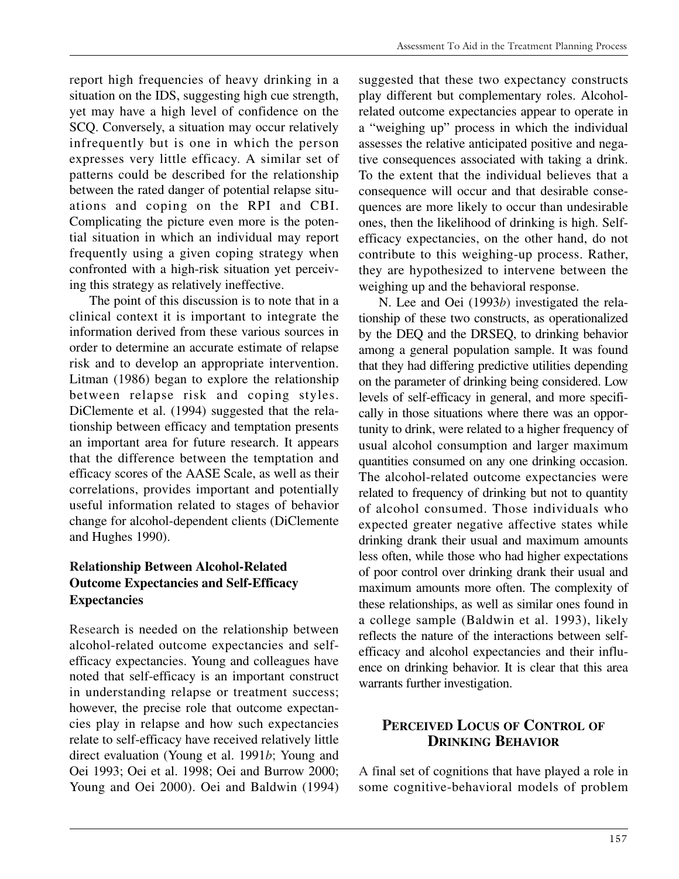report high frequencies of heavy drinking in a situation on the IDS, suggesting high cue strength, yet may have a high level of confidence on the SCQ. Conversely, a situation may occur relatively infrequently but is one in which the person expresses very little efficacy. A similar set of patterns could be described for the relationship between the rated danger of potential relapse situations and coping on the RPI and CBI. Complicating the picture even more is the potential situation in which an individual may report frequently using a given coping strategy when confronted with a high-risk situation yet perceiving this strategy as relatively ineffective.

The point of this discussion is to note that in a clinical context it is important to integrate the information derived from these various sources in order to determine an accurate estimate of relapse risk and to develop an appropriate intervention. Litman (1986) began to explore the relationship between relapse risk and coping styles. DiClemente et al. (1994) suggested that the relationship between efficacy and temptation presents an important area for future research. It appears that the difference between the temptation and efficacy scores of the AASE Scale, as well as their correlations, provides important and potentially useful information related to stages of behavior change for alcohol-dependent clients (DiClemente and Hughes 1990).

### **Relationship Between Alcohol-Related Outcome Expectancies and Self-Efficacy Expectancies**

Research is needed on the relationship between alcohol-related outcome expectancies and selfefficacy expectancies. Young and colleagues have noted that self-efficacy is an important construct in understanding relapse or treatment success; however, the precise role that outcome expectancies play in relapse and how such expectancies relate to self-efficacy have received relatively little direct evaluation (Young et al. 1991*b*; Young and Oei 1993; Oei et al. 1998; Oei and Burrow 2000; Young and Oei 2000). Oei and Baldwin (1994)

suggested that these two expectancy constructs play different but complementary roles. Alcoholrelated outcome expectancies appear to operate in a "weighing up" process in which the individual assesses the relative anticipated positive and negative consequences associated with taking a drink. To the extent that the individual believes that a consequence will occur and that desirable consequences are more likely to occur than undesirable ones, then the likelihood of drinking is high. Selfefficacy expectancies, on the other hand, do not contribute to this weighing-up process. Rather, they are hypothesized to intervene between the weighing up and the behavioral response.

N. Lee and Oei (1993*b*) investigated the relationship of these two constructs, as operationalized by the DEQ and the DRSEQ, to drinking behavior among a general population sample. It was found that they had differing predictive utilities depending on the parameter of drinking being considered. Low levels of self-efficacy in general, and more specifically in those situations where there was an opportunity to drink, were related to a higher frequency of usual alcohol consumption and larger maximum quantities consumed on any one drinking occasion. The alcohol-related outcome expectancies were related to frequency of drinking but not to quantity of alcohol consumed. Those individuals who expected greater negative affective states while drinking drank their usual and maximum amounts less often, while those who had higher expectations of poor control over drinking drank their usual and maximum amounts more often. The complexity of these relationships, as well as similar ones found in a college sample (Baldwin et al. 1993), likely reflects the nature of the interactions between selfefficacy and alcohol expectancies and their influence on drinking behavior. It is clear that this area warrants further investigation.

## **PERCEIVED LOCUS OF CONTROL OF DRINKING BEHAVIOR**

A final set of cognitions that have played a role in some cognitive-behavioral models of problem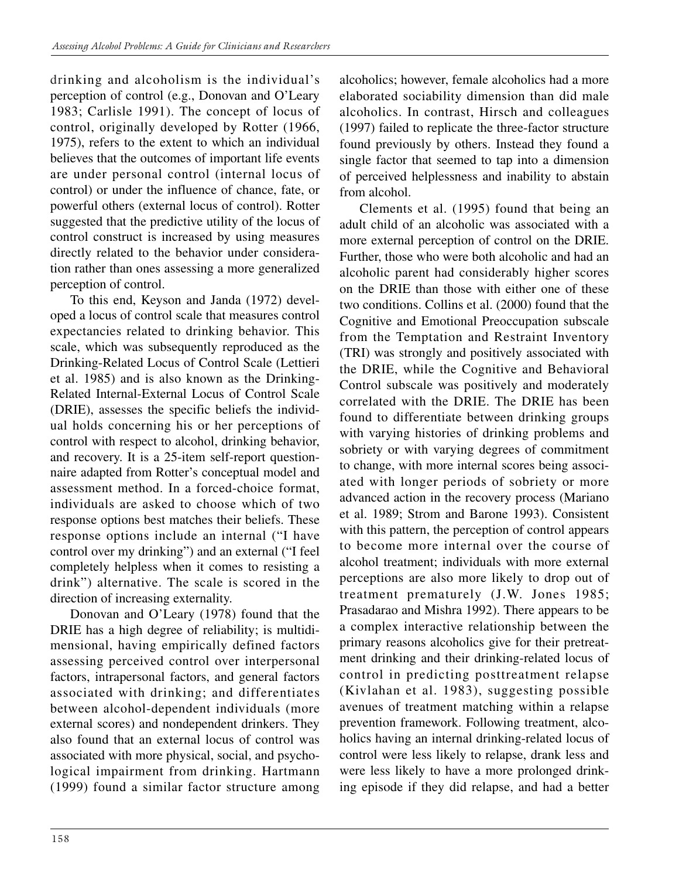drinking and alcoholism is the individual's perception of control (e.g., Donovan and O'Leary 1983; Carlisle 1991). The concept of locus of control, originally developed by Rotter (1966, 1975), refers to the extent to which an individual believes that the outcomes of important life events are under personal control (internal locus of control) or under the influence of chance, fate, or powerful others (external locus of control). Rotter suggested that the predictive utility of the locus of control construct is increased by using measures directly related to the behavior under consideration rather than ones assessing a more generalized perception of control.

To this end, Keyson and Janda (1972) developed a locus of control scale that measures control expectancies related to drinking behavior. This scale, which was subsequently reproduced as the Drinking-Related Locus of Control Scale (Lettieri et al. 1985) and is also known as the Drinking-Related Internal-External Locus of Control Scale (DRIE), assesses the specific beliefs the individual holds concerning his or her perceptions of control with respect to alcohol, drinking behavior, and recovery. It is a 25-item self-report questionnaire adapted from Rotter's conceptual model and assessment method. In a forced-choice format, individuals are asked to choose which of two response options best matches their beliefs. These response options include an internal ("I have control over my drinking") and an external ("I feel completely helpless when it comes to resisting a drink") alternative. The scale is scored in the direction of increasing externality.

Donovan and O'Leary (1978) found that the DRIE has a high degree of reliability; is multidimensional, having empirically defined factors assessing perceived control over interpersonal factors, intrapersonal factors, and general factors associated with drinking; and differentiates between alcohol-dependent individuals (more external scores) and nondependent drinkers. They also found that an external locus of control was associated with more physical, social, and psychological impairment from drinking. Hartmann (1999) found a similar factor structure among alcoholics; however, female alcoholics had a more elaborated sociability dimension than did male alcoholics. In contrast, Hirsch and colleagues (1997) failed to replicate the three-factor structure found previously by others. Instead they found a single factor that seemed to tap into a dimension of perceived helplessness and inability to abstain from alcohol.

Clements et al. (1995) found that being an adult child of an alcoholic was associated with a more external perception of control on the DRIE. Further, those who were both alcoholic and had an alcoholic parent had considerably higher scores on the DRIE than those with either one of these two conditions. Collins et al. (2000) found that the Cognitive and Emotional Preoccupation subscale from the Temptation and Restraint Inventory (TRI) was strongly and positively associated with the DRIE, while the Cognitive and Behavioral Control subscale was positively and moderately correlated with the DRIE. The DRIE has been found to differentiate between drinking groups with varying histories of drinking problems and sobriety or with varying degrees of commitment to change, with more internal scores being associated with longer periods of sobriety or more advanced action in the recovery process (Mariano et al. 1989; Strom and Barone 1993). Consistent with this pattern, the perception of control appears to become more internal over the course of alcohol treatment; individuals with more external perceptions are also more likely to drop out of treatment prematurely (J.W. Jones 1985; Prasadarao and Mishra 1992). There appears to be a complex interactive relationship between the primary reasons alcoholics give for their pretreatment drinking and their drinking-related locus of control in predicting posttreatment relapse (Kivlahan et al. 1983), suggesting possible avenues of treatment matching within a relapse prevention framework. Following treatment, alcoholics having an internal drinking-related locus of control were less likely to relapse, drank less and were less likely to have a more prolonged drinking episode if they did relapse, and had a better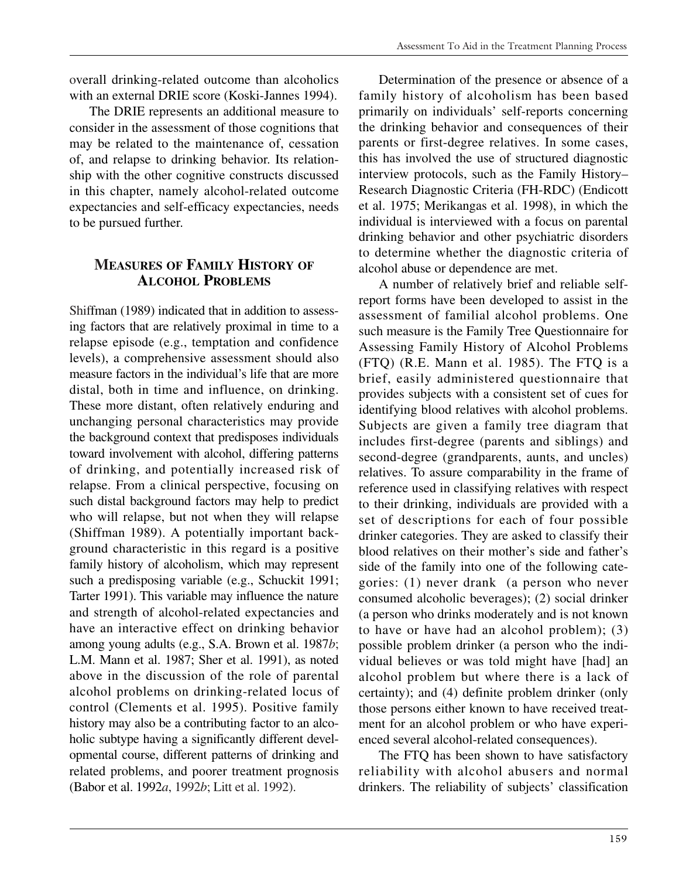overall drinking-related outcome than alcoholics with an external DRIE score (Koski-Jannes 1994).

The DRIE represents an additional measure to consider in the assessment of those cognitions that may be related to the maintenance of, cessation of, and relapse to drinking behavior. Its relationship with the other cognitive constructs discussed in this chapter, namely alcohol-related outcome expectancies and self-efficacy expectancies, needs to be pursued further.

#### **MEASURES OF FAMILY HISTORY OF ALCOHOL PROBLEMS**

Shiffman (1989) indicated that in addition to assessing factors that are relatively proximal in time to a relapse episode (e.g., temptation and confidence levels), a comprehensive assessment should also measure factors in the individual's life that are more distal, both in time and influence, on drinking. These more distant, often relatively enduring and unchanging personal characteristics may provide the background context that predisposes individuals toward involvement with alcohol, differing patterns of drinking, and potentially increased risk of relapse. From a clinical perspective, focusing on such distal background factors may help to predict who will relapse, but not when they will relapse (Shiffman 1989). A potentially important background characteristic in this regard is a positive family history of alcoholism, which may represent such a predisposing variable (e.g., Schuckit 1991; Tarter 1991). This variable may influence the nature and strength of alcohol-related expectancies and have an interactive effect on drinking behavior among young adults (e.g., S.A. Brown et al. 1987*b*; L.M. Mann et al. 1987; Sher et al. 1991), as noted above in the discussion of the role of parental alcohol problems on drinking-related locus of control (Clements et al. 1995). Positive family history may also be a contributing factor to an alcoholic subtype having a significantly different developmental course, different patterns of drinking and related problems, and poorer treatment prognosis (Babor et al. 1992*a*, 1992*b*; Litt et al. 1992).

Determination of the presence or absence of a family history of alcoholism has been based primarily on individuals' self-reports concerning the drinking behavior and consequences of their parents or first-degree relatives. In some cases, this has involved the use of structured diagnostic interview protocols, such as the Family History– Research Diagnostic Criteria (FH-RDC) (Endicott et al. 1975; Merikangas et al. 1998), in which the individual is interviewed with a focus on parental drinking behavior and other psychiatric disorders to determine whether the diagnostic criteria of alcohol abuse or dependence are met.

A number of relatively brief and reliable selfreport forms have been developed to assist in the assessment of familial alcohol problems. One such measure is the Family Tree Questionnaire for Assessing Family History of Alcohol Problems (FTQ) (R.E. Mann et al. 1985). The FTQ is a brief, easily administered questionnaire that provides subjects with a consistent set of cues for identifying blood relatives with alcohol problems. Subjects are given a family tree diagram that includes first-degree (parents and siblings) and second-degree (grandparents, aunts, and uncles) relatives. To assure comparability in the frame of reference used in classifying relatives with respect to their drinking, individuals are provided with a set of descriptions for each of four possible drinker categories. They are asked to classify their blood relatives on their mother's side and father's side of the family into one of the following categories: (1) never drank (a person who never consumed alcoholic beverages); (2) social drinker (a person who drinks moderately and is not known to have or have had an alcohol problem); (3) possible problem drinker (a person who the individual believes or was told might have [had] an alcohol problem but where there is a lack of certainty); and (4) definite problem drinker (only those persons either known to have received treatment for an alcohol problem or who have experienced several alcohol-related consequences).

The FTQ has been shown to have satisfactory reliability with alcohol abusers and normal drinkers. The reliability of subjects' classification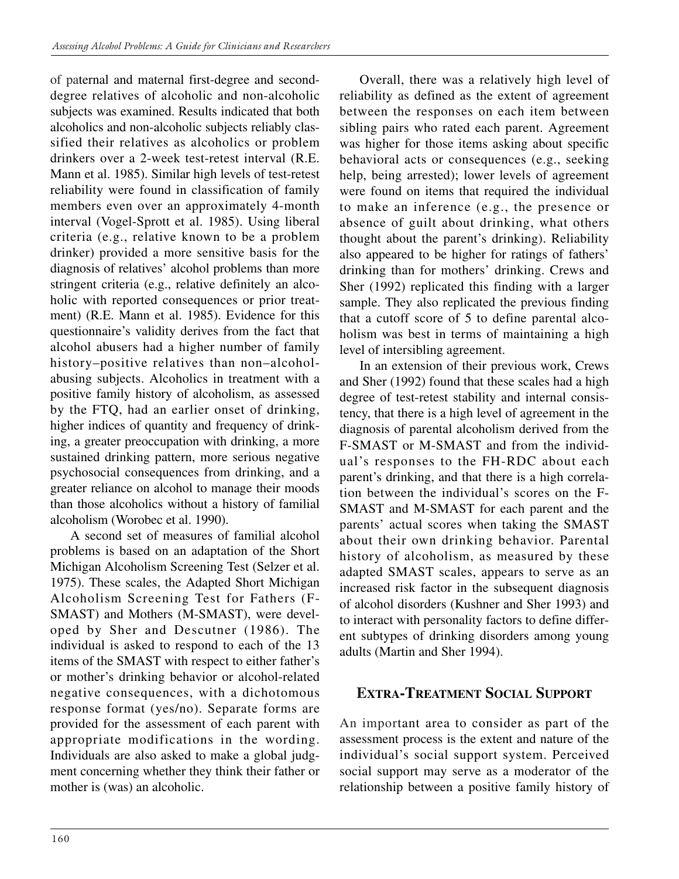of paternal and maternal first-degree and seconddegree relatives of alcoholic and non-alcoholic subjects was examined. Results indicated that both alcoholics and non-alcoholic subjects reliably classified their relatives as alcoholics or problem drinkers over a 2-week test-retest interval (R.E. Mann et al. 1985). Similar high levels of test-retest reliability were found in classification of family members even over an approximately 4-month interval (Vogel-Sprott et al. 1985). Using liberal criteria (e.g., relative known to be a problem drinker) provided a more sensitive basis for the diagnosis of relatives' alcohol problems than more stringent criteria (e.g., relative definitely an alcoholic with reported consequences or prior treatment) (R.E. Mann et al. 1985). Evidence for this questionnaire's validity derives from the fact that alcohol abusers had a higher number of family history–positive relatives than non–alcoholabusing subjects. Alcoholics in treatment with a positive family history of alcoholism, as assessed by the FTQ, had an earlier onset of drinking, higher indices of quantity and frequency of drinking, a greater preoccupation with drinking, a more sustained drinking pattern, more serious negative psychosocial consequences from drinking, and a greater reliance on alcohol to manage their moods than those alcoholics without a history of familial alcoholism (Worobec et al. 1990).

A second set of measures of familial alcohol problems is based on an adaptation of the Short Michigan Alcoholism Screening Test (Selzer et al. 1975). These scales, the Adapted Short Michigan Alcoholism Screening Test for Fathers (F-SMAST) and Mothers (M-SMAST), were developed by Sher and Descutner (1986). The individual is asked to respond to each of the 13 items of the SMAST with respect to either father's or mother's drinking behavior or alcohol-related negative consequences, with a dichotomous response format (yes/no). Separate forms are provided for the assessment of each parent with appropriate modifications in the wording. Individuals are also asked to make a global judgment concerning whether they think their father or mother is (was) an alcoholic.

Overall, there was a relatively high level of reliability as defined as the extent of agreement between the responses on each item between sibling pairs who rated each parent. Agreement was higher for those items asking about specific behavioral acts or consequences (e.g., seeking help, being arrested); lower levels of agreement were found on items that required the individual to make an inference (e.g., the presence or absence of guilt about drinking, what others thought about the parent's drinking). Reliability also appeared to be higher for ratings of fathers' drinking than for mothers' drinking. Crews and Sher (1992) replicated this finding with a larger sample. They also replicated the previous finding that a cutoff score of 5 to define parental alcoholism was best in terms of maintaining a high level of intersibling agreement.

In an extension of their previous work, Crews and Sher (1992) found that these scales had a high degree of test-retest stability and internal consistency, that there is a high level of agreement in the diagnosis of parental alcoholism derived from the F-SMAST or M-SMAST and from the individual's responses to the FH-RDC about each parent's drinking, and that there is a high correlation between the individual's scores on the F-SMAST and M-SMAST for each parent and the parents' actual scores when taking the SMAST about their own drinking behavior. Parental history of alcoholism, as measured by these adapted SMAST scales, appears to serve as an increased risk factor in the subsequent diagnosis of alcohol disorders (Kushner and Sher 1993) and to interact with personality factors to define different subtypes of drinking disorders among young adults (Martin and Sher 1994).

## **EXTRA-TREATMENT SOCIAL SUPPORT**

An important area to consider as part of the assessment process is the extent and nature of the individual's social support system. Perceived social support may serve as a moderator of the relationship between a positive family history of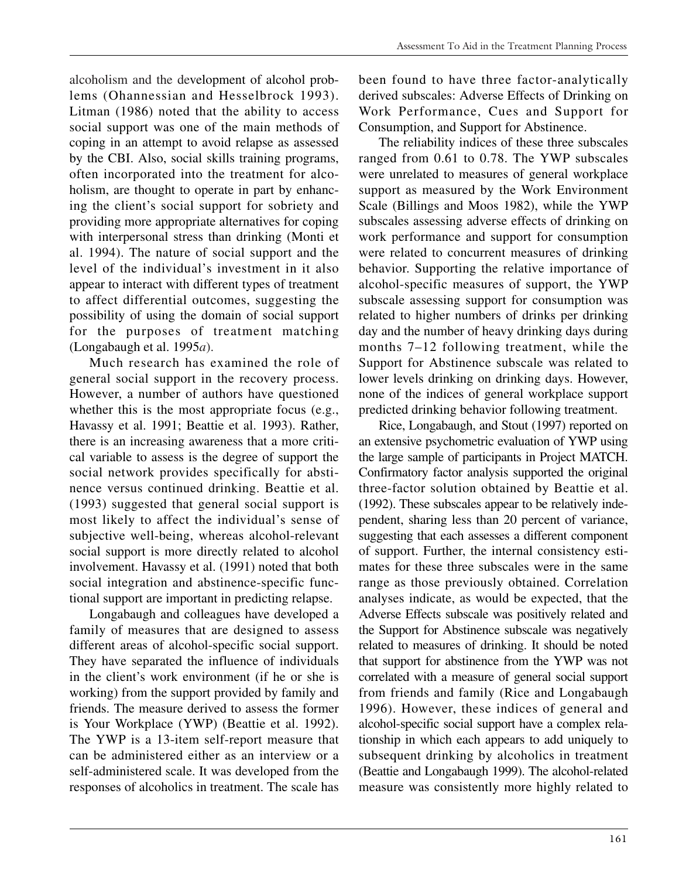alcoholism and the development of alcohol problems (Ohannessian and Hesselbrock 1993). Litman (1986) noted that the ability to access social support was one of the main methods of coping in an attempt to avoid relapse as assessed by the CBI. Also, social skills training programs, often incorporated into the treatment for alcoholism, are thought to operate in part by enhancing the client's social support for sobriety and providing more appropriate alternatives for coping with interpersonal stress than drinking (Monti et al. 1994). The nature of social support and the level of the individual's investment in it also appear to interact with different types of treatment to affect differential outcomes, suggesting the possibility of using the domain of social support for the purposes of treatment matching (Longabaugh et al. 1995*a*).

Much research has examined the role of general social support in the recovery process. However, a number of authors have questioned whether this is the most appropriate focus (e.g., Havassy et al. 1991; Beattie et al. 1993). Rather, there is an increasing awareness that a more critical variable to assess is the degree of support the social network provides specifically for abstinence versus continued drinking. Beattie et al. (1993) suggested that general social support is most likely to affect the individual's sense of subjective well-being, whereas alcohol-relevant social support is more directly related to alcohol involvement. Havassy et al. (1991) noted that both social integration and abstinence-specific functional support are important in predicting relapse.

Longabaugh and colleagues have developed a family of measures that are designed to assess different areas of alcohol-specific social support. They have separated the influence of individuals in the client's work environment (if he or she is working) from the support provided by family and friends. The measure derived to assess the former is Your Workplace (YWP) (Beattie et al. 1992). The YWP is a 13-item self-report measure that can be administered either as an interview or a self-administered scale. It was developed from the responses of alcoholics in treatment. The scale has

been found to have three factor-analytically derived subscales: Adverse Effects of Drinking on Work Performance, Cues and Support for Consumption, and Support for Abstinence.

The reliability indices of these three subscales ranged from 0.61 to 0.78. The YWP subscales were unrelated to measures of general workplace support as measured by the Work Environment Scale (Billings and Moos 1982), while the YWP subscales assessing adverse effects of drinking on work performance and support for consumption were related to concurrent measures of drinking behavior. Supporting the relative importance of alcohol-specific measures of support, the YWP subscale assessing support for consumption was related to higher numbers of drinks per drinking day and the number of heavy drinking days during months 7–12 following treatment, while the Support for Abstinence subscale was related to lower levels drinking on drinking days. However, none of the indices of general workplace support predicted drinking behavior following treatment.

Rice, Longabaugh, and Stout (1997) reported on an extensive psychometric evaluation of YWP using the large sample of participants in Project MATCH. Confirmatory factor analysis supported the original three-factor solution obtained by Beattie et al. (1992). These subscales appear to be relatively independent, sharing less than 20 percent of variance, suggesting that each assesses a different component of support. Further, the internal consistency estimates for these three subscales were in the same range as those previously obtained. Correlation analyses indicate, as would be expected, that the Adverse Effects subscale was positively related and the Support for Abstinence subscale was negatively related to measures of drinking. It should be noted that support for abstinence from the YWP was not correlated with a measure of general social support from friends and family (Rice and Longabaugh 1996). However, these indices of general and alcohol-specific social support have a complex relationship in which each appears to add uniquely to subsequent drinking by alcoholics in treatment (Beattie and Longabaugh 1999). The alcohol-related measure was consistently more highly related to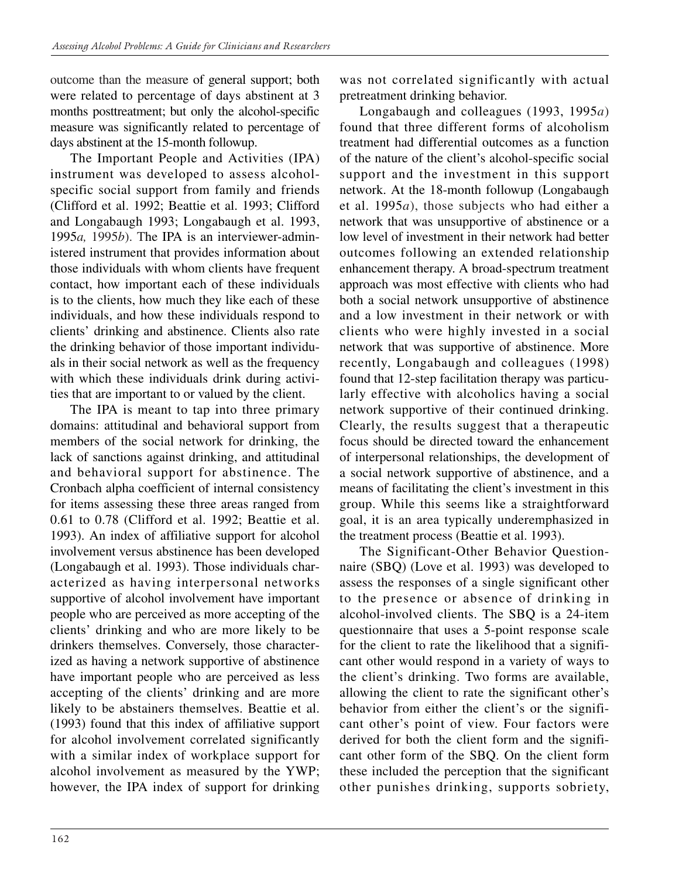outcome than the measure of general support; both were related to percentage of days abstinent at 3 months posttreatment; but only the alcohol-specific measure was significantly related to percentage of days abstinent at the 15-month followup.

The Important People and Activities (IPA) instrument was developed to assess alcoholspecific social support from family and friends (Clifford et al. 1992; Beattie et al. 1993; Clifford and Longabaugh 1993; Longabaugh et al. 1993, 1995*a,* 1995*b*). The IPA is an interviewer-administered instrument that provides information about those individuals with whom clients have frequent contact, how important each of these individuals is to the clients, how much they like each of these individuals, and how these individuals respond to clients' drinking and abstinence. Clients also rate the drinking behavior of those important individuals in their social network as well as the frequency with which these individuals drink during activities that are important to or valued by the client.

The IPA is meant to tap into three primary domains: attitudinal and behavioral support from members of the social network for drinking, the lack of sanctions against drinking, and attitudinal and behavioral support for abstinence. The Cronbach alpha coefficient of internal consistency for items assessing these three areas ranged from 0.61 to 0.78 (Clifford et al. 1992; Beattie et al. 1993). An index of affiliative support for alcohol involvement versus abstinence has been developed (Longabaugh et al. 1993). Those individuals characterized as having interpersonal networks supportive of alcohol involvement have important people who are perceived as more accepting of the clients' drinking and who are more likely to be drinkers themselves. Conversely, those characterized as having a network supportive of abstinence have important people who are perceived as less accepting of the clients' drinking and are more likely to be abstainers themselves. Beattie et al. (1993) found that this index of affiliative support for alcohol involvement correlated significantly with a similar index of workplace support for alcohol involvement as measured by the YWP; however, the IPA index of support for drinking was not correlated significantly with actual pretreatment drinking behavior.

Longabaugh and colleagues (1993, 1995*a*) found that three different forms of alcoholism treatment had differential outcomes as a function of the nature of the client's alcohol-specific social support and the investment in this support network. At the 18-month followup (Longabaugh et al. 1995*a*), those subjects who had either a network that was unsupportive of abstinence or a low level of investment in their network had better outcomes following an extended relationship enhancement therapy. A broad-spectrum treatment approach was most effective with clients who had both a social network unsupportive of abstinence and a low investment in their network or with clients who were highly invested in a social network that was supportive of abstinence. More recently, Longabaugh and colleagues (1998) found that 12-step facilitation therapy was particularly effective with alcoholics having a social network supportive of their continued drinking. Clearly, the results suggest that a therapeutic focus should be directed toward the enhancement of interpersonal relationships, the development of a social network supportive of abstinence, and a means of facilitating the client's investment in this group. While this seems like a straightforward goal, it is an area typically underemphasized in the treatment process (Beattie et al. 1993).

The Significant-Other Behavior Questionnaire (SBQ) (Love et al. 1993) was developed to assess the responses of a single significant other to the presence or absence of drinking in alcohol-involved clients. The SBQ is a 24-item questionnaire that uses a 5-point response scale for the client to rate the likelihood that a significant other would respond in a variety of ways to the client's drinking. Two forms are available, allowing the client to rate the significant other's behavior from either the client's or the significant other's point of view. Four factors were derived for both the client form and the significant other form of the SBQ. On the client form these included the perception that the significant other punishes drinking, supports sobriety,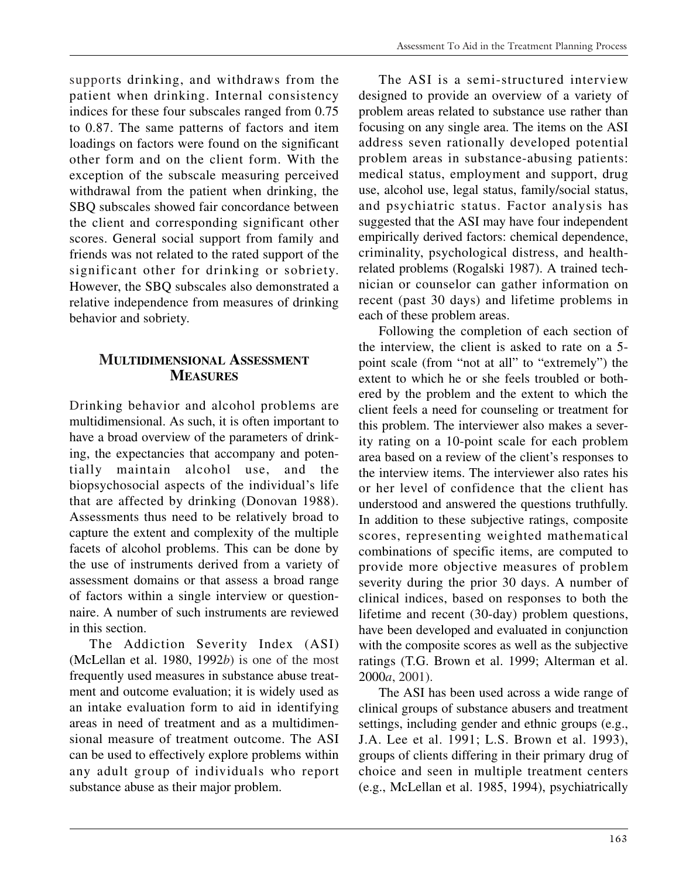supports drinking, and withdraws from the patient when drinking. Internal consistency indices for these four subscales ranged from 0.75 to 0.87. The same patterns of factors and item loadings on factors were found on the significant other form and on the client form. With the exception of the subscale measuring perceived withdrawal from the patient when drinking, the SBQ subscales showed fair concordance between the client and corresponding significant other scores. General social support from family and friends was not related to the rated support of the significant other for drinking or sobriety. However, the SBQ subscales also demonstrated a relative independence from measures of drinking behavior and sobriety.

### **MULTIDIMENSIONAL ASSESSMENT MEASURES**

Drinking behavior and alcohol problems are multidimensional. As such, it is often important to have a broad overview of the parameters of drinking, the expectancies that accompany and potentially maintain alcohol use, and the biopsychosocial aspects of the individual's life that are affected by drinking (Donovan 1988). Assessments thus need to be relatively broad to capture the extent and complexity of the multiple facets of alcohol problems. This can be done by the use of instruments derived from a variety of assessment domains or that assess a broad range of factors within a single interview or questionnaire. A number of such instruments are reviewed in this section.

The Addiction Severity Index (ASI) (McLellan et al. 1980, 1992*b*) is one of the most frequently used measures in substance abuse treatment and outcome evaluation; it is widely used as an intake evaluation form to aid in identifying areas in need of treatment and as a multidimensional measure of treatment outcome. The ASI can be used to effectively explore problems within any adult group of individuals who report substance abuse as their major problem.

The ASI is a semi-structured interview designed to provide an overview of a variety of problem areas related to substance use rather than focusing on any single area. The items on the ASI address seven rationally developed potential problem areas in substance-abusing patients: medical status, employment and support, drug use, alcohol use, legal status, family/social status, and psychiatric status. Factor analysis has suggested that the ASI may have four independent empirically derived factors: chemical dependence, criminality, psychological distress, and healthrelated problems (Rogalski 1987). A trained technician or counselor can gather information on recent (past 30 days) and lifetime problems in each of these problem areas.

Following the completion of each section of the interview, the client is asked to rate on a 5 point scale (from "not at all" to "extremely") the extent to which he or she feels troubled or bothered by the problem and the extent to which the client feels a need for counseling or treatment for this problem. The interviewer also makes a severity rating on a 10-point scale for each problem area based on a review of the client's responses to the interview items. The interviewer also rates his or her level of confidence that the client has understood and answered the questions truthfully. In addition to these subjective ratings, composite scores, representing weighted mathematical combinations of specific items, are computed to provide more objective measures of problem severity during the prior 30 days. A number of clinical indices, based on responses to both the lifetime and recent (30-day) problem questions, have been developed and evaluated in conjunction with the composite scores as well as the subjective ratings (T.G. Brown et al. 1999; Alterman et al. 2000*a*, 2001).

The ASI has been used across a wide range of clinical groups of substance abusers and treatment settings, including gender and ethnic groups (e.g., J.A. Lee et al. 1991; L.S. Brown et al. 1993), groups of clients differing in their primary drug of choice and seen in multiple treatment centers (e.g., McLellan et al. 1985, 1994), psychiatrically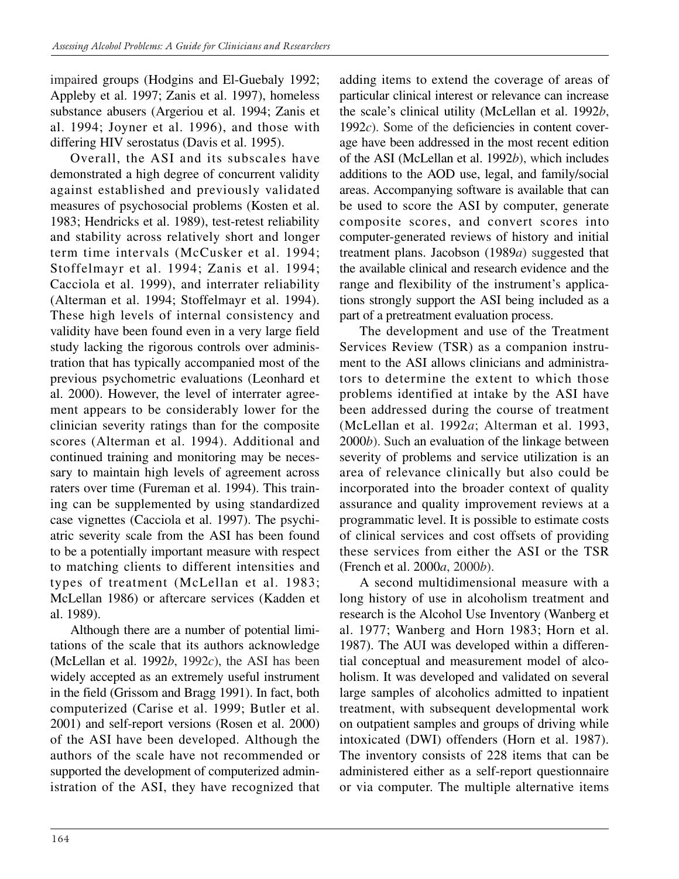impaired groups (Hodgins and El-Guebaly 1992; Appleby et al. 1997; Zanis et al. 1997), homeless substance abusers (Argeriou et al. 1994; Zanis et al. 1994; Joyner et al. 1996), and those with differing HIV serostatus (Davis et al. 1995).

Overall, the ASI and its subscales have demonstrated a high degree of concurrent validity against established and previously validated measures of psychosocial problems (Kosten et al. 1983; Hendricks et al. 1989), test-retest reliability and stability across relatively short and longer term time intervals (McCusker et al. 1994; Stoffelmayr et al. 1994; Zanis et al. 1994; Cacciola et al. 1999), and interrater reliability (Alterman et al. 1994; Stoffelmayr et al. 1994). These high levels of internal consistency and validity have been found even in a very large field study lacking the rigorous controls over administration that has typically accompanied most of the previous psychometric evaluations (Leonhard et al. 2000). However, the level of interrater agreement appears to be considerably lower for the clinician severity ratings than for the composite scores (Alterman et al. 1994). Additional and continued training and monitoring may be necessary to maintain high levels of agreement across raters over time (Fureman et al. 1994). This training can be supplemented by using standardized case vignettes (Cacciola et al. 1997). The psychiatric severity scale from the ASI has been found to be a potentially important measure with respect to matching clients to different intensities and types of treatment (McLellan et al. 1983; McLellan 1986) or aftercare services (Kadden et al. 1989).

Although there are a number of potential limitations of the scale that its authors acknowledge (McLellan et al. 1992*b*, 1992*c*), the ASI has been widely accepted as an extremely useful instrument in the field (Grissom and Bragg 1991). In fact, both computerized (Carise et al. 1999; Butler et al. 2001) and self-report versions (Rosen et al. 2000) of the ASI have been developed. Although the authors of the scale have not recommended or supported the development of computerized administration of the ASI, they have recognized that adding items to extend the coverage of areas of particular clinical interest or relevance can increase the scale's clinical utility (McLellan et al. 1992*b*, 1992*c*). Some of the deficiencies in content coverage have been addressed in the most recent edition of the ASI (McLellan et al. 1992*b*), which includes additions to the AOD use, legal, and family/social areas. Accompanying software is available that can be used to score the ASI by computer, generate composite scores, and convert scores into computer-generated reviews of history and initial treatment plans. Jacobson (1989*a*) suggested that the available clinical and research evidence and the range and flexibility of the instrument's applications strongly support the ASI being included as a part of a pretreatment evaluation process.

The development and use of the Treatment Services Review (TSR) as a companion instrument to the ASI allows clinicians and administrators to determine the extent to which those problems identified at intake by the ASI have been addressed during the course of treatment (McLellan et al. 1992*a*; Alterman et al. 1993, 2000*b*). Such an evaluation of the linkage between severity of problems and service utilization is an area of relevance clinically but also could be incorporated into the broader context of quality assurance and quality improvement reviews at a programmatic level. It is possible to estimate costs of clinical services and cost offsets of providing these services from either the ASI or the TSR (French et al. 2000*a*, 2000*b*).

A second multidimensional measure with a long history of use in alcoholism treatment and research is the Alcohol Use Inventory (Wanberg et al. 1977; Wanberg and Horn 1983; Horn et al. 1987). The AUI was developed within a differential conceptual and measurement model of alcoholism. It was developed and validated on several large samples of alcoholics admitted to inpatient treatment, with subsequent developmental work on outpatient samples and groups of driving while intoxicated (DWI) offenders (Horn et al. 1987). The inventory consists of 228 items that can be administered either as a self-report questionnaire or via computer. The multiple alternative items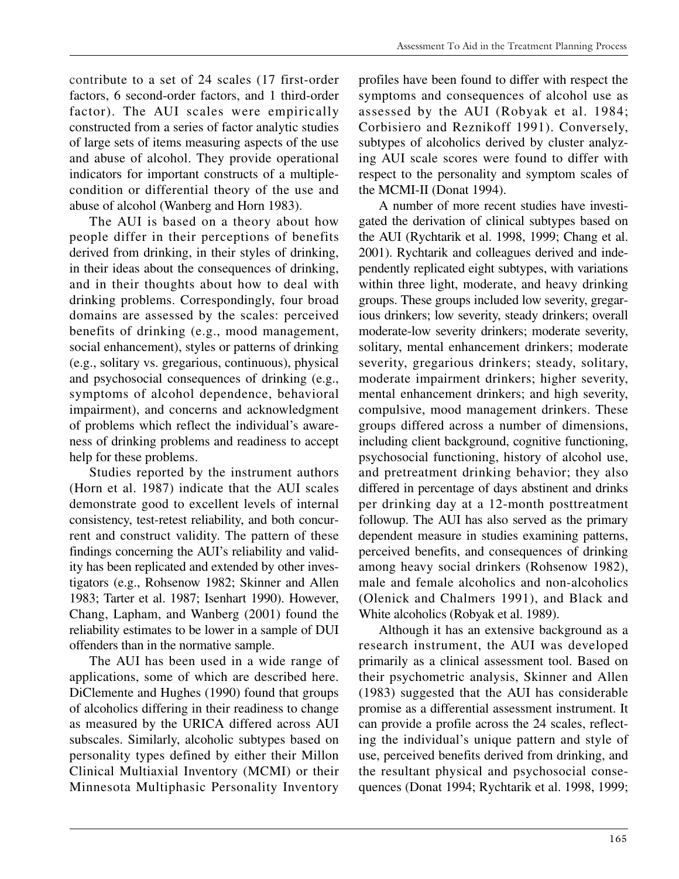contribute to a set of 24 scales (17 first-order factors, 6 second-order factors, and 1 third-order factor). The AUI scales were empirically constructed from a series of factor analytic studies of large sets of items measuring aspects of the use and abuse of alcohol. They provide operational indicators for important constructs of a multiplecondition or differential theory of the use and abuse of alcohol (Wanberg and Horn 1983).

The AUI is based on a theory about how people differ in their perceptions of benefits derived from drinking, in their styles of drinking, in their ideas about the consequences of drinking, and in their thoughts about how to deal with drinking problems. Correspondingly, four broad domains are assessed by the scales: perceived benefits of drinking (e.g., mood management, social enhancement), styles or patterns of drinking (e.g., solitary vs. gregarious, continuous), physical and psychosocial consequences of drinking (e.g., symptoms of alcohol dependence, behavioral impairment), and concerns and acknowledgment of problems which reflect the individual's awareness of drinking problems and readiness to accept help for these problems.

Studies reported by the instrument authors (Horn et al. 1987) indicate that the AUI scales demonstrate good to excellent levels of internal consistency, test-retest reliability, and both concurrent and construct validity. The pattern of these findings concerning the AUI's reliability and validity has been replicated and extended by other investigators (e.g., Rohsenow 1982; Skinner and Allen 1983; Tarter et al. 1987; Isenhart 1990). However, Chang, Lapham, and Wanberg (2001) found the reliability estimates to be lower in a sample of DUI offenders than in the normative sample.

The AUI has been used in a wide range of applications, some of which are described here. DiClemente and Hughes (1990) found that groups of alcoholics differing in their readiness to change as measured by the URICA differed across AUI subscales. Similarly, alcoholic subtypes based on personality types defined by either their Millon Clinical Multiaxial Inventory (MCMI) or their Minnesota Multiphasic Personality Inventory

profiles have been found to differ with respect the symptoms and consequences of alcohol use as assessed by the AUI (Robyak et al. 1984; Corbisiero and Reznikoff 1991). Conversely, subtypes of alcoholics derived by cluster analyzing AUI scale scores were found to differ with respect to the personality and symptom scales of the MCMI-II (Donat 1994).

A number of more recent studies have investigated the derivation of clinical subtypes based on the AUI (Rychtarik et al. 1998, 1999; Chang et al. 2001). Rychtarik and colleagues derived and independently replicated eight subtypes, with variations within three light, moderate, and heavy drinking groups. These groups included low severity, gregarious drinkers; low severity, steady drinkers; overall moderate-low severity drinkers; moderate severity, solitary, mental enhancement drinkers; moderate severity, gregarious drinkers; steady, solitary, moderate impairment drinkers; higher severity, mental enhancement drinkers; and high severity, compulsive, mood management drinkers. These groups differed across a number of dimensions, including client background, cognitive functioning, psychosocial functioning, history of alcohol use, and pretreatment drinking behavior; they also differed in percentage of days abstinent and drinks per drinking day at a 12-month posttreatment followup. The AUI has also served as the primary dependent measure in studies examining patterns, perceived benefits, and consequences of drinking among heavy social drinkers (Rohsenow 1982), male and female alcoholics and non-alcoholics (Olenick and Chalmers 1991), and Black and White alcoholics (Robyak et al. 1989).

Although it has an extensive background as a research instrument, the AUI was developed primarily as a clinical assessment tool. Based on their psychometric analysis, Skinner and Allen (1983) suggested that the AUI has considerable promise as a differential assessment instrument. It can provide a profile across the 24 scales, reflecting the individual's unique pattern and style of use, perceived benefits derived from drinking, and the resultant physical and psychosocial consequences (Donat 1994; Rychtarik et al. 1998, 1999;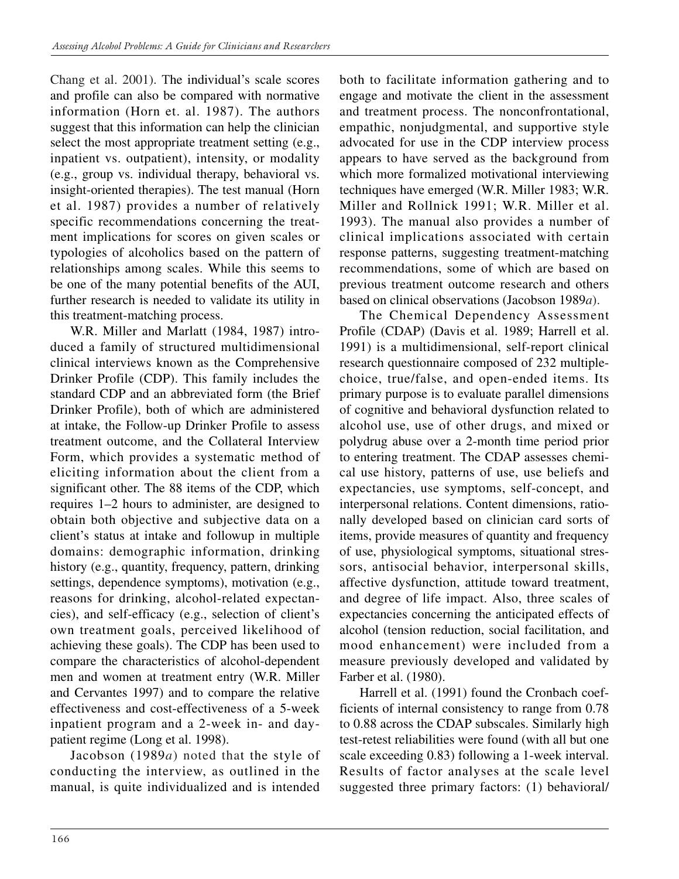Chang et al. 2001). The individual's scale scores and profile can also be compared with normative information (Horn et. al. 1987). The authors suggest that this information can help the clinician select the most appropriate treatment setting (e.g., inpatient vs. outpatient), intensity, or modality (e.g., group vs. individual therapy, behavioral vs. insight-oriented therapies). The test manual (Horn et al. 1987) provides a number of relatively specific recommendations concerning the treatment implications for scores on given scales or typologies of alcoholics based on the pattern of relationships among scales. While this seems to be one of the many potential benefits of the AUI, further research is needed to validate its utility in this treatment-matching process.

W.R. Miller and Marlatt (1984, 1987) introduced a family of structured multidimensional clinical interviews known as the Comprehensive Drinker Profile (CDP). This family includes the standard CDP and an abbreviated form (the Brief Drinker Profile), both of which are administered at intake, the Follow-up Drinker Profile to assess treatment outcome, and the Collateral Interview Form, which provides a systematic method of eliciting information about the client from a significant other. The 88 items of the CDP, which requires 1–2 hours to administer, are designed to obtain both objective and subjective data on a client's status at intake and followup in multiple domains: demographic information, drinking history (e.g., quantity, frequency, pattern, drinking settings, dependence symptoms), motivation (e.g., reasons for drinking, alcohol-related expectancies), and self-efficacy (e.g., selection of client's own treatment goals, perceived likelihood of achieving these goals). The CDP has been used to compare the characteristics of alcohol-dependent men and women at treatment entry (W.R. Miller and Cervantes 1997) and to compare the relative effectiveness and cost-effectiveness of a 5-week inpatient program and a 2-week in- and daypatient regime (Long et al. 1998).

Jacobson (1989*a*) noted that the style of conducting the interview, as outlined in the manual, is quite individualized and is intended both to facilitate information gathering and to engage and motivate the client in the assessment and treatment process. The nonconfrontational, empathic, nonjudgmental, and supportive style advocated for use in the CDP interview process appears to have served as the background from which more formalized motivational interviewing techniques have emerged (W.R. Miller 1983; W.R. Miller and Rollnick 1991; W.R. Miller et al. 1993). The manual also provides a number of clinical implications associated with certain response patterns, suggesting treatment-matching recommendations, some of which are based on previous treatment outcome research and others based on clinical observations (Jacobson 1989*a*).

The Chemical Dependency Assessment Profile (CDAP) (Davis et al. 1989; Harrell et al. 1991) is a multidimensional, self-report clinical research questionnaire composed of 232 multiplechoice, true/false, and open-ended items. Its primary purpose is to evaluate parallel dimensions of cognitive and behavioral dysfunction related to alcohol use, use of other drugs, and mixed or polydrug abuse over a 2-month time period prior to entering treatment. The CDAP assesses chemical use history, patterns of use, use beliefs and expectancies, use symptoms, self-concept, and interpersonal relations. Content dimensions, rationally developed based on clinician card sorts of items, provide measures of quantity and frequency of use, physiological symptoms, situational stressors, antisocial behavior, interpersonal skills, affective dysfunction, attitude toward treatment, and degree of life impact. Also, three scales of expectancies concerning the anticipated effects of alcohol (tension reduction, social facilitation, and mood enhancement) were included from a measure previously developed and validated by Farber et al. (1980).

Harrell et al. (1991) found the Cronbach coefficients of internal consistency to range from 0.78 to 0.88 across the CDAP subscales. Similarly high test-retest reliabilities were found (with all but one scale exceeding 0.83) following a 1-week interval. Results of factor analyses at the scale level suggested three primary factors: (1) behavioral/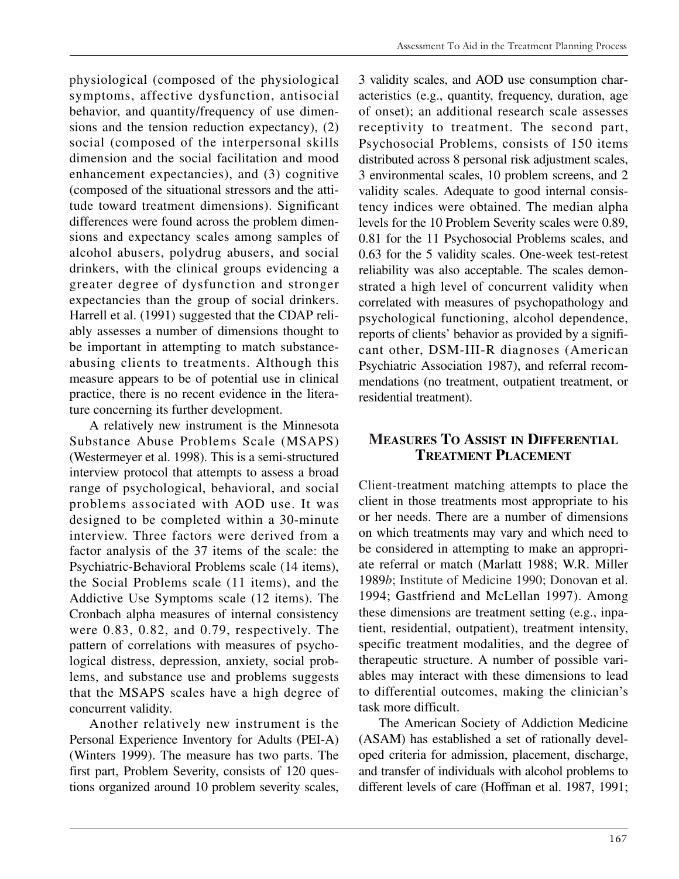physiological (composed of the physiological symptoms, affective dysfunction, antisocial behavior, and quantity/frequency of use dimensions and the tension reduction expectancy), (2) social (composed of the interpersonal skills dimension and the social facilitation and mood enhancement expectancies), and (3) cognitive (composed of the situational stressors and the attitude toward treatment dimensions). Significant differences were found across the problem dimensions and expectancy scales among samples of alcohol abusers, polydrug abusers, and social drinkers, with the clinical groups evidencing a greater degree of dysfunction and stronger expectancies than the group of social drinkers. Harrell et al. (1991) suggested that the CDAP reliably assesses a number of dimensions thought to be important in attempting to match substanceabusing clients to treatments. Although this measure appears to be of potential use in clinical practice, there is no recent evidence in the literature concerning its further development.

A relatively new instrument is the Minnesota Substance Abuse Problems Scale (MSAPS) (Westermeyer et al. 1998). This is a semi-structured interview protocol that attempts to assess a broad range of psychological, behavioral, and social problems associated with AOD use. It was designed to be completed within a 30-minute interview. Three factors were derived from a factor analysis of the 37 items of the scale: the Psychiatric-Behavioral Problems scale (14 items), the Social Problems scale (11 items), and the Addictive Use Symptoms scale (12 items). The Cronbach alpha measures of internal consistency were 0.83, 0.82, and 0.79, respectively. The pattern of correlations with measures of psychological distress, depression, anxiety, social problems, and substance use and problems suggests that the MSAPS scales have a high degree of concurrent validity.

Another relatively new instrument is the Personal Experience Inventory for Adults (PEI-A) (Winters 1999). The measure has two parts. The first part, Problem Severity, consists of 120 questions organized around 10 problem severity scales,

3 validity scales, and AOD use consumption characteristics (e.g., quantity, frequency, duration, age of onset); an additional research scale assesses receptivity to treatment. The second part, Psychosocial Problems, consists of 150 items distributed across 8 personal risk adjustment scales, 3 environmental scales, 10 problem screens, and 2 validity scales. Adequate to good internal consistency indices were obtained. The median alpha levels for the 10 Problem Severity scales were 0.89, 0.81 for the 11 Psychosocial Problems scales, and 0.63 for the 5 validity scales. One-week test-retest reliability was also acceptable. The scales demonstrated a high level of concurrent validity when correlated with measures of psychopathology and psychological functioning, alcohol dependence, reports of clients' behavior as provided by a significant other, DSM-III-R diagnoses (American Psychiatric Association 1987), and referral recommendations (no treatment, outpatient treatment, or residential treatment).

## **MEASURES TO ASSIST IN DIFFERENTIAL TREATMENT PLACEMENT**

Client-treatment matching attempts to place the client in those treatments most appropriate to his or her needs. There are a number of dimensions on which treatments may vary and which need to be considered in attempting to make an appropriate referral or match (Marlatt 1988; W.R. Miller 1989*b*; Institute of Medicine 1990; Donovan et al. 1994; Gastfriend and McLellan 1997). Among these dimensions are treatment setting (e.g., inpatient, residential, outpatient), treatment intensity, specific treatment modalities, and the degree of therapeutic structure. A number of possible variables may interact with these dimensions to lead to differential outcomes, making the clinician's task more difficult.

The American Society of Addiction Medicine (ASAM) has established a set of rationally developed criteria for admission, placement, discharge, and transfer of individuals with alcohol problems to different levels of care (Hoffman et al. 1987, 1991;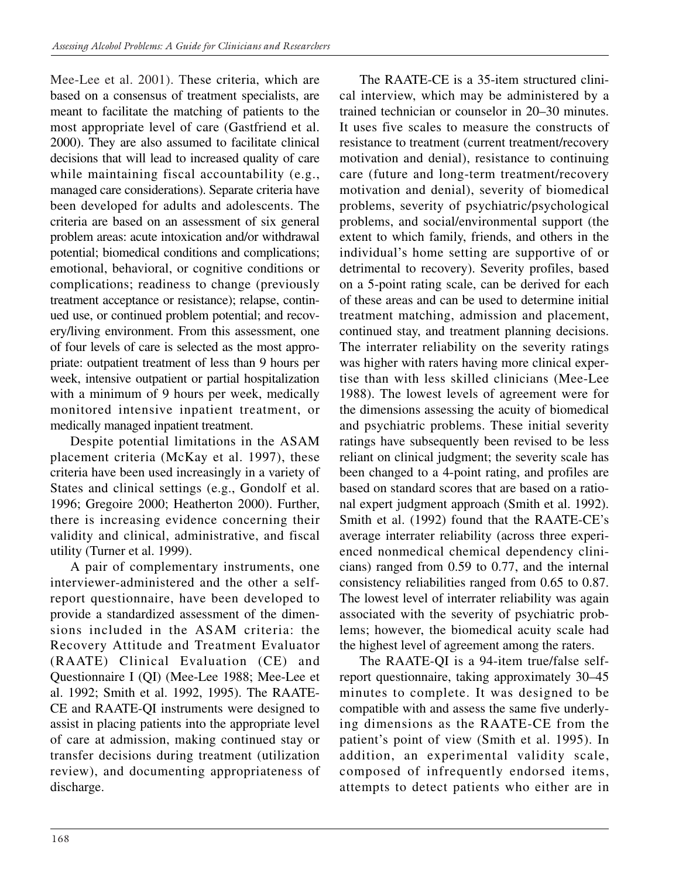Mee-Lee et al. 2001). These criteria, which are based on a consensus of treatment specialists, are meant to facilitate the matching of patients to the most appropriate level of care (Gastfriend et al. 2000). They are also assumed to facilitate clinical decisions that will lead to increased quality of care while maintaining fiscal accountability (e.g., managed care considerations). Separate criteria have been developed for adults and adolescents. The criteria are based on an assessment of six general problem areas: acute intoxication and/or withdrawal potential; biomedical conditions and complications; emotional, behavioral, or cognitive conditions or complications; readiness to change (previously treatment acceptance or resistance); relapse, continued use, or continued problem potential; and recovery/living environment. From this assessment, one of four levels of care is selected as the most appropriate: outpatient treatment of less than 9 hours per week, intensive outpatient or partial hospitalization with a minimum of 9 hours per week, medically monitored intensive inpatient treatment, or medically managed inpatient treatment.

Despite potential limitations in the ASAM placement criteria (McKay et al. 1997), these criteria have been used increasingly in a variety of States and clinical settings (e.g., Gondolf et al. 1996; Gregoire 2000; Heatherton 2000). Further, there is increasing evidence concerning their validity and clinical, administrative, and fiscal utility (Turner et al. 1999).

A pair of complementary instruments, one interviewer-administered and the other a selfreport questionnaire, have been developed to provide a standardized assessment of the dimensions included in the ASAM criteria: the Recovery Attitude and Treatment Evaluator (RAATE) Clinical Evaluation (CE) and Questionnaire I (QI) (Mee-Lee 1988; Mee-Lee et al. 1992; Smith et al. 1992, 1995). The RAATE-CE and RAATE-QI instruments were designed to assist in placing patients into the appropriate level of care at admission, making continued stay or transfer decisions during treatment (utilization review), and documenting appropriateness of discharge.

The RAATE-CE is a 35-item structured clinical interview, which may be administered by a trained technician or counselor in 20–30 minutes. It uses five scales to measure the constructs of resistance to treatment (current treatment/recovery motivation and denial), resistance to continuing care (future and long-term treatment/recovery motivation and denial), severity of biomedical problems, severity of psychiatric/psychological problems, and social/environmental support (the extent to which family, friends, and others in the individual's home setting are supportive of or detrimental to recovery). Severity profiles, based on a 5-point rating scale, can be derived for each of these areas and can be used to determine initial treatment matching, admission and placement, continued stay, and treatment planning decisions. The interrater reliability on the severity ratings was higher with raters having more clinical expertise than with less skilled clinicians (Mee-Lee 1988). The lowest levels of agreement were for the dimensions assessing the acuity of biomedical and psychiatric problems. These initial severity ratings have subsequently been revised to be less reliant on clinical judgment; the severity scale has been changed to a 4-point rating, and profiles are based on standard scores that are based on a rational expert judgment approach (Smith et al. 1992). Smith et al. (1992) found that the RAATE-CE's average interrater reliability (across three experienced nonmedical chemical dependency clinicians) ranged from 0.59 to 0.77, and the internal consistency reliabilities ranged from 0.65 to 0.87. The lowest level of interrater reliability was again associated with the severity of psychiatric problems; however, the biomedical acuity scale had the highest level of agreement among the raters.

The RAATE-QI is a 94-item true/false selfreport questionnaire, taking approximately 30–45 minutes to complete. It was designed to be compatible with and assess the same five underlying dimensions as the RAATE-CE from the patient's point of view (Smith et al. 1995). In addition, an experimental validity scale, composed of infrequently endorsed items, attempts to detect patients who either are in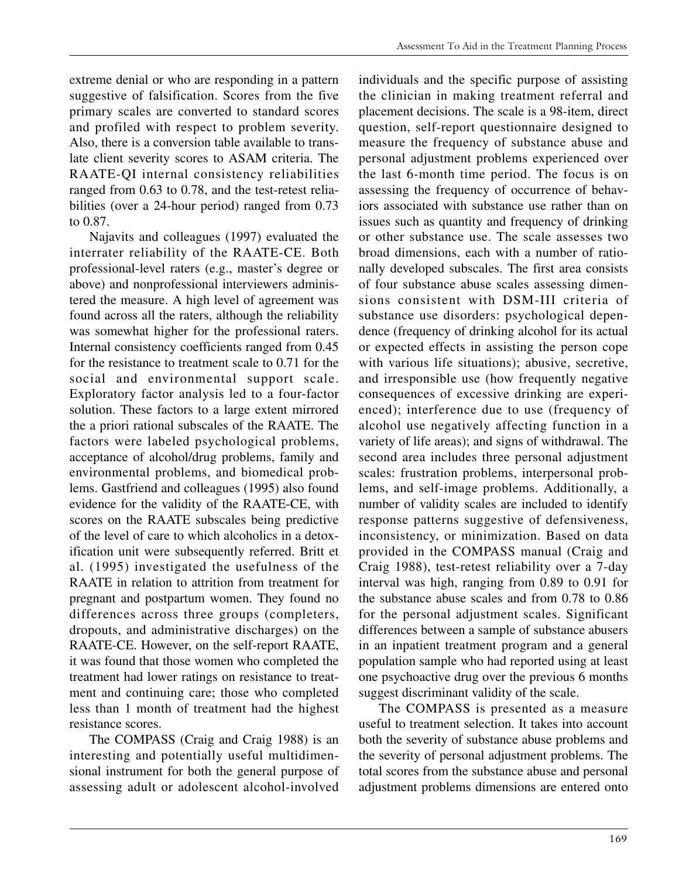extreme denial or who are responding in a pattern suggestive of falsification. Scores from the five primary scales are converted to standard scores and profiled with respect to problem severity. Also, there is a conversion table available to translate client severity scores to ASAM criteria. The RAATE-QI internal consistency reliabilities ranged from 0.63 to 0.78, and the test-retest reliabilities (over a 24-hour period) ranged from 0.73 to 0.87.

Najavits and colleagues (1997) evaluated the interrater reliability of the RAATE-CE. Both professional-level raters (e.g., master's degree or above) and nonprofessional interviewers administered the measure. A high level of agreement was found across all the raters, although the reliability was somewhat higher for the professional raters. Internal consistency coefficients ranged from 0.45 for the resistance to treatment scale to 0.71 for the social and environmental support scale. Exploratory factor analysis led to a four-factor solution. These factors to a large extent mirrored the a priori rational subscales of the RAATE. The factors were labeled psychological problems, acceptance of alcohol/drug problems, family and environmental problems, and biomedical problems. Gastfriend and colleagues (1995) also found evidence for the validity of the RAATE-CE, with scores on the RAATE subscales being predictive of the level of care to which alcoholics in a detoxification unit were subsequently referred. Britt et al. (1995) investigated the usefulness of the RAATE in relation to attrition from treatment for pregnant and postpartum women. They found no differences across three groups (completers, dropouts, and administrative discharges) on the RAATE-CE. However, on the self-report RAATE, it was found that those women who completed the treatment had lower ratings on resistance to treatment and continuing care; those who completed less than 1 month of treatment had the highest resistance scores.

The COMPASS (Craig and Craig 1988) is an interesting and potentially useful multidimensional instrument for both the general purpose of assessing adult or adolescent alcohol-involved

individuals and the specific purpose of assisting the clinician in making treatment referral and placement decisions. The scale is a 98-item, direct question, self-report questionnaire designed to measure the frequency of substance abuse and personal adjustment problems experienced over the last 6-month time period. The focus is on assessing the frequency of occurrence of behaviors associated with substance use rather than on issues such as quantity and frequency of drinking or other substance use. The scale assesses two broad dimensions, each with a number of rationally developed subscales. The first area consists of four substance abuse scales assessing dimensions consistent with DSM-III criteria of substance use disorders: psychological dependence (frequency of drinking alcohol for its actual or expected effects in assisting the person cope with various life situations); abusive, secretive, and irresponsible use (how frequently negative consequences of excessive drinking are experienced); interference due to use (frequency of alcohol use negatively affecting function in a variety of life areas); and signs of withdrawal. The second area includes three personal adjustment scales: frustration problems, interpersonal problems, and self-image problems. Additionally, a number of validity scales are included to identify response patterns suggestive of defensiveness, inconsistency, or minimization. Based on data provided in the COMPASS manual (Craig and Craig 1988), test-retest reliability over a 7-day interval was high, ranging from 0.89 to 0.91 for the substance abuse scales and from 0.78 to 0.86 for the personal adjustment scales. Significant differences between a sample of substance abusers in an inpatient treatment program and a general population sample who had reported using at least one psychoactive drug over the previous 6 months suggest discriminant validity of the scale.

The COMPASS is presented as a measure useful to treatment selection. It takes into account both the severity of substance abuse problems and the severity of personal adjustment problems. The total scores from the substance abuse and personal adjustment problems dimensions are entered onto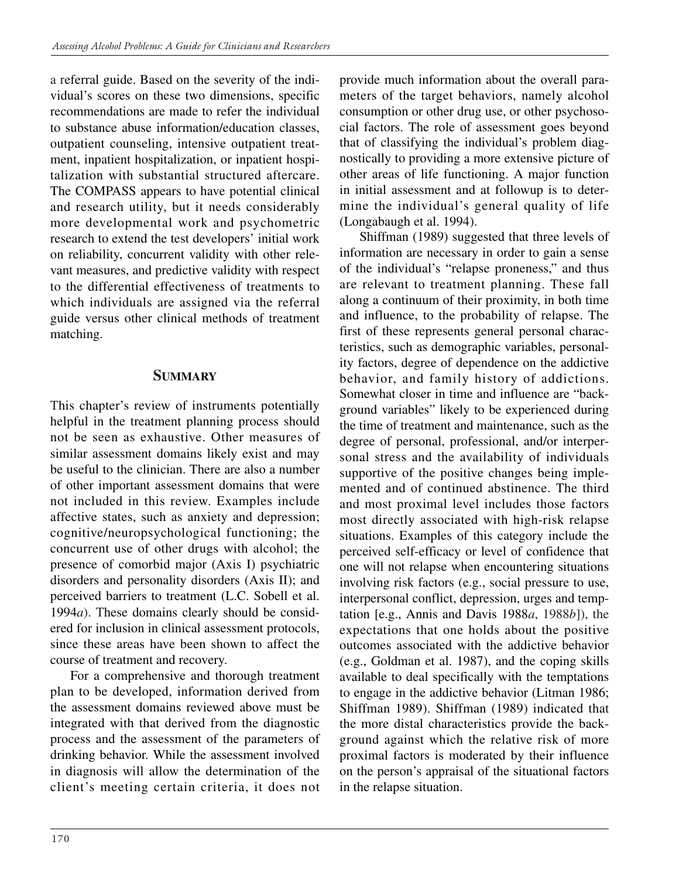a referral guide. Based on the severity of the individual's scores on these two dimensions, specific recommendations are made to refer the individual to substance abuse information/education classes, outpatient counseling, intensive outpatient treatment, inpatient hospitalization, or inpatient hospitalization with substantial structured aftercare. The COMPASS appears to have potential clinical and research utility, but it needs considerably more developmental work and psychometric research to extend the test developers' initial work on reliability, concurrent validity with other relevant measures, and predictive validity with respect to the differential effectiveness of treatments to which individuals are assigned via the referral guide versus other clinical methods of treatment matching.

#### **SUMMARY**

This chapter's review of instruments potentially helpful in the treatment planning process should not be seen as exhaustive. Other measures of similar assessment domains likely exist and may be useful to the clinician. There are also a number of other important assessment domains that were not included in this review. Examples include affective states, such as anxiety and depression; cognitive/neuropsychological functioning; the concurrent use of other drugs with alcohol; the presence of comorbid major (Axis I) psychiatric disorders and personality disorders (Axis II); and perceived barriers to treatment (L.C. Sobell et al. 1994*a*). These domains clearly should be considered for inclusion in clinical assessment protocols, since these areas have been shown to affect the course of treatment and recovery.

For a comprehensive and thorough treatment plan to be developed, information derived from the assessment domains reviewed above must be integrated with that derived from the diagnostic process and the assessment of the parameters of drinking behavior. While the assessment involved in diagnosis will allow the determination of the client's meeting certain criteria, it does not provide much information about the overall parameters of the target behaviors, namely alcohol consumption or other drug use, or other psychosocial factors. The role of assessment goes beyond that of classifying the individual's problem diagnostically to providing a more extensive picture of other areas of life functioning. A major function in initial assessment and at followup is to determine the individual's general quality of life (Longabaugh et al. 1994).

Shiffman (1989) suggested that three levels of information are necessary in order to gain a sense of the individual's "relapse proneness," and thus are relevant to treatment planning. These fall along a continuum of their proximity, in both time and influence, to the probability of relapse. The first of these represents general personal characteristics, such as demographic variables, personality factors, degree of dependence on the addictive behavior, and family history of addictions. Somewhat closer in time and influence are "background variables" likely to be experienced during the time of treatment and maintenance, such as the degree of personal, professional, and/or interpersonal stress and the availability of individuals supportive of the positive changes being implemented and of continued abstinence. The third and most proximal level includes those factors most directly associated with high-risk relapse situations. Examples of this category include the perceived self-efficacy or level of confidence that one will not relapse when encountering situations involving risk factors (e.g., social pressure to use, interpersonal conflict, depression, urges and temptation [e.g., Annis and Davis 1988*a*, 1988*b*]), the expectations that one holds about the positive outcomes associated with the addictive behavior (e.g., Goldman et al. 1987), and the coping skills available to deal specifically with the temptations to engage in the addictive behavior (Litman 1986; Shiffman 1989). Shiffman (1989) indicated that the more distal characteristics provide the background against which the relative risk of more proximal factors is moderated by their influence on the person's appraisal of the situational factors in the relapse situation.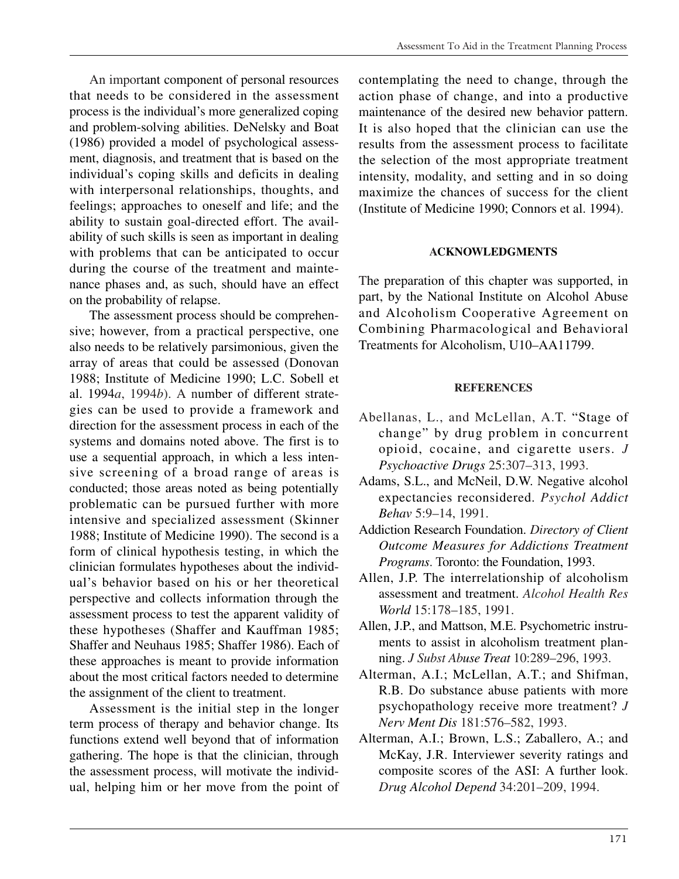An important component of personal resources that needs to be considered in the assessment process is the individual's more generalized coping and problem-solving abilities. DeNelsky and Boat (1986) provided a model of psychological assessment, diagnosis, and treatment that is based on the individual's coping skills and deficits in dealing with interpersonal relationships, thoughts, and feelings; approaches to oneself and life; and the ability to sustain goal-directed effort. The availability of such skills is seen as important in dealing with problems that can be anticipated to occur during the course of the treatment and maintenance phases and, as such, should have an effect on the probability of relapse.

The assessment process should be comprehensive; however, from a practical perspective, one also needs to be relatively parsimonious, given the array of areas that could be assessed (Donovan 1988; Institute of Medicine 1990; L.C. Sobell et al. 1994*a*, 1994*b*). A number of different strategies can be used to provide a framework and direction for the assessment process in each of the systems and domains noted above. The first is to use a sequential approach, in which a less intensive screening of a broad range of areas is conducted; those areas noted as being potentially problematic can be pursued further with more intensive and specialized assessment (Skinner 1988; Institute of Medicine 1990). The second is a form of clinical hypothesis testing, in which the clinician formulates hypotheses about the individual's behavior based on his or her theoretical perspective and collects information through the assessment process to test the apparent validity of these hypotheses (Shaffer and Kauffman 1985; Shaffer and Neuhaus 1985; Shaffer 1986). Each of these approaches is meant to provide information about the most critical factors needed to determine the assignment of the client to treatment.

Assessment is the initial step in the longer term process of therapy and behavior change. Its functions extend well beyond that of information gathering. The hope is that the clinician, through the assessment process, will motivate the individual, helping him or her move from the point of contemplating the need to change, through the action phase of change, and into a productive maintenance of the desired new behavior pattern. It is also hoped that the clinician can use the results from the assessment process to facilitate the selection of the most appropriate treatment intensity, modality, and setting and in so doing maximize the chances of success for the client (Institute of Medicine 1990; Connors et al. 1994).

#### **ACKNOWLEDGMENTS**

The preparation of this chapter was supported, in part, by the National Institute on Alcohol Abuse and Alcoholism Cooperative Agreement on Combining Pharmacological and Behavioral Treatments for Alcoholism, U10–AA11799.

#### **REFERENCES**

- Abellanas, L., and McLellan, A.T. "Stage of change" by drug problem in concurrent opioid, cocaine, and cigarette users. *J Psychoactive Drugs* 25:307–313, 1993.
- Adams, S.L., and McNeil, D.W. Negative alcohol expectancies reconsidered. *Psychol Addict Behav* 5:9–14, 1991.
- Addiction Research Foundation. *Directory of Client Outcome Measures for Addictions Treatment Programs*. Toronto: the Foundation, 1993.
- Allen, J.P. The interrelationship of alcoholism assessment and treatment. *Alcohol Health Res World* 15:178–185, 1991.
- Allen, J.P., and Mattson, M.E. Psychometric instruments to assist in alcoholism treatment planning. *J Subst Abuse Treat* 10:289–296, 1993.
- Alterman, A.I.; McLellan, A.T.; and Shifman, R.B. Do substance abuse patients with more psychopathology receive more treatment? *J Nerv Ment Dis* 181:576–582, 1993.
- Alterman, A.I.; Brown, L.S.; Zaballero, A.; and McKay, J.R. Interviewer severity ratings and composite scores of the ASI: A further look. *Drug Alcohol Depend* 34:201–209, 1994.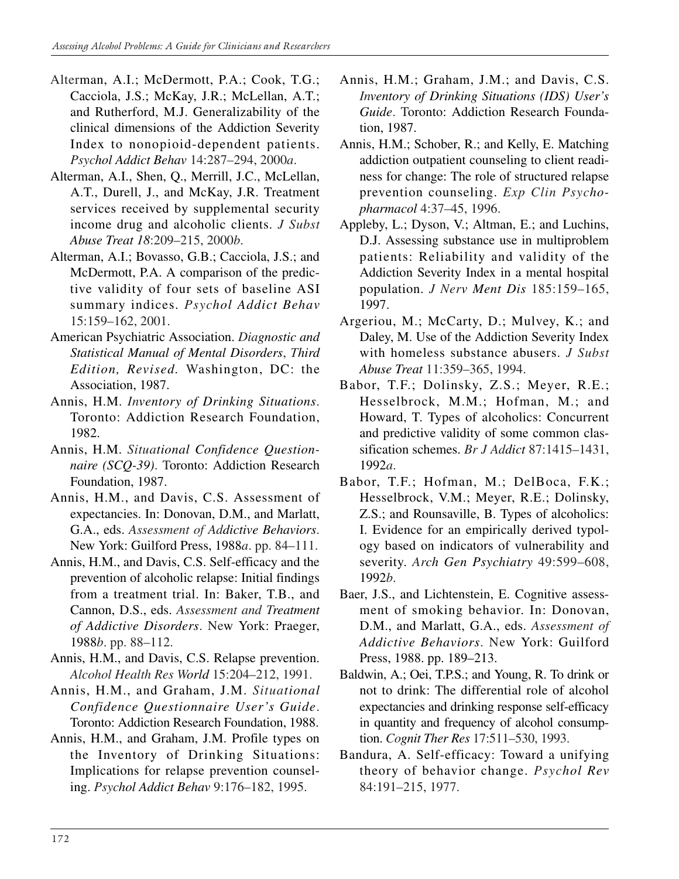- Alterman, A.I.; McDermott, P.A.; Cook, T.G.; Cacciola, J.S.; McKay, J.R.; McLellan, A.T.; and Rutherford, M.J. Generalizability of the clinical dimensions of the Addiction Severity Index to nonopioid-dependent patients. *Psychol Addict Behav* 14:287–294, 2000*a*.
- Alterman, A.I., Shen, Q., Merrill, J.C., McLellan, A.T., Durell, J., and McKay, J.R. Treatment services received by supplemental security income drug and alcoholic clients. *J Subst Abuse Treat 18*:209–215, 2000*b*.
- Alterman, A.I.; Bovasso, G.B.; Cacciola, J.S.; and McDermott, P.A. A comparison of the predictive validity of four sets of baseline ASI summary indices. *Psychol Addict Behav*  15:159–162, 2001.
- American Psychiatric Association. *Diagnostic and Statistical Manual of Mental Disorders*, *Third Edition, Revised.* Washington, DC: the Association, 1987.
- Annis, H.M. *Inventory of Drinking Situations*. Toronto: Addiction Research Foundation, 1982.
- Annis, H.M. *Situational Confidence Questionnaire (SCQ-39)*. Toronto: Addiction Research Foundation, 1987.
- Annis, H.M., and Davis, C.S. Assessment of expectancies. In: Donovan, D.M., and Marlatt, G.A., eds. *Assessment of Addictive Behaviors*. New York: Guilford Press, 1988*a*. pp. 84–111.
- Annis, H.M., and Davis, C.S. Self-efficacy and the prevention of alcoholic relapse: Initial findings from a treatment trial. In: Baker, T.B., and Cannon, D.S., eds. *Assessment and Treatment of Addictive Disorders*. New York: Praeger, 1988*b*. pp. 88–112.
- Annis, H.M., and Davis, C.S. Relapse prevention. *Alcohol Health Res World* 15:204–212, 1991.
- Annis, H.M., and Graham, J.M. *Situational Confidence Questionnaire User's Guide*. Toronto: Addiction Research Foundation, 1988.
- Annis, H.M., and Graham, J.M. Profile types on the Inventory of Drinking Situations: Implications for relapse prevention counseling. *Psychol Addict Behav* 9:176–182, 1995.
- Annis, H.M.; Graham, J.M.; and Davis, C.S. *Inventory of Drinking Situations (IDS) User's Guide*. Toronto: Addiction Research Foundation, 1987.
- Annis, H.M.; Schober, R.; and Kelly, E. Matching addiction outpatient counseling to client readiness for change: The role of structured relapse prevention counseling. *Exp Clin Psychopharmacol* 4:37–45, 1996.
- Appleby, L.; Dyson, V.; Altman, E.; and Luchins, D.J. Assessing substance use in multiproblem patients: Reliability and validity of the Addiction Severity Index in a mental hospital population. *J Nerv Ment Dis* 185:159–165, 1997.
- Argeriou, M.; McCarty, D.; Mulvey, K.; and Daley, M. Use of the Addiction Severity Index with homeless substance abusers. *J Subst Abuse Treat* 11:359–365, 1994.
- Babor, T.F.; Dolinsky, Z.S.; Meyer, R.E.; Hesselbrock, M.M.; Hofman, M.; and Howard, T. Types of alcoholics: Concurrent and predictive validity of some common classification schemes. *Br J Addict* 87:1415–1431, 1992*a*.
- Babor, T.F.; Hofman, M.; DelBoca, F.K.; Hesselbrock, V.M.; Meyer, R.E.; Dolinsky, Z.S.; and Rounsaville, B. Types of alcoholics: I. Evidence for an empirically derived typology based on indicators of vulnerability and severity. *Arch Gen Psychiatry* 49:599–608, 1992*b*.
- Baer, J.S., and Lichtenstein, E. Cognitive assessment of smoking behavior. In: Donovan, D.M., and Marlatt, G.A., eds. *Assessment of Addictive Behaviors*. New York: Guilford Press, 1988. pp. 189–213.
- Baldwin, A.; Oei, T.P.S.; and Young, R. To drink or not to drink: The differential role of alcohol expectancies and drinking response self-efficacy in quantity and frequency of alcohol consumption. *Cognit Ther Res* 17:511–530, 1993.
- Bandura, A. Self-efficacy: Toward a unifying theory of behavior change. *Psychol Rev*  84:191–215, 1977.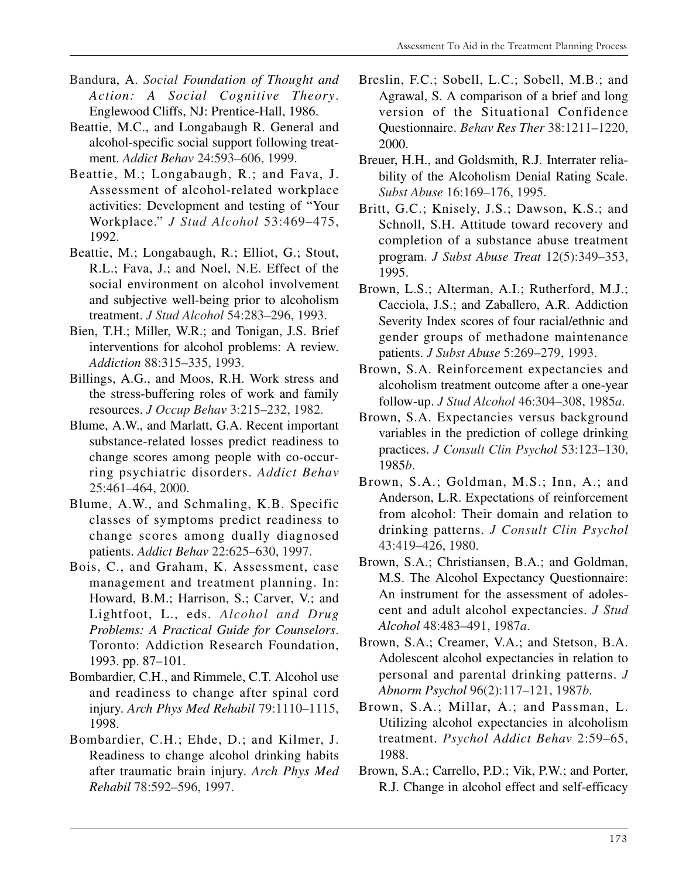- Bandura, A. *Social Foundation of Thought and Action: A Social Cognitive Theory*. Englewood Cliffs, NJ: Prentice-Hall, 1986.
- Beattie, M.C., and Longabaugh R. General and alcohol-specific social support following treatment. *Addict Behav* 24:593–606, 1999.
- Beattie, M.; Longabaugh, R.; and Fava, J. Assessment of alcohol-related workplace activities: Development and testing of "Your Workplace." *J Stud Alcohol* 53:469–475, 1992.
- Beattie, M.; Longabaugh, R.; Elliot, G.; Stout, R.L.; Fava, J.; and Noel, N.E. Effect of the social environment on alcohol involvement and subjective well-being prior to alcoholism treatment. *J Stud Alcohol* 54:283–296, 1993.
- Bien, T.H.; Miller, W.R.; and Tonigan, J.S. Brief interventions for alcohol problems: A review. *Addiction* 88:315–335, 1993.
- Billings, A.G., and Moos, R.H. Work stress and the stress-buffering roles of work and family resources. *J Occup Behav* 3:215–232, 1982.
- Blume, A.W., and Marlatt, G.A. Recent important substance-related losses predict readiness to change scores among people with co-occurring psychiatric disorders. *Addict Behav*  25:461–464, 2000.
- Blume, A.W., and Schmaling, K.B. Specific classes of symptoms predict readiness to change scores among dually diagnosed patients. *Addict Behav* 22:625–630, 1997.
- Bois, C., and Graham, K. Assessment, case management and treatment planning. In: Howard, B.M.; Harrison, S.; Carver, V.; and Lightfoot, L., eds. *Alcohol and Drug Problems: A Practical Guide for Counselors*. Toronto: Addiction Research Foundation, 1993. pp. 87–101.
- Bombardier, C.H., and Rimmele, C.T. Alcohol use and readiness to change after spinal cord injury. *Arch Phys Med Rehabil* 79:1110–1115, 1998.
- Bombardier, C.H.; Ehde, D.; and Kilmer, J. Readiness to change alcohol drinking habits after traumatic brain injury. *Arch Phys Med Rehabil* 78:592–596, 1997.
- Breslin, F.C.; Sobell, L.C.; Sobell, M.B.; and Agrawal, S. A comparison of a brief and long version of the Situational Confidence Questionnaire. *Behav Res Ther* 38:1211–1220, 2000.
- Breuer, H.H., and Goldsmith, R.J. Interrater reliability of the Alcoholism Denial Rating Scale. *Subst Abuse* 16:169–176, 1995.
- Britt, G.C.; Knisely, J.S.; Dawson, K.S.; and Schnoll, S.H. Attitude toward recovery and completion of a substance abuse treatment program. *J Subst Abuse Treat* 12(5):349–353, 1995.
- Brown, L.S.; Alterman, A.I.; Rutherford, M.J.; Cacciola, J.S.; and Zaballero, A.R. Addiction Severity Index scores of four racial/ethnic and gender groups of methadone maintenance patients. *J Subst Abuse* 5:269–279, 1993.
- Brown, S.A. Reinforcement expectancies and alcoholism treatment outcome after a one-year follow-up. *J Stud Alcohol* 46:304–308, 1985*a*.
- Brown, S.A. Expectancies versus background variables in the prediction of college drinking practices. *J Consult Clin Psychol* 53:123–130, 1985*b*.
- Brown, S.A.; Goldman, M.S.; Inn, A.; and Anderson, L.R. Expectations of reinforcement from alcohol: Their domain and relation to drinking patterns. *J Consult Clin Psychol*  43:419–426, 1980.
- Brown, S.A.; Christiansen, B.A.; and Goldman, M.S. The Alcohol Expectancy Questionnaire: An instrument for the assessment of adolescent and adult alcohol expectancies. *J Stud Alcohol* 48:483–491, 1987*a*.
- Brown, S.A.; Creamer, V.A.; and Stetson, B.A. Adolescent alcohol expectancies in relation to personal and parental drinking patterns. *J Abnorm Psychol* 96(2):117–121, 1987*b*.
- Brown, S.A.; Millar, A.; and Passman, L. Utilizing alcohol expectancies in alcoholism treatment. *Psychol Addict Behav* 2:59–65, 1988.
- Brown, S.A.; Carrello, P.D.; Vik, P.W.; and Porter, R.J. Change in alcohol effect and self-efficacy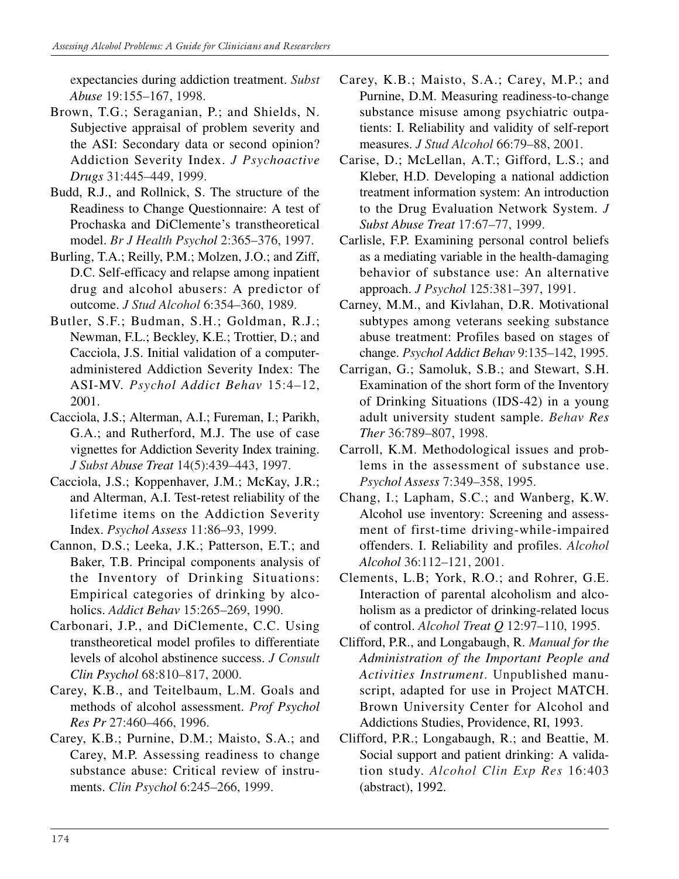expectancies during addiction treatment. *Subst Abuse* 19:155–167, 1998.

- Brown, T.G.; Seraganian, P.; and Shields, N. Subjective appraisal of problem severity and the ASI: Secondary data or second opinion? Addiction Severity Index. *J Psychoactive Drugs* 31:445–449, 1999.
- Budd, R.J., and Rollnick, S. The structure of the Readiness to Change Questionnaire: A test of Prochaska and DiClemente's transtheoretical model. *Br J Health Psychol* 2:365–376, 1997.
- Burling, T.A.; Reilly, P.M.; Molzen, J.O.; and Ziff, D.C. Self-efficacy and relapse among inpatient drug and alcohol abusers: A predictor of outcome. *J Stud Alcohol* 6:354–360, 1989.
- Butler, S.F.; Budman, S.H.; Goldman, R.J.; Newman, F.L.; Beckley, K.E.; Trottier, D.; and Cacciola, J.S. Initial validation of a computeradministered Addiction Severity Index: The ASI-MV. *Psychol Addict Behav* 15:4–12, 2001.
- Cacciola, J.S.; Alterman, A.I.; Fureman, I.; Parikh, G.A.; and Rutherford, M.J. The use of case vignettes for Addiction Severity Index training. *J Subst Abuse Treat* 14(5):439–443, 1997.
- Cacciola, J.S.; Koppenhaver, J.M.; McKay, J.R.; and Alterman, A.I. Test-retest reliability of the lifetime items on the Addiction Severity Index. *Psychol Assess* 11:86–93, 1999.
- Cannon, D.S.; Leeka, J.K.; Patterson, E.T.; and Baker, T.B. Principal components analysis of the Inventory of Drinking Situations: Empirical categories of drinking by alcoholics. *Addict Behav* 15:265–269, 1990.
- Carbonari, J.P., and DiClemente, C.C. Using transtheoretical model profiles to differentiate levels of alcohol abstinence success. *J Consult Clin Psychol* 68:810–817, 2000.
- Carey, K.B., and Teitelbaum, L.M. Goals and methods of alcohol assessment. *Prof Psychol Res Pr* 27:460–466, 1996.
- Carey, K.B.; Purnine, D.M.; Maisto, S.A.; and Carey, M.P. Assessing readiness to change substance abuse: Critical review of instruments. *Clin Psychol* 6:245–266, 1999.
- Carey, K.B.; Maisto, S.A.; Carey, M.P.; and Purnine, D.M. Measuring readiness-to-change substance misuse among psychiatric outpatients: I. Reliability and validity of self-report measures. *J Stud Alcohol* 66:79–88, 2001.
- Carise, D.; McLellan, A.T.; Gifford, L.S.; and Kleber, H.D. Developing a national addiction treatment information system: An introduction to the Drug Evaluation Network System. *J Subst Abuse Treat* 17:67–77, 1999.
- Carlisle, F.P. Examining personal control beliefs as a mediating variable in the health-damaging behavior of substance use: An alternative approach. *J Psychol* 125:381–397, 1991.
- Carney, M.M., and Kivlahan, D.R. Motivational subtypes among veterans seeking substance abuse treatment: Profiles based on stages of change. *Psychol Addict Behav* 9:135–142, 1995.
- Carrigan, G.; Samoluk, S.B.; and Stewart, S.H. Examination of the short form of the Inventory of Drinking Situations (IDS-42) in a young adult university student sample. *Behav Res Ther* 36:789–807, 1998.
- Carroll, K.M. Methodological issues and problems in the assessment of substance use. *Psychol Assess* 7:349–358, 1995.
- Chang, I.; Lapham, S.C.; and Wanberg, K.W. Alcohol use inventory: Screening and assessment of first-time driving-while-impaired offenders. I. Reliability and profiles. *Alcohol Alcohol* 36:112–121, 2001.
- Clements, L.B; York, R.O.; and Rohrer, G.E. Interaction of parental alcoholism and alcoholism as a predictor of drinking-related locus of control. *Alcohol Treat Q* 12:97–110, 1995.
- Clifford, P.R., and Longabaugh, R. *Manual for the Administration of the Important People and Activities Instrument*. Unpublished manuscript, adapted for use in Project MATCH. Brown University Center for Alcohol and Addictions Studies, Providence, RI, 1993.
- Clifford, P.R.; Longabaugh, R.; and Beattie, M. Social support and patient drinking: A validation study. *Alcohol Clin Exp Res* 16:403 (abstract), 1992.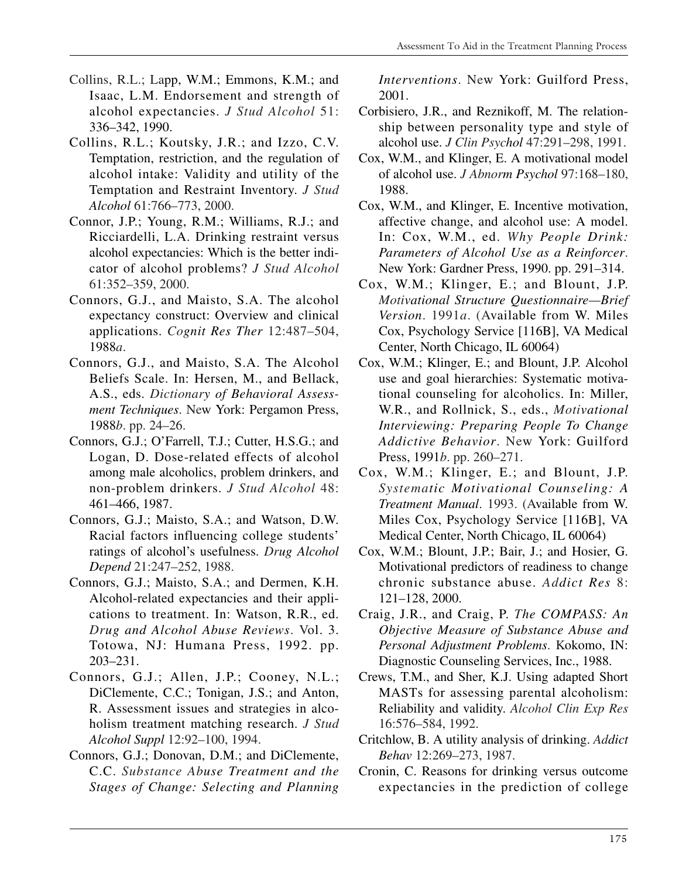- Collins, R.L.; Lapp, W.M.; Emmons, K.M.; and Isaac, L.M. Endorsement and strength of alcohol expectancies. *J Stud Alcohol* 51: 336–342, 1990.
- Collins, R.L.; Koutsky, J.R.; and Izzo, C.V. Temptation, restriction, and the regulation of alcohol intake: Validity and utility of the Temptation and Restraint Inventory. *J Stud Alcohol* 61:766–773, 2000.
- Connor, J.P.; Young, R.M.; Williams, R.J.; and Ricciardelli, L.A. Drinking restraint versus alcohol expectancies: Which is the better indicator of alcohol problems? *J Stud Alcohol*  61:352–359, 2000.
- Connors, G.J., and Maisto, S.A. The alcohol expectancy construct: Overview and clinical applications. *Cognit Res Ther* 12:487–504, 1988*a*.
- Connors, G.J., and Maisto, S.A. The Alcohol Beliefs Scale. In: Hersen, M., and Bellack, A.S., eds. *Dictionary of Behavioral Assessment Techniques*. New York: Pergamon Press, 1988*b*. pp. 24–26.
- Connors, G.J.; O'Farrell, T.J.; Cutter, H.S.G.; and Logan, D. Dose-related effects of alcohol among male alcoholics, problem drinkers, and non-problem drinkers. *J Stud Alcohol* 48: 461–466, 1987.
- Connors, G.J.; Maisto, S.A.; and Watson, D.W. Racial factors influencing college students' ratings of alcohol's usefulness. *Drug Alcohol Depend* 21:247–252, 1988.
- Connors, G.J.; Maisto, S.A.; and Dermen, K.H. Alcohol-related expectancies and their applications to treatment. In: Watson, R.R., ed. *Drug and Alcohol Abuse Reviews*. Vol. 3. Totowa, NJ: Humana Press, 1992. pp. 203–231.
- Connors, G.J.; Allen, J.P.; Cooney, N.L.; DiClemente, C.C.; Tonigan, J.S.; and Anton, R. Assessment issues and strategies in alcoholism treatment matching research. *J Stud Alcohol Suppl* 12:92–100, 1994.
- Connors, G.J.; Donovan, D.M.; and DiClemente, C.C. *Substance Abuse Treatment and the Stages of Change: Selecting and Planning*

*Interventions*. New York: Guilford Press, 2001.

- Corbisiero, J.R., and Reznikoff, M. The relationship between personality type and style of alcohol use. *J Clin Psychol* 47:291–298, 1991.
- Cox, W.M., and Klinger, E. A motivational model of alcohol use. *J Abnorm Psychol* 97:168–180, 1988.
- Cox, W.M., and Klinger, E. Incentive motivation, affective change, and alcohol use: A model. In: Cox, W.M., ed. *Why People Drink: Parameters of Alcohol Use as a Reinforcer*. New York: Gardner Press, 1990. pp. 291–314.
- Cox, W.M.; Klinger, E.; and Blount, J.P. *Motivational Structure Questionnaire—Brief Version*. 1991*a*. (Available from W. Miles Cox, Psychology Service [116B], VA Medical Center, North Chicago, IL 60064)
- Cox, W.M.; Klinger, E.; and Blount, J.P. Alcohol use and goal hierarchies: Systematic motivational counseling for alcoholics. In: Miller, W.R., and Rollnick, S., eds., *Motivational Interviewing: Preparing People To Change Addictive Behavior*. New York: Guilford Press, 1991*b*. pp. 260–271.
- Cox, W.M.; Klinger, E.; and Blount, J.P. *Systematic Motivational Counseling: A Treatment Manual*. 1993. (Available from W. Miles Cox, Psychology Service [116B], VA Medical Center, North Chicago, IL 60064)
- Cox, W.M.; Blount, J.P.; Bair, J.; and Hosier, G. Motivational predictors of readiness to change chronic substance abuse. *Addict Res* 8: 121–128, 2000.
- Craig, J.R., and Craig, P. *The COMPASS: An Objective Measure of Substance Abuse and Personal Adjustment Problems*. Kokomo, IN: Diagnostic Counseling Services, Inc., 1988.
- Crews, T.M., and Sher, K.J. Using adapted Short MASTs for assessing parental alcoholism: Reliability and validity. *Alcohol Clin Exp Res*  16:576–584, 1992.
- Critchlow, B. A utility analysis of drinking. *Addict Behav* 12:269–273, 1987.
- Cronin, C. Reasons for drinking versus outcome expectancies in the prediction of college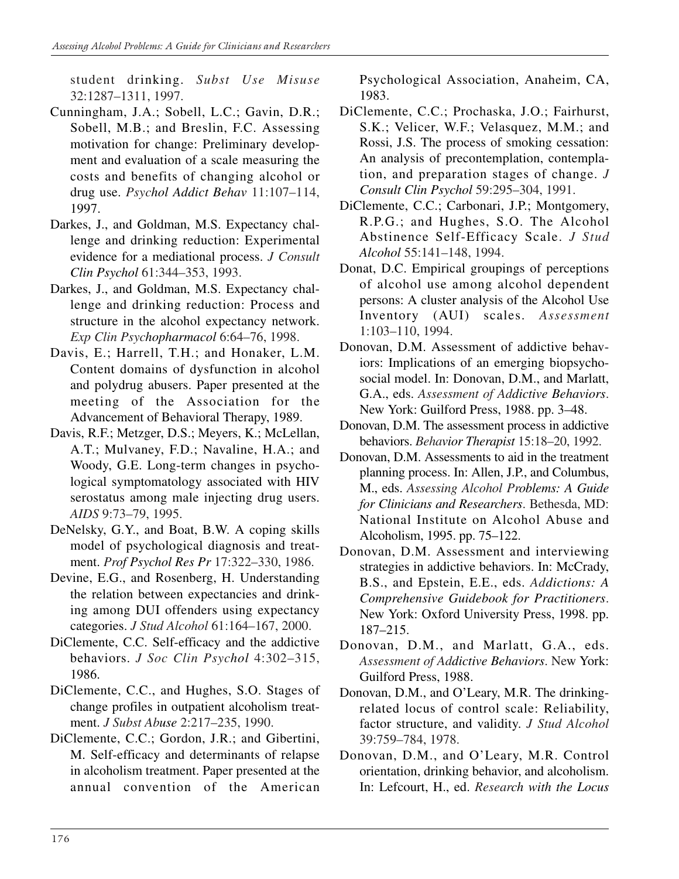student drinking. *Subst Use Misuse*  32:1287–1311, 1997.

- Cunningham, J.A.; Sobell, L.C.; Gavin, D.R.; Sobell, M.B.; and Breslin, F.C. Assessing motivation for change: Preliminary development and evaluation of a scale measuring the costs and benefits of changing alcohol or drug use. *Psychol Addict Behav* 11:107–114, 1997.
- Darkes, J., and Goldman, M.S. Expectancy challenge and drinking reduction: Experimental evidence for a mediational process. *J Consult Clin Psychol* 61:344–353, 1993.
- Darkes, J., and Goldman, M.S. Expectancy challenge and drinking reduction: Process and structure in the alcohol expectancy network. *Exp Clin Psychopharmacol* 6:64–76, 1998.
- Davis, E.; Harrell, T.H.; and Honaker, L.M. Content domains of dysfunction in alcohol and polydrug abusers. Paper presented at the meeting of the Association for the Advancement of Behavioral Therapy, 1989.
- Davis, R.F.; Metzger, D.S.; Meyers, K.; McLellan, A.T.; Mulvaney, F.D.; Navaline, H.A.; and Woody, G.E. Long-term changes in psychological symptomatology associated with HIV serostatus among male injecting drug users. *AIDS* 9:73–79, 1995.
- DeNelsky, G.Y., and Boat, B.W. A coping skills model of psychological diagnosis and treatment. *Prof Psychol Res Pr* 17:322–330, 1986.
- Devine, E.G., and Rosenberg, H. Understanding the relation between expectancies and drinking among DUI offenders using expectancy categories. *J Stud Alcohol* 61:164–167, 2000.
- DiClemente, C.C. Self-efficacy and the addictive behaviors. *J Soc Clin Psychol* 4:302–315, 1986.
- DiClemente, C.C., and Hughes, S.O. Stages of change profiles in outpatient alcoholism treatment. *J Subst Abuse* 2:217–235, 1990.
- DiClemente, C.C.; Gordon, J.R.; and Gibertini, M. Self-efficacy and determinants of relapse in alcoholism treatment. Paper presented at the annual convention of the American

Psychological Association, Anaheim, CA, 1983.

- DiClemente, C.C.; Prochaska, J.O.; Fairhurst, S.K.; Velicer, W.F.; Velasquez, M.M.; and Rossi, J.S. The process of smoking cessation: An analysis of precontemplation, contemplation, and preparation stages of change. *J Consult Clin Psychol* 59:295–304, 1991.
- DiClemente, C.C.; Carbonari, J.P.; Montgomery, R.P.G.; and Hughes, S.O. The Alcohol Abstinence Self-Efficacy Scale. *J Stud Alcohol* 55:141–148, 1994.
- Donat, D.C. Empirical groupings of perceptions of alcohol use among alcohol dependent persons: A cluster analysis of the Alcohol Use Inventory (AUI) scales. *Assessment*  1:103–110, 1994.
- Donovan, D.M. Assessment of addictive behaviors: Implications of an emerging biopsychosocial model. In: Donovan, D.M., and Marlatt, G.A., eds. *Assessment of Addictive Behaviors*. New York: Guilford Press, 1988. pp. 3–48.
- Donovan, D.M. The assessment process in addictive behaviors. *Behavior Therapist* 15:18–20, 1992.
- Donovan, D.M. Assessments to aid in the treatment planning process. In: Allen, J.P., and Columbus, M., eds. *Assessing Alcohol Problems: A Guide for Clinicians and Researchers*. Bethesda, MD: National Institute on Alcohol Abuse and Alcoholism, 1995. pp. 75–122.
- Donovan, D.M. Assessment and interviewing strategies in addictive behaviors. In: McCrady, B.S., and Epstein, E.E., eds. *Addictions: A Comprehensive Guidebook for Practitioners*. New York: Oxford University Press, 1998. pp. 187–215.
- Donovan, D.M., and Marlatt, G.A., eds. *Assessment of Addictive Behaviors*. New York: Guilford Press, 1988.
- Donovan, D.M., and O'Leary, M.R. The drinkingrelated locus of control scale: Reliability, factor structure, and validity. *J Stud Alcohol*  39:759–784, 1978.
- Donovan, D.M., and O'Leary, M.R. Control orientation, drinking behavior, and alcoholism. In: Lefcourt, H., ed. *Research with the Locus*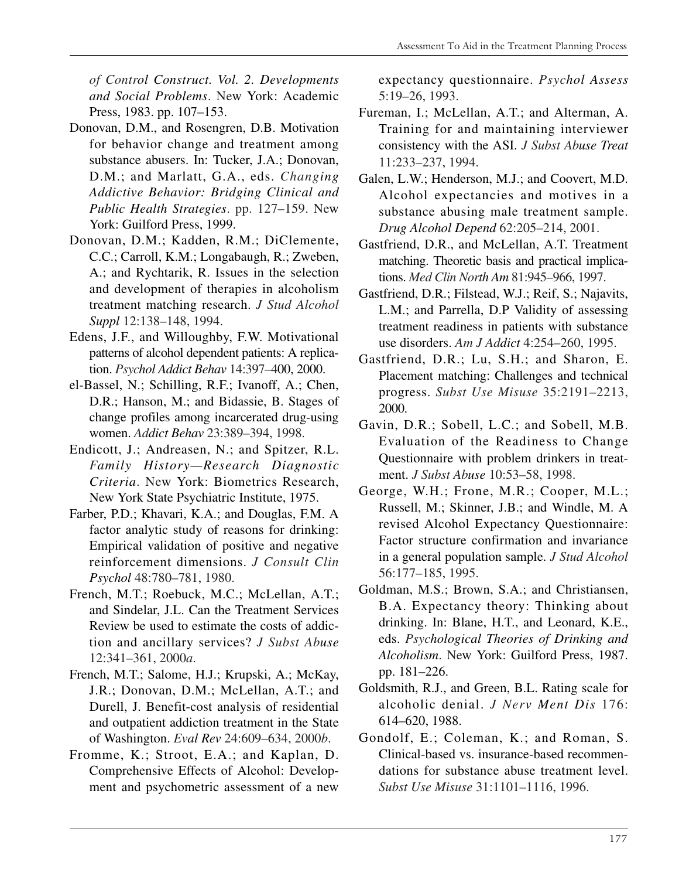*of Control Construct. Vol. 2. Developments and Social Problems*. New York: Academic Press, 1983. pp. 107–153.

- Donovan, D.M., and Rosengren, D.B. Motivation for behavior change and treatment among substance abusers. In: Tucker, J.A.; Donovan, D.M.; and Marlatt, G.A., eds. *Changing Addictive Behavior: Bridging Clinical and Public Health Strategies*. pp. 127–159. New York: Guilford Press, 1999.
- Donovan, D.M.; Kadden, R.M.; DiClemente, C.C.; Carroll, K.M.; Longabaugh, R.; Zweben, A.; and Rychtarik, R. Issues in the selection and development of therapies in alcoholism treatment matching research. *J Stud Alcohol Suppl* 12:138–148, 1994.
- Edens, J.F., and Willoughby, F.W. Motivational patterns of alcohol dependent patients: A replication. *Psychol Addict Behav* 14:397–400, 2000.
- el-Bassel, N.; Schilling, R.F.; Ivanoff, A.; Chen, D.R.; Hanson, M.; and Bidassie, B. Stages of change profiles among incarcerated drug-using women. *Addict Behav* 23:389–394, 1998.
- Endicott, J.; Andreasen, N.; and Spitzer, R.L. *Family History—Research Diagnostic Criteria*. New York: Biometrics Research, New York State Psychiatric Institute, 1975.
- Farber, P.D.; Khavari, K.A.; and Douglas, F.M. A factor analytic study of reasons for drinking: Empirical validation of positive and negative reinforcement dimensions. *J Consult Clin Psychol* 48:780–781, 1980.
- French, M.T.; Roebuck, M.C.; McLellan, A.T.; and Sindelar, J.L. Can the Treatment Services Review be used to estimate the costs of addiction and ancillary services? *J Subst Abuse*  12:341–361, 2000*a*.
- French, M.T.; Salome, H.J.; Krupski, A.; McKay, J.R.; Donovan, D.M.; McLellan, A.T.; and Durell, J. Benefit-cost analysis of residential and outpatient addiction treatment in the State of Washington. *Eval Rev* 24:609–634, 2000*b*.
- Fromme, K.; Stroot, E.A.; and Kaplan, D. Comprehensive Effects of Alcohol: Development and psychometric assessment of a new

expectancy questionnaire. *Psychol Assess*  5:19–26, 1993.

- Fureman, I.; McLellan, A.T.; and Alterman, A. Training for and maintaining interviewer consistency with the ASI. *J Subst Abuse Treat*  11:233–237, 1994.
- Galen, L.W.; Henderson, M.J.; and Coovert, M.D. Alcohol expectancies and motives in a substance abusing male treatment sample. *Drug Alcohol Depend* 62:205–214, 2001.
- Gastfriend, D.R., and McLellan, A.T. Treatment matching. Theoretic basis and practical implications. *Med Clin North Am* 81:945–966, 1997.
- Gastfriend, D.R.; Filstead, W.J.; Reif, S.; Najavits, L.M.; and Parrella, D.P Validity of assessing treatment readiness in patients with substance use disorders. *Am J Addict* 4:254–260, 1995.
- Gastfriend, D.R.; Lu, S.H.; and Sharon, E. Placement matching: Challenges and technical progress. *Subst Use Misuse* 35:2191–2213, 2000.
- Gavin, D.R.; Sobell, L.C.; and Sobell, M.B. Evaluation of the Readiness to Change Questionnaire with problem drinkers in treatment. *J Subst Abuse* 10:53–58, 1998.
- George, W.H.; Frone, M.R.; Cooper, M.L.; Russell, M.; Skinner, J.B.; and Windle, M. A revised Alcohol Expectancy Questionnaire: Factor structure confirmation and invariance in a general population sample. *J Stud Alcohol*  56:177–185, 1995.
- Goldman, M.S.; Brown, S.A.; and Christiansen, B.A. Expectancy theory: Thinking about drinking. In: Blane, H.T., and Leonard, K.E., eds. *Psychological Theories of Drinking and Alcoholism*. New York: Guilford Press, 1987. pp. 181–226.
- Goldsmith, R.J., and Green, B.L. Rating scale for alcoholic denial. *J Nerv Ment Dis* 176: 614–620, 1988.
- Gondolf, E.; Coleman, K.; and Roman, S. Clinical-based vs. insurance-based recommendations for substance abuse treatment level. *Subst Use Misuse* 31:1101–1116, 1996.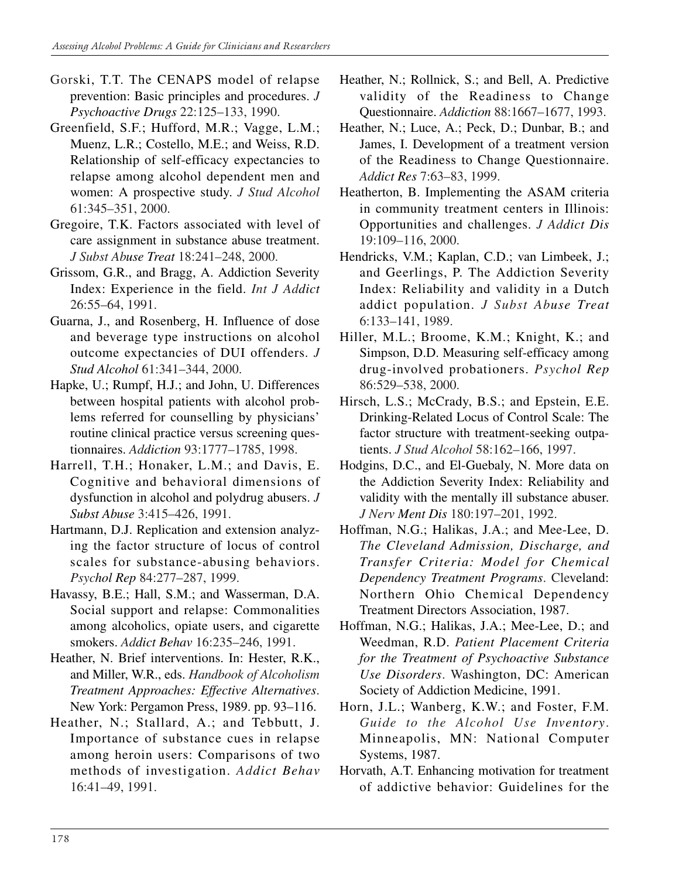- Gorski, T.T. The CENAPS model of relapse prevention: Basic principles and procedures. *J Psychoactive Drugs* 22:125–133, 1990.
- Greenfield, S.F.; Hufford, M.R.; Vagge, L.M.; Muenz, L.R.; Costello, M.E.; and Weiss, R.D. Relationship of self-efficacy expectancies to relapse among alcohol dependent men and women: A prospective study. *J Stud Alcohol*  61:345–351, 2000.
- Gregoire, T.K. Factors associated with level of care assignment in substance abuse treatment. *J Subst Abuse Treat* 18:241–248, 2000.
- Grissom, G.R., and Bragg, A. Addiction Severity Index: Experience in the field. *Int J Addict*  26:55–64, 1991.
- Guarna, J., and Rosenberg, H. Influence of dose and beverage type instructions on alcohol outcome expectancies of DUI offenders. *J Stud Alcohol* 61:341–344, 2000.
- Hapke, U.; Rumpf, H.J.; and John, U. Differences between hospital patients with alcohol problems referred for counselling by physicians' routine clinical practice versus screening questionnaires. *Addiction* 93:1777–1785, 1998.
- Harrell, T.H.; Honaker, L.M.; and Davis, E. Cognitive and behavioral dimensions of dysfunction in alcohol and polydrug abusers. *J Subst Abuse* 3:415–426, 1991.
- Hartmann, D.J. Replication and extension analyzing the factor structure of locus of control scales for substance-abusing behaviors. *Psychol Rep* 84:277–287, 1999.
- Havassy, B.E.; Hall, S.M.; and Wasserman, D.A. Social support and relapse: Commonalities among alcoholics, opiate users, and cigarette smokers. *Addict Behav* 16:235–246, 1991.
- Heather, N. Brief interventions. In: Hester, R.K., and Miller, W.R., eds. *Handbook of Alcoholism Treatment Approaches: Effective Alternatives*. New York: Pergamon Press, 1989. pp. 93–116.
- Heather, N.; Stallard, A.; and Tebbutt, J. Importance of substance cues in relapse among heroin users: Comparisons of two methods of investigation. *Addict Behav*  16:41–49, 1991.
- Heather, N.; Rollnick, S.; and Bell, A. Predictive validity of the Readiness to Change Questionnaire. *Addiction* 88:1667–1677, 1993.
- Heather, N.; Luce, A.; Peck, D.; Dunbar, B.; and James, I. Development of a treatment version of the Readiness to Change Questionnaire. *Addict Res* 7:63–83, 1999.
- Heatherton, B. Implementing the ASAM criteria in community treatment centers in Illinois: Opportunities and challenges. *J Addict Dis*  19:109–116, 2000.
- Hendricks, V.M.; Kaplan, C.D.; van Limbeek, J.; and Geerlings, P. The Addiction Severity Index: Reliability and validity in a Dutch addict population. *J Subst Abuse Treat*  6:133–141, 1989.
- Hiller, M.L.; Broome, K.M.; Knight, K.; and Simpson, D.D. Measuring self-efficacy among drug-involved probationers. *Psychol Rep*  86:529–538, 2000.
- Hirsch, L.S.; McCrady, B.S.; and Epstein, E.E. Drinking-Related Locus of Control Scale: The factor structure with treatment-seeking outpatients. *J Stud Alcohol* 58:162–166, 1997.
- Hodgins, D.C., and El-Guebaly, N. More data on the Addiction Severity Index: Reliability and validity with the mentally ill substance abuser. *J Nerv Ment Dis* 180:197–201, 1992.
- Hoffman, N.G.; Halikas, J.A.; and Mee-Lee, D. *The Cleveland Admission, Discharge, and Transfer Criteria: Model for Chemical Dependency Treatment Programs*. Cleveland: Northern Ohio Chemical Dependency Treatment Directors Association, 1987.
- Hoffman, N.G.; Halikas, J.A.; Mee-Lee, D.; and Weedman, R.D. *Patient Placement Criteria for the Treatment of Psychoactive Substance Use Disorders*. Washington, DC: American Society of Addiction Medicine, 1991.
- Horn, J.L.; Wanberg, K.W.; and Foster, F.M. *Guide to the Alcohol Use Inventory*. Minneapolis, MN: National Computer Systems, 1987.
- Horvath, A.T. Enhancing motivation for treatment of addictive behavior: Guidelines for the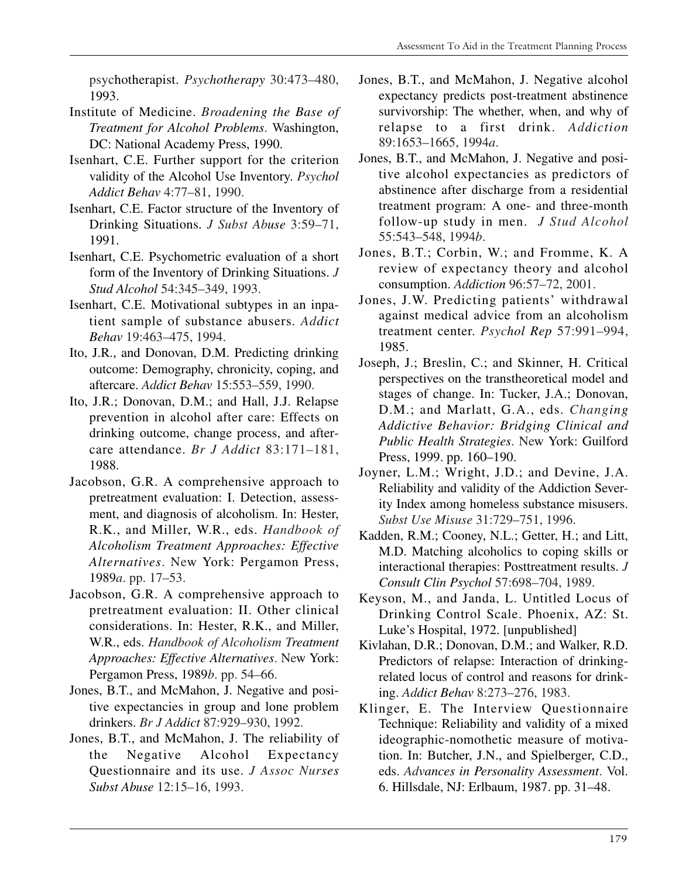psychotherapist. *Psychotherapy* 30:473–480, 1993.

- Institute of Medicine. *Broadening the Base of Treatment for Alcohol Problems*. Washington, DC: National Academy Press, 1990.
- Isenhart, C.E. Further support for the criterion validity of the Alcohol Use Inventory. *Psychol Addict Behav* 4:77–81, 1990.
- Isenhart, C.E. Factor structure of the Inventory of Drinking Situations. *J Subst Abuse* 3:59–71, 1991.
- Isenhart, C.E. Psychometric evaluation of a short form of the Inventory of Drinking Situations. *J Stud Alcohol* 54:345–349, 1993.
- Isenhart, C.E. Motivational subtypes in an inpatient sample of substance abusers. *Addict Behav* 19:463–475, 1994.
- Ito, J.R., and Donovan, D.M. Predicting drinking outcome: Demography, chronicity, coping, and aftercare. *Addict Behav* 15:553–559, 1990.
- Ito, J.R.; Donovan, D.M.; and Hall, J.J. Relapse prevention in alcohol after care: Effects on drinking outcome, change process, and aftercare attendance. *Br J Addict* 83:171–181, 1988.
- Jacobson, G.R. A comprehensive approach to pretreatment evaluation: I. Detection, assessment, and diagnosis of alcoholism. In: Hester, R.K., and Miller, W.R., eds. *Handbook of Alcoholism Treatment Approaches: Effective Alternatives*. New York: Pergamon Press, 1989*a*. pp. 17–53.
- Jacobson, G.R. A comprehensive approach to pretreatment evaluation: II. Other clinical considerations. In: Hester, R.K., and Miller, W.R., eds. *Handbook of Alcoholism Treatment Approaches: Effective Alternatives*. New York: Pergamon Press, 1989*b*. pp. 54–66.
- Jones, B.T., and McMahon, J. Negative and positive expectancies in group and lone problem drinkers. *Br J Addict* 87:929–930, 1992.
- Jones, B.T., and McMahon, J. The reliability of the Negative Alcohol Expectancy Questionnaire and its use. *J Assoc Nurses Subst Abuse* 12:15–16, 1993.
- Jones, B.T., and McMahon, J. Negative alcohol expectancy predicts post-treatment abstinence survivorship: The whether, when, and why of relapse to a first drink. *Addiction*  89:1653–1665, 1994*a*.
- Jones, B.T., and McMahon, J. Negative and positive alcohol expectancies as predictors of abstinence after discharge from a residential treatment program: A one- and three-month follow-up study in men. *J Stud Alcohol*  55:543–548, 1994*b*.
- Jones, B.T.; Corbin, W.; and Fromme, K. A review of expectancy theory and alcohol consumption. *Addiction* 96:57–72, 2001.
- Jones, J.W. Predicting patients' withdrawal against medical advice from an alcoholism treatment center. *Psychol Rep* 57:991–994, 1985.
- Joseph, J.; Breslin, C.; and Skinner, H. Critical perspectives on the transtheoretical model and stages of change. In: Tucker, J.A.; Donovan, D.M.; and Marlatt, G.A., eds. *Changing Addictive Behavior: Bridging Clinical and Public Health Strategies*. New York: Guilford Press, 1999. pp. 160–190.
- Joyner, L.M.; Wright, J.D.; and Devine, J.A. Reliability and validity of the Addiction Severity Index among homeless substance misusers. *Subst Use Misuse* 31:729–751, 1996.
- Kadden, R.M.; Cooney, N.L.; Getter, H.; and Litt, M.D. Matching alcoholics to coping skills or interactional therapies: Posttreatment results. *J Consult Clin Psychol* 57:698–704, 1989.
- Keyson, M., and Janda, L. Untitled Locus of Drinking Control Scale. Phoenix, AZ: St. Luke's Hospital, 1972. [unpublished]
- Kivlahan, D.R.; Donovan, D.M.; and Walker, R.D. Predictors of relapse: Interaction of drinkingrelated locus of control and reasons for drinking. *Addict Behav* 8:273–276, 1983.
- Klinger, E. The Interview Questionnaire Technique: Reliability and validity of a mixed ideographic-nomothetic measure of motivation. In: Butcher, J.N., and Spielberger, C.D., eds. *Advances in Personality Assessment*. Vol. 6. Hillsdale, NJ: Erlbaum, 1987. pp. 31–48.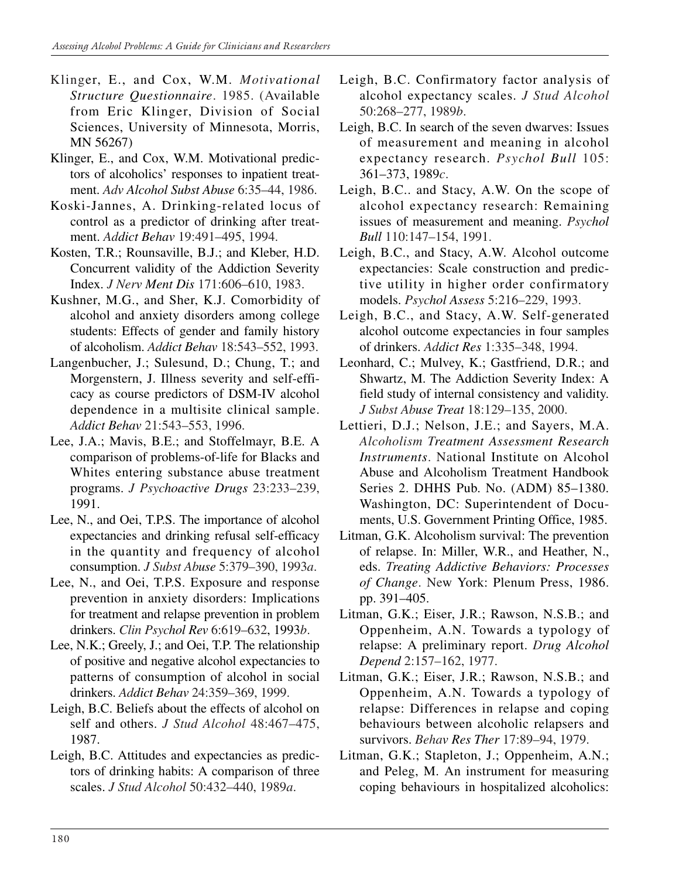- Klinger, E., and Cox, W.M. *Motivational Structure Questionnaire*. 1985. (Available from Eric Klinger, Division of Social Sciences, University of Minnesota, Morris, MN 56267)
- Klinger, E., and Cox, W.M. Motivational predictors of alcoholics' responses to inpatient treatment. *Adv Alcohol Subst Abuse* 6:35–44, 1986.
- Koski-Jannes, A. Drinking-related locus of control as a predictor of drinking after treatment. *Addict Behav* 19:491–495, 1994.
- Kosten, T.R.; Rounsaville, B.J.; and Kleber, H.D. Concurrent validity of the Addiction Severity Index. *J Nerv Ment Dis* 171:606–610, 1983.
- Kushner, M.G., and Sher, K.J. Comorbidity of alcohol and anxiety disorders among college students: Effects of gender and family history of alcoholism. *Addict Behav* 18:543–552, 1993.
- Langenbucher, J.; Sulesund, D.; Chung, T.; and Morgenstern, J. Illness severity and self-efficacy as course predictors of DSM-IV alcohol dependence in a multisite clinical sample. *Addict Behav* 21:543–553, 1996.
- Lee, J.A.; Mavis, B.E.; and Stoffelmayr, B.E. A comparison of problems-of-life for Blacks and Whites entering substance abuse treatment programs. *J Psychoactive Drugs* 23:233–239, 1991.
- Lee, N., and Oei, T.P.S. The importance of alcohol expectancies and drinking refusal self-efficacy in the quantity and frequency of alcohol consumption. *J Subst Abuse* 5:379–390, 1993*a*.
- Lee, N., and Oei, T.P.S. Exposure and response prevention in anxiety disorders: Implications for treatment and relapse prevention in problem drinkers. *Clin Psychol Rev* 6:619–632, 1993*b*.
- Lee, N.K.; Greely, J.; and Oei, T.P. The relationship of positive and negative alcohol expectancies to patterns of consumption of alcohol in social drinkers. *Addict Behav* 24:359–369, 1999.
- Leigh, B.C. Beliefs about the effects of alcohol on self and others. *J Stud Alcohol* 48:467–475, 1987.
- Leigh, B.C. Attitudes and expectancies as predictors of drinking habits: A comparison of three scales. *J Stud Alcohol* 50:432–440, 1989*a*.
- Leigh, B.C. Confirmatory factor analysis of alcohol expectancy scales. *J Stud Alcohol*  50:268–277, 1989*b*.
- Leigh, B.C. In search of the seven dwarves: Issues of measurement and meaning in alcohol expectancy research. *Psychol Bull* 105: 361–373, 1989*c*.
- Leigh, B.C.. and Stacy, A.W. On the scope of alcohol expectancy research: Remaining issues of measurement and meaning. *Psychol Bull* 110:147–154, 1991.
- Leigh, B.C., and Stacy, A.W. Alcohol outcome expectancies: Scale construction and predictive utility in higher order confirmatory models. *Psychol Assess* 5:216–229, 1993.
- Leigh, B.C., and Stacy, A.W. Self-generated alcohol outcome expectancies in four samples of drinkers. *Addict Res* 1:335–348, 1994.
- Leonhard, C.; Mulvey, K.; Gastfriend, D.R.; and Shwartz, M. The Addiction Severity Index: A field study of internal consistency and validity. *J Subst Abuse Treat* 18:129–135, 2000.
- Lettieri, D.J.; Nelson, J.E.; and Sayers, M.A. *Alcoholism Treatment Assessment Research Instruments*. National Institute on Alcohol Abuse and Alcoholism Treatment Handbook Series 2. DHHS Pub. No. (ADM) 85–1380. Washington, DC: Superintendent of Documents, U.S. Government Printing Office, 1985.
- Litman, G.K. Alcoholism survival: The prevention of relapse. In: Miller, W.R., and Heather, N., eds. *Treating Addictive Behaviors: Processes of Change*. New York: Plenum Press, 1986. pp. 391–405.
- Litman, G.K.; Eiser, J.R.; Rawson, N.S.B.; and Oppenheim, A.N. Towards a typology of relapse: A preliminary report. *Drug Alcohol Depend* 2:157–162, 1977.
- Litman, G.K.; Eiser, J.R.; Rawson, N.S.B.; and Oppenheim, A.N. Towards a typology of relapse: Differences in relapse and coping behaviours between alcoholic relapsers and survivors. *Behav Res Ther* 17:89–94, 1979.
- Litman, G.K.; Stapleton, J.; Oppenheim, A.N.; and Peleg, M. An instrument for measuring coping behaviours in hospitalized alcoholics: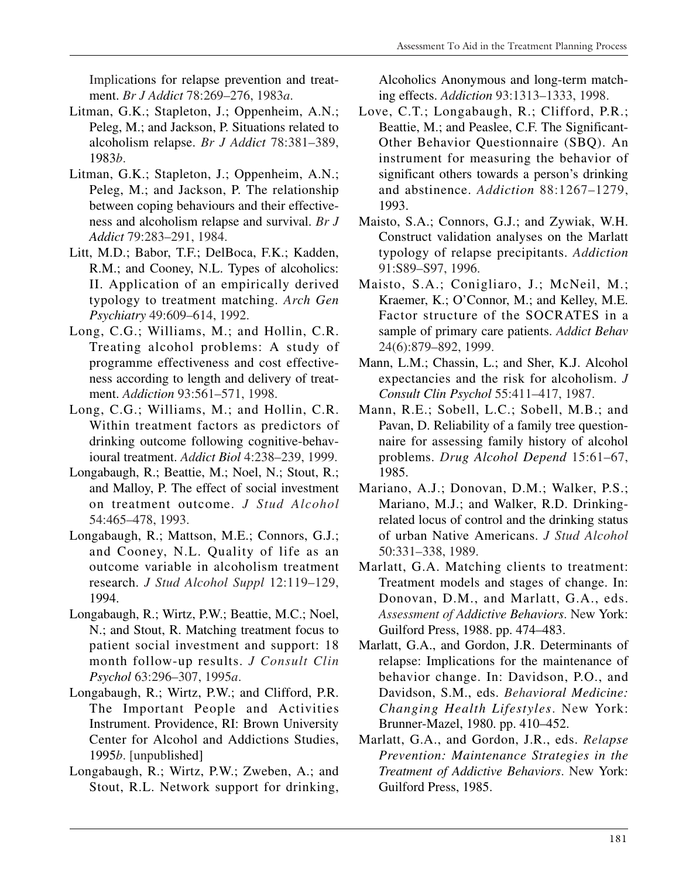Implications for relapse prevention and treatment. *Br J Addict* 78:269–276, 1983*a*.

- Litman, G.K.; Stapleton, J.; Oppenheim, A.N.; Peleg, M.; and Jackson, P. Situations related to alcoholism relapse. *Br J Addict* 78:381–389, 1983*b*.
- Litman, G.K.; Stapleton, J.; Oppenheim, A.N.; Peleg, M.; and Jackson, P. The relationship between coping behaviours and their effectiveness and alcoholism relapse and survival. *Br J Addict* 79:283–291, 1984.
- Litt, M.D.; Babor, T.F.; DelBoca, F.K.; Kadden, R.M.; and Cooney, N.L. Types of alcoholics: II. Application of an empirically derived typology to treatment matching. *Arch Gen Psychiatry* 49:609–614, 1992.
- Long, C.G.; Williams, M.; and Hollin, C.R. Treating alcohol problems: A study of programme effectiveness and cost effectiveness according to length and delivery of treatment. *Addiction* 93:561–571, 1998.
- Long, C.G.; Williams, M.; and Hollin, C.R. Within treatment factors as predictors of drinking outcome following cognitive-behavioural treatment. *Addict Biol* 4:238–239, 1999.
- Longabaugh, R.; Beattie, M.; Noel, N.; Stout, R.; and Malloy, P. The effect of social investment on treatment outcome. *J Stud Alcohol*  54:465–478, 1993.
- Longabaugh, R.; Mattson, M.E.; Connors, G.J.; and Cooney, N.L. Quality of life as an outcome variable in alcoholism treatment research. *J Stud Alcohol Suppl* 12:119–129, 1994.
- Longabaugh, R.; Wirtz, P.W.; Beattie, M.C.; Noel, N.; and Stout, R. Matching treatment focus to patient social investment and support: 18 month follow-up results. *J Consult Clin Psychol* 63:296–307, 1995*a*.
- Longabaugh, R.; Wirtz, P.W.; and Clifford, P.R. The Important People and Activities Instrument. Providence, RI: Brown University Center for Alcohol and Addictions Studies, 1995*b*. [unpublished]
- Longabaugh, R.; Wirtz, P.W.; Zweben, A.; and Stout, R.L. Network support for drinking,

Alcoholics Anonymous and long-term matching effects. *Addiction* 93:1313–1333, 1998.

- Love, C.T.; Longabaugh, R.; Clifford, P.R.; Beattie, M.; and Peaslee, C.F. The Significant-Other Behavior Questionnaire (SBQ). An instrument for measuring the behavior of significant others towards a person's drinking and abstinence. *Addiction* 88:1267–1279, 1993.
- Maisto, S.A.; Connors, G.J.; and Zywiak, W.H. Construct validation analyses on the Marlatt typology of relapse precipitants. *Addiction*  91:S89–S97, 1996.
- Maisto, S.A.; Conigliaro, J.; McNeil, M.; Kraemer, K.; O'Connor, M.; and Kelley, M.E. Factor structure of the SOCRATES in a sample of primary care patients. *Addict Behav*  24(6):879–892, 1999.
- Mann, L.M.; Chassin, L.; and Sher, K.J. Alcohol expectancies and the risk for alcoholism. *J Consult Clin Psychol* 55:411–417, 1987.
- Mann, R.E.; Sobell, L.C.; Sobell, M.B.; and Pavan, D. Reliability of a family tree questionnaire for assessing family history of alcohol problems. *Drug Alcohol Depend* 15:61–67, 1985.
- Mariano, A.J.; Donovan, D.M.; Walker, P.S.; Mariano, M.J.; and Walker, R.D. Drinkingrelated locus of control and the drinking status of urban Native Americans. *J Stud Alcohol*  50:331–338, 1989.
- Marlatt, G.A. Matching clients to treatment: Treatment models and stages of change. In: Donovan, D.M., and Marlatt, G.A., eds. *Assessment of Addictive Behaviors*. New York: Guilford Press, 1988. pp. 474–483.
- Marlatt, G.A., and Gordon, J.R. Determinants of relapse: Implications for the maintenance of behavior change. In: Davidson, P.O., and Davidson, S.M., eds. *Behavioral Medicine: Changing Health Lifestyles*. New York: Brunner-Mazel, 1980. pp. 410–452.
- Marlatt, G.A., and Gordon, J.R., eds. *Relapse Prevention: Maintenance Strategies in the Treatment of Addictive Behaviors*. New York: Guilford Press, 1985.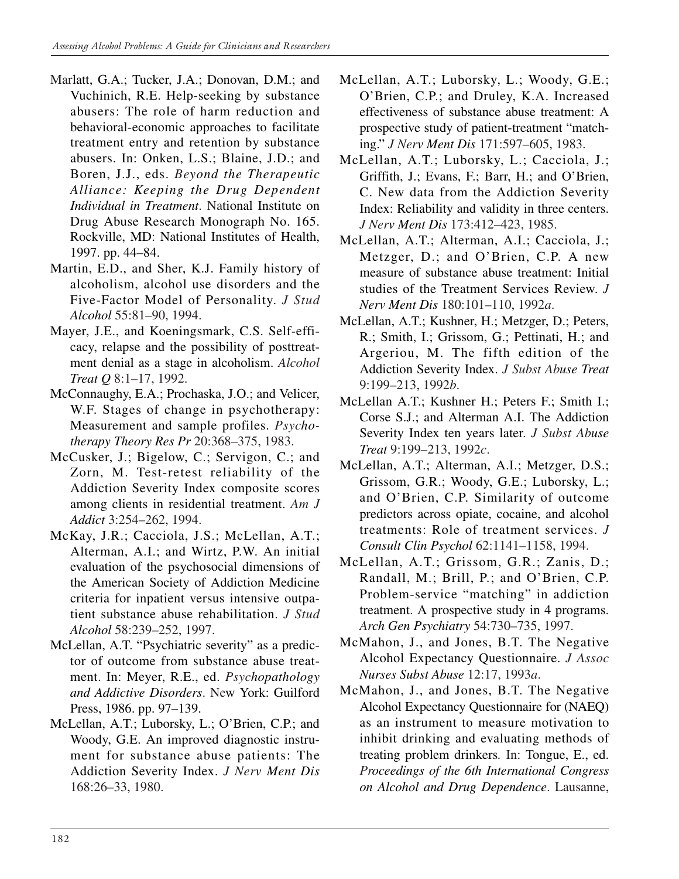- Marlatt, G.A.; Tucker, J.A.; Donovan, D.M.; and Vuchinich, R.E. Help-seeking by substance abusers: The role of harm reduction and behavioral-economic approaches to facilitate treatment entry and retention by substance abusers. In: Onken, L.S.; Blaine, J.D.; and Boren, J.J., eds. *Beyond the Therapeutic Alliance: Keeping the Drug Dependent Individual in Treatment*. National Institute on Drug Abuse Research Monograph No. 165. Rockville, MD: National Institutes of Health, 1997. pp. 44–84.
- Martin, E.D., and Sher, K.J. Family history of alcoholism, alcohol use disorders and the Five-Factor Model of Personality. *J Stud Alcohol* 55:81–90, 1994.
- Mayer, J.E., and Koeningsmark, C.S. Self-efficacy, relapse and the possibility of posttreatment denial as a stage in alcoholism. *Alcohol Treat Q* 8:1–17, 1992.
- McConnaughy, E.A.; Prochaska, J.O.; and Velicer, W.F. Stages of change in psychotherapy: Measurement and sample profiles. *Psychotherapy Theory Res Pr* 20:368–375, 1983.
- McCusker, J.; Bigelow, C.; Servigon, C.; and Zorn, M. Test-retest reliability of the Addiction Severity Index composite scores among clients in residential treatment. *Am J Addict* 3:254–262, 1994.
- McKay, J.R.; Cacciola, J.S.; McLellan, A.T.; Alterman, A.I.; and Wirtz, P.W. An initial evaluation of the psychosocial dimensions of the American Society of Addiction Medicine criteria for inpatient versus intensive outpatient substance abuse rehabilitation. *J Stud Alcohol* 58:239–252, 1997.
- McLellan, A.T. "Psychiatric severity" as a predictor of outcome from substance abuse treatment. In: Meyer, R.E., ed. *Psychopathology and Addictive Disorders*. New York: Guilford Press, 1986. pp. 97–139.
- McLellan, A.T.; Luborsky, L.; O'Brien, C.P.; and Woody, G.E. An improved diagnostic instrument for substance abuse patients: The Addiction Severity Index. *J Nerv Ment Dis*  168:26–33, 1980.
- McLellan, A.T.; Luborsky, L.; Woody, G.E.; O'Brien, C.P.; and Druley, K.A. Increased effectiveness of substance abuse treatment: A prospective study of patient-treatment "matching." *J Nerv Ment Dis* 171:597–605, 1983.
- McLellan, A.T.; Luborsky, L.; Cacciola, J.; Griffith, J.; Evans, F.; Barr, H.; and O'Brien, C. New data from the Addiction Severity Index: Reliability and validity in three centers. *J Nerv Ment Dis* 173:412–423, 1985.
- McLellan, A.T.; Alterman, A.I.; Cacciola, J.; Metzger, D.; and O'Brien, C.P. A new measure of substance abuse treatment: Initial studies of the Treatment Services Review. *J Nerv Ment Dis* 180:101–110, 1992*a*.
- McLellan, A.T.; Kushner, H.; Metzger, D.; Peters, R.; Smith, I.; Grissom, G.; Pettinati, H.; and Argeriou, M. The fifth edition of the Addiction Severity Index. *J Subst Abuse Treat*  9:199–213, 1992*b*.
- McLellan A.T.; Kushner H.; Peters F.; Smith I.; Corse S.J.; and Alterman A.I. The Addiction Severity Index ten years later. *J Subst Abuse Treat* 9:199–213, 1992*c*.
- McLellan, A.T.; Alterman, A.I.; Metzger, D.S.; Grissom, G.R.; Woody, G.E.; Luborsky, L.; and O'Brien, C.P. Similarity of outcome predictors across opiate, cocaine, and alcohol treatments: Role of treatment services. *J Consult Clin Psychol* 62:1141–1158, 1994.
- McLellan, A.T.; Grissom, G.R.; Zanis, D.; Randall, M.; Brill, P.; and O'Brien, C.P. Problem-service "matching" in addiction treatment. A prospective study in 4 programs. *Arch Gen Psychiatry* 54:730–735, 1997.
- McMahon, J., and Jones, B.T. The Negative Alcohol Expectancy Questionnaire. *J Assoc Nurses Subst Abuse* 12:17, 1993*a*.
- McMahon, J., and Jones, B.T. The Negative Alcohol Expectancy Questionnaire for (NAEQ) as an instrument to measure motivation to inhibit drinking and evaluating methods of treating problem drinkers*.* In: Tongue, E., ed. *Proceedings of the 6th International Congress on Alcohol and Drug Dependence*. Lausanne,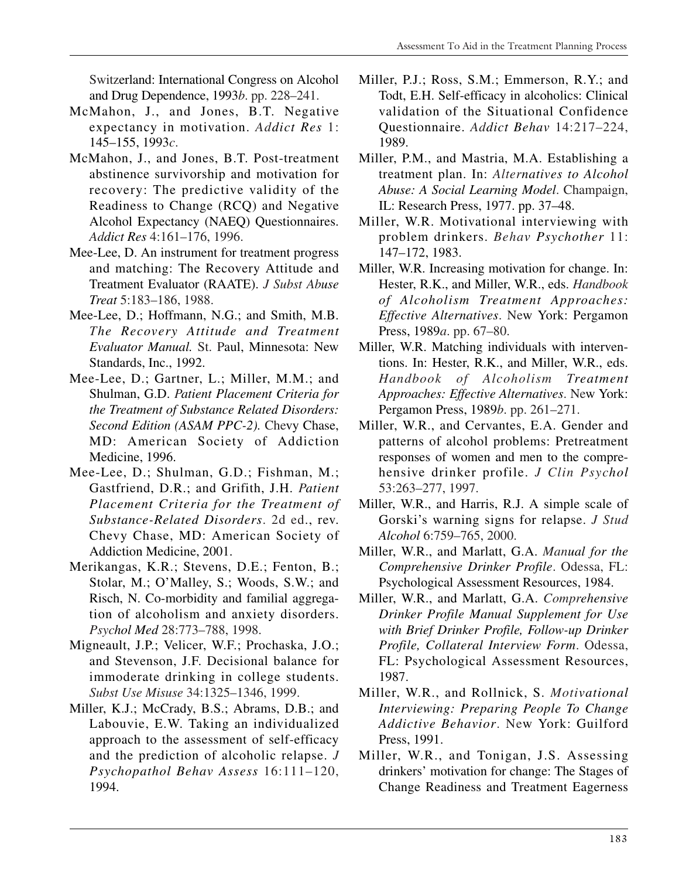Switzerland: International Congress on Alcohol and Drug Dependence, 1993*b*. pp. 228–241.

- McMahon, J., and Jones, B.T. Negative expectancy in motivation. *Addict Res* 1: 145–155, 1993*c*.
- McMahon, J., and Jones, B.T. Post-treatment abstinence survivorship and motivation for recovery: The predictive validity of the Readiness to Change (RCQ) and Negative Alcohol Expectancy (NAEQ) Questionnaires. *Addict Res* 4:161–176, 1996.
- Mee-Lee, D. An instrument for treatment progress and matching: The Recovery Attitude and Treatment Evaluator (RAATE). *J Subst Abuse Treat* 5:183–186, 1988.
- Mee-Lee, D.; Hoffmann, N.G.; and Smith, M.B. *The Recovery Attitude and Treatment Evaluator Manual.* St. Paul, Minnesota: New Standards, Inc., 1992.
- Mee-Lee, D.; Gartner, L.; Miller, M.M.; and Shulman, G.D. *Patient Placement Criteria for the Treatment of Substance Related Disorders: Second Edition (ASAM PPC-2).* Chevy Chase, MD: American Society of Addiction Medicine, 1996.
- Mee-Lee, D.; Shulman, G.D.; Fishman, M.; Gastfriend, D.R.; and Grifith, J.H. *Patient Placement Criteria for the Treatment of Substance-Related Disorders*. 2d ed., rev. Chevy Chase, MD: American Society of Addiction Medicine, 2001.
- Merikangas, K.R.; Stevens, D.E.; Fenton, B.; Stolar, M.; O'Malley, S.; Woods, S.W.; and Risch, N. Co-morbidity and familial aggregation of alcoholism and anxiety disorders. *Psychol Med* 28:773–788, 1998.
- Migneault, J.P.; Velicer, W.F.; Prochaska, J.O.; and Stevenson, J.F. Decisional balance for immoderate drinking in college students. *Subst Use Misuse* 34:1325–1346, 1999.
- Miller, K.J.; McCrady, B.S.; Abrams, D.B.; and Labouvie, E.W. Taking an individualized approach to the assessment of self-efficacy and the prediction of alcoholic relapse. *J Psychopathol Behav Assess* 16:111–120, 1994.
- Miller, P.J.; Ross, S.M.; Emmerson, R.Y.; and Todt, E.H. Self-efficacy in alcoholics: Clinical validation of the Situational Confidence Questionnaire. *Addict Behav* 14:217–224, 1989.
- Miller, P.M., and Mastria, M.A. Establishing a treatment plan. In: *Alternatives to Alcohol Abuse: A Social Learning Model*. Champaign, IL: Research Press, 1977. pp. 37–48.
- Miller, W.R. Motivational interviewing with problem drinkers. *Behav Psychother* 11: 147–172, 1983.
- Miller, W.R. Increasing motivation for change. In: Hester, R.K., and Miller, W.R., eds. *Handbook of Alcoholism Treatment Approaches: Effective Alternatives*. New York: Pergamon Press, 1989*a*. pp. 67–80.
- Miller, W.R. Matching individuals with interventions. In: Hester, R.K., and Miller, W.R., eds. *Handbook of Alcoholism Treatment Approaches: Effective Alternatives*. New York: Pergamon Press, 1989*b*. pp. 261–271.
- Miller, W.R., and Cervantes, E.A. Gender and patterns of alcohol problems: Pretreatment responses of women and men to the comprehensive drinker profile. *J Clin Psychol*  53:263–277, 1997.
- Miller, W.R., and Harris, R.J. A simple scale of Gorski's warning signs for relapse. *J Stud Alcohol* 6:759–765, 2000.
- Miller, W.R., and Marlatt, G.A. *Manual for the Comprehensive Drinker Profile*. Odessa, FL: Psychological Assessment Resources, 1984.
- Miller, W.R., and Marlatt, G.A. *Comprehensive Drinker Profile Manual Supplement for Use with Brief Drinker Profile, Follow-up Drinker Profile, Collateral Interview Form*. Odessa, FL: Psychological Assessment Resources, 1987.
- Miller, W.R., and Rollnick, S. *Motivational Interviewing: Preparing People To Change Addictive Behavior*. New York: Guilford Press, 1991.
- Miller, W.R., and Tonigan, J.S. Assessing drinkers' motivation for change: The Stages of Change Readiness and Treatment Eagerness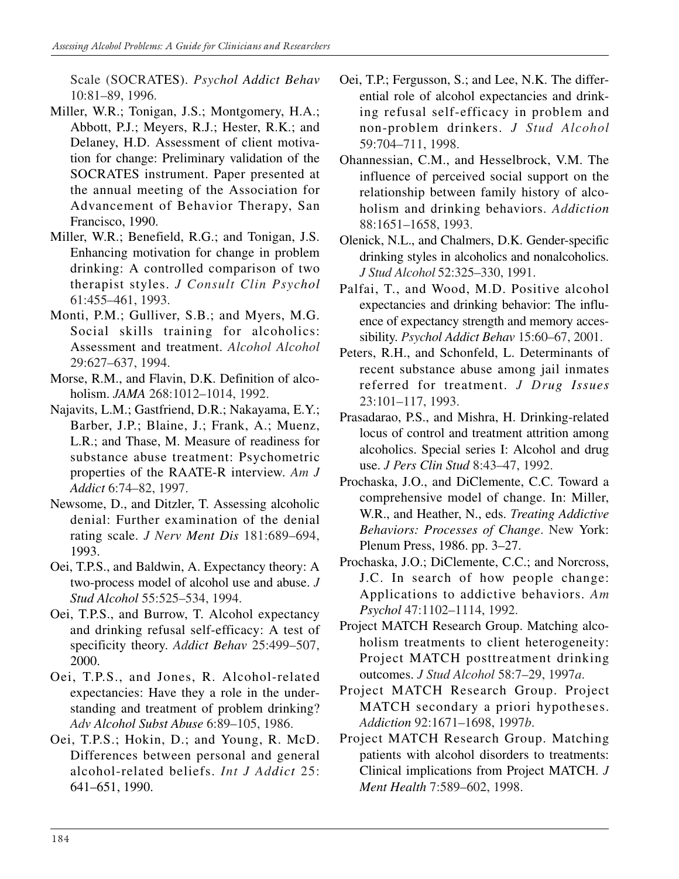Scale (SOCRATES). *Psychol Addict Behav*  10:81–89, 1996.

- Miller, W.R.; Tonigan, J.S.; Montgomery, H.A.; Abbott, P.J.; Meyers, R.J.; Hester, R.K.; and Delaney, H.D. Assessment of client motivation for change: Preliminary validation of the SOCRATES instrument. Paper presented at the annual meeting of the Association for Advancement of Behavior Therapy, San Francisco, 1990.
- Miller, W.R.; Benefield, R.G.; and Tonigan, J.S. Enhancing motivation for change in problem drinking: A controlled comparison of two therapist styles. *J Consult Clin Psychol*  61:455–461, 1993.
- Monti, P.M.; Gulliver, S.B.; and Myers, M.G. Social skills training for alcoholics: Assessment and treatment. *Alcohol Alcohol*  29:627–637, 1994.
- Morse, R.M., and Flavin, D.K. Definition of alcoholism. *JAMA* 268:1012–1014, 1992.
- Najavits, L.M.; Gastfriend, D.R.; Nakayama, E.Y.; Barber, J.P.; Blaine, J.; Frank, A.; Muenz, L.R.; and Thase, M. Measure of readiness for substance abuse treatment: Psychometric properties of the RAATE-R interview. *Am J Addict* 6:74–82, 1997.
- Newsome, D., and Ditzler, T. Assessing alcoholic denial: Further examination of the denial rating scale. *J Nerv Ment Dis* 181:689–694, 1993.
- Oei, T.P.S., and Baldwin, A. Expectancy theory: A two-process model of alcohol use and abuse. *J Stud Alcohol* 55:525–534, 1994.
- Oei, T.P.S., and Burrow, T. Alcohol expectancy and drinking refusal self-efficacy: A test of specificity theory. *Addict Behav* 25:499–507, 2000.
- Oei, T.P.S., and Jones, R. Alcohol-related expectancies: Have they a role in the understanding and treatment of problem drinking? *Adv Alcohol Subst Abuse* 6:89–105, 1986.
- Oei, T.P.S.; Hokin, D.; and Young, R. McD. Differences between personal and general alcohol-related beliefs. *Int J Addict* 25: 641–651, 1990.
- Oei, T.P.; Fergusson, S.; and Lee, N.K. The differential role of alcohol expectancies and drinking refusal self-efficacy in problem and non-problem drinkers. *J Stud Alcohol*  59:704–711, 1998.
- Ohannessian, C.M., and Hesselbrock, V.M. The influence of perceived social support on the relationship between family history of alcoholism and drinking behaviors. *Addiction*  88:1651–1658, 1993.
- Olenick, N.L., and Chalmers, D.K. Gender-specific drinking styles in alcoholics and nonalcoholics. *J Stud Alcohol* 52:325–330, 1991.
- Palfai, T., and Wood, M.D. Positive alcohol expectancies and drinking behavior: The influence of expectancy strength and memory accessibility. *Psychol Addict Behav* 15:60–67, 2001.
- Peters, R.H., and Schonfeld, L. Determinants of recent substance abuse among jail inmates referred for treatment. *J Drug Issues*  23:101–117, 1993.
- Prasadarao, P.S., and Mishra, H. Drinking-related locus of control and treatment attrition among alcoholics. Special series I: Alcohol and drug use. *J Pers Clin Stud* 8:43–47, 1992.
- Prochaska, J.O., and DiClemente, C.C. Toward a comprehensive model of change. In: Miller, W.R., and Heather, N., eds. *Treating Addictive Behaviors: Processes of Change*. New York: Plenum Press, 1986. pp. 3–27.
- Prochaska, J.O.; DiClemente, C.C.; and Norcross, J.C. In search of how people change: Applications to addictive behaviors. *Am Psychol* 47:1102–1114, 1992.
- Project MATCH Research Group. Matching alcoholism treatments to client heterogeneity: Project MATCH posttreatment drinking outcomes. *J Stud Alcohol* 58:7–29, 1997*a*.
- Project MATCH Research Group. Project MATCH secondary a priori hypotheses. *Addiction* 92:1671–1698, 1997*b*.
- Project MATCH Research Group. Matching patients with alcohol disorders to treatments: Clinical implications from Project MATCH. *J Ment Health* 7:589–602, 1998.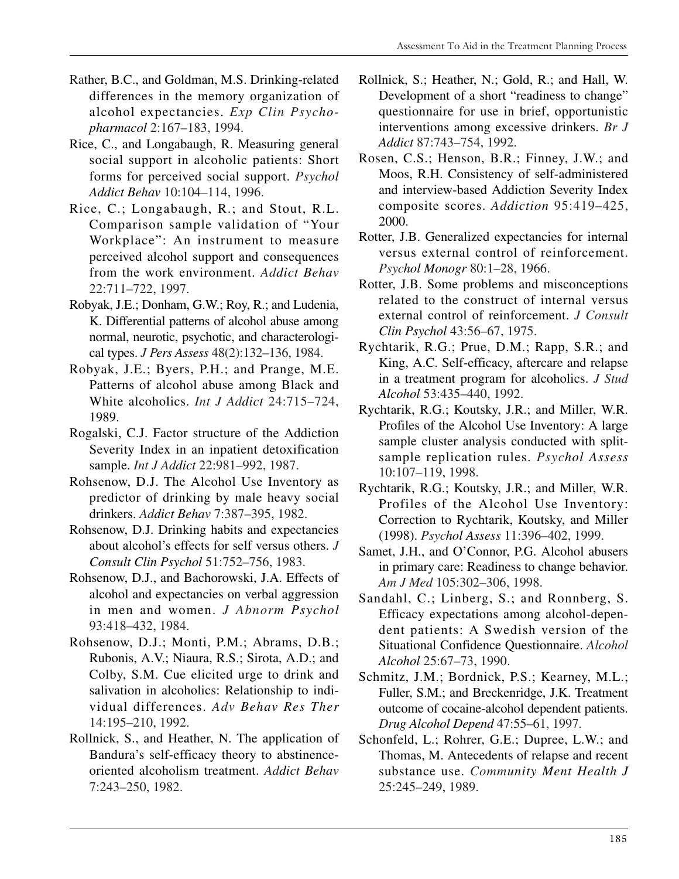- Rather, B.C., and Goldman, M.S. Drinking-related differences in the memory organization of alcohol expectancies. *Exp Clin Psychopharmacol* 2:167–183, 1994.
- Rice, C., and Longabaugh, R. Measuring general social support in alcoholic patients: Short forms for perceived social support. *Psychol Addict Behav* 10:104–114, 1996.
- Rice, C.; Longabaugh, R.; and Stout, R.L. Comparison sample validation of "Your Workplace": An instrument to measure perceived alcohol support and consequences from the work environment. *Addict Behav*  22:711–722, 1997.
- Robyak, J.E.; Donham, G.W.; Roy, R.; and Ludenia, K. Differential patterns of alcohol abuse among normal, neurotic, psychotic, and characterological types. *J Pers Assess* 48(2):132–136, 1984.
- Robyak, J.E.; Byers, P.H.; and Prange, M.E. Patterns of alcohol abuse among Black and White alcoholics. *Int J Addict* 24:715–724, 1989.
- Rogalski, C.J. Factor structure of the Addiction Severity Index in an inpatient detoxification sample. *Int J Addict* 22:981–992, 1987.
- Rohsenow, D.J. The Alcohol Use Inventory as predictor of drinking by male heavy social drinkers. *Addict Behav* 7:387–395, 1982.
- Rohsenow, D.J. Drinking habits and expectancies about alcohol's effects for self versus others. *J Consult Clin Psychol* 51:752–756, 1983.
- Rohsenow, D.J., and Bachorowski, J.A. Effects of alcohol and expectancies on verbal aggression in men and women. *J Abnorm Psychol*  93:418–432, 1984.
- Rohsenow, D.J.; Monti, P.M.; Abrams, D.B.; Rubonis, A.V.; Niaura, R.S.; Sirota, A.D.; and Colby, S.M. Cue elicited urge to drink and salivation in alcoholics: Relationship to individual differences. *Adv Behav Res Ther*  14:195–210, 1992.
- Rollnick, S., and Heather, N. The application of Bandura's self-efficacy theory to abstinenceoriented alcoholism treatment. *Addict Behav*  7:243–250, 1982.
- Rollnick, S.; Heather, N.; Gold, R.; and Hall, W. Development of a short "readiness to change" questionnaire for use in brief, opportunistic interventions among excessive drinkers. *Br J Addict* 87:743–754, 1992.
- Rosen, C.S.; Henson, B.R.; Finney, J.W.; and Moos, R.H. Consistency of self-administered and interview-based Addiction Severity Index composite scores. *Addiction* 95:419–425, 2000.
- Rotter, J.B. Generalized expectancies for internal versus external control of reinforcement. *Psychol Monogr* 80:1–28, 1966.
- Rotter, J.B. Some problems and misconceptions related to the construct of internal versus external control of reinforcement. *J Consult Clin Psychol* 43:56–67, 1975.
- Rychtarik, R.G.; Prue, D.M.; Rapp, S.R.; and King, A.C. Self-efficacy, aftercare and relapse in a treatment program for alcoholics. *J Stud Alcohol* 53:435–440, 1992.
- Rychtarik, R.G.; Koutsky, J.R.; and Miller, W.R. Profiles of the Alcohol Use Inventory: A large sample cluster analysis conducted with splitsample replication rules. *Psychol Assess*  10:107–119, 1998.
- Rychtarik, R.G.; Koutsky, J.R.; and Miller, W.R. Profiles of the Alcohol Use Inventory: Correction to Rychtarik, Koutsky, and Miller (1998). *Psychol Assess* 11:396–402, 1999.
- Samet, J.H., and O'Connor, P.G. Alcohol abusers in primary care: Readiness to change behavior. *Am J Med* 105:302–306, 1998.
- Sandahl, C.; Linberg, S.; and Ronnberg, S. Efficacy expectations among alcohol-dependent patients: A Swedish version of the Situational Confidence Questionnaire. *Alcohol Alcohol* 25:67–73, 1990.
- Schmitz, J.M.; Bordnick, P.S.; Kearney, M.L.; Fuller, S.M.; and Breckenridge, J.K. Treatment outcome of cocaine-alcohol dependent patients. *Drug Alcohol Depend* 47:55–61, 1997.
- Schonfeld, L.; Rohrer, G.E.; Dupree, L.W.; and Thomas, M. Antecedents of relapse and recent substance use. *Community Ment Health J*  25:245–249, 1989.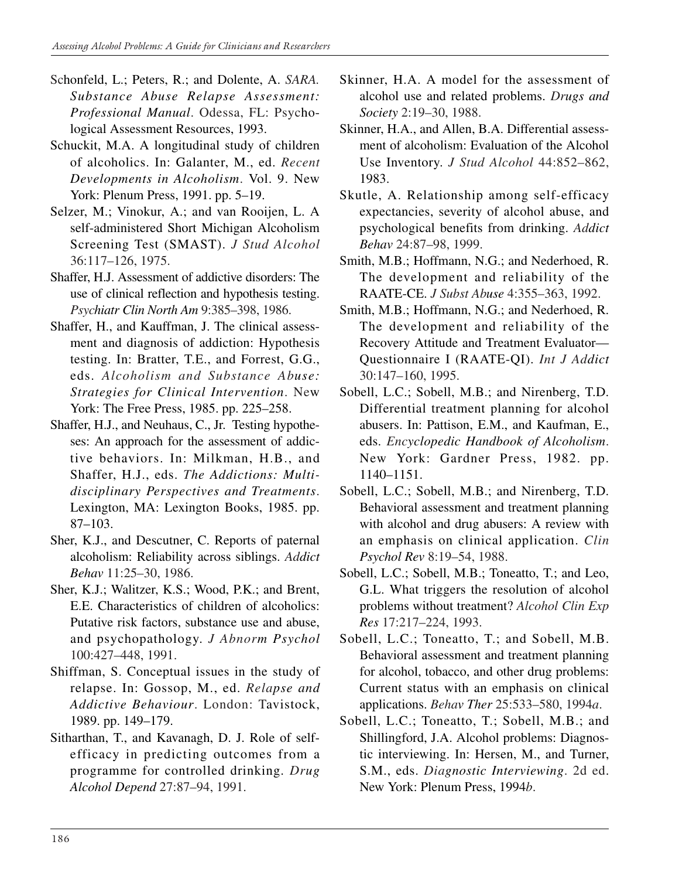- Schonfeld, L.; Peters, R.; and Dolente, A. *SARA. Substance Abuse Relapse Assessment: Professional Manual*. Odessa, FL: Psychological Assessment Resources, 1993.
- Schuckit, M.A. A longitudinal study of children of alcoholics. In: Galanter, M., ed. *Recent Developments in Alcoholism*. Vol. 9. New York: Plenum Press, 1991. pp. 5–19.
- Selzer, M.; Vinokur, A.; and van Rooijen, L. A self-administered Short Michigan Alcoholism Screening Test (SMAST). *J Stud Alcohol*  36:117–126, 1975.
- Shaffer, H.J. Assessment of addictive disorders: The use of clinical reflection and hypothesis testing. *Psychiatr Clin North Am* 9:385–398, 1986.
- Shaffer, H., and Kauffman, J. The clinical assessment and diagnosis of addiction: Hypothesis testing. In: Bratter, T.E., and Forrest, G.G., eds. *Alcoholism and Substance Abuse: Strategies for Clinical Intervention*. New York: The Free Press, 1985. pp. 225–258.
- Shaffer, H.J., and Neuhaus, C., Jr. Testing hypotheses: An approach for the assessment of addictive behaviors. In: Milkman, H.B., and Shaffer, H.J., eds. *The Addictions: Multidisciplinary Perspectives and Treatments*. Lexington, MA: Lexington Books, 1985. pp. 87–103.
- Sher, K.J., and Descutner, C. Reports of paternal alcoholism: Reliability across siblings. *Addict Behav* 11:25–30, 1986.
- Sher, K.J.; Walitzer, K.S.; Wood, P.K.; and Brent, E.E. Characteristics of children of alcoholics: Putative risk factors, substance use and abuse, and psychopathology. *J Abnorm Psychol*  100:427–448, 1991.
- Shiffman, S. Conceptual issues in the study of relapse. In: Gossop, M., ed. *Relapse and Addictive Behaviour*. London: Tavistock, 1989. pp. 149–179.
- Sitharthan, T., and Kavanagh, D. J. Role of selfefficacy in predicting outcomes from a programme for controlled drinking. *Drug Alcohol Depend* 27:87–94, 1991.
- Skinner, H.A. A model for the assessment of alcohol use and related problems. *Drugs and Society* 2:19–30, 1988.
- Skinner, H.A., and Allen, B.A. Differential assessment of alcoholism: Evaluation of the Alcohol Use Inventory. *J Stud Alcohol* 44:852–862, 1983.
- Skutle, A. Relationship among self-efficacy expectancies, severity of alcohol abuse, and psychological benefits from drinking. *Addict Behav* 24:87–98, 1999.
- Smith, M.B.; Hoffmann, N.G.; and Nederhoed, R. The development and reliability of the RAATE-CE. *J Subst Abuse* 4:355–363, 1992.
- Smith, M.B.; Hoffmann, N.G.; and Nederhoed, R. The development and reliability of the Recovery Attitude and Treatment Evaluator— Questionnaire I (RAATE-QI). *Int J Addict*  30:147–160, 1995.
- Sobell, L.C.; Sobell, M.B.; and Nirenberg, T.D. Differential treatment planning for alcohol abusers. In: Pattison, E.M., and Kaufman, E., eds. *Encyclopedic Handbook of Alcoholism*. New York: Gardner Press, 1982. pp. 1140–1151.
- Sobell, L.C.; Sobell, M.B.; and Nirenberg, T.D. Behavioral assessment and treatment planning with alcohol and drug abusers: A review with an emphasis on clinical application. *Clin Psychol Rev* 8:19–54, 1988.
- Sobell, L.C.; Sobell, M.B.; Toneatto, T.; and Leo, G.L. What triggers the resolution of alcohol problems without treatment? *Alcohol Clin Exp Res* 17:217–224, 1993.
- Sobell, L.C.; Toneatto, T.; and Sobell, M.B. Behavioral assessment and treatment planning for alcohol, tobacco, and other drug problems: Current status with an emphasis on clinical applications. *Behav Ther* 25:533–580, 1994*a*.
- Sobell, L.C.; Toneatto, T.; Sobell, M.B.; and Shillingford, J.A. Alcohol problems: Diagnostic interviewing. In: Hersen, M., and Turner, S.M., eds. *Diagnostic Interviewing*. 2d ed. New York: Plenum Press, 1994*b*.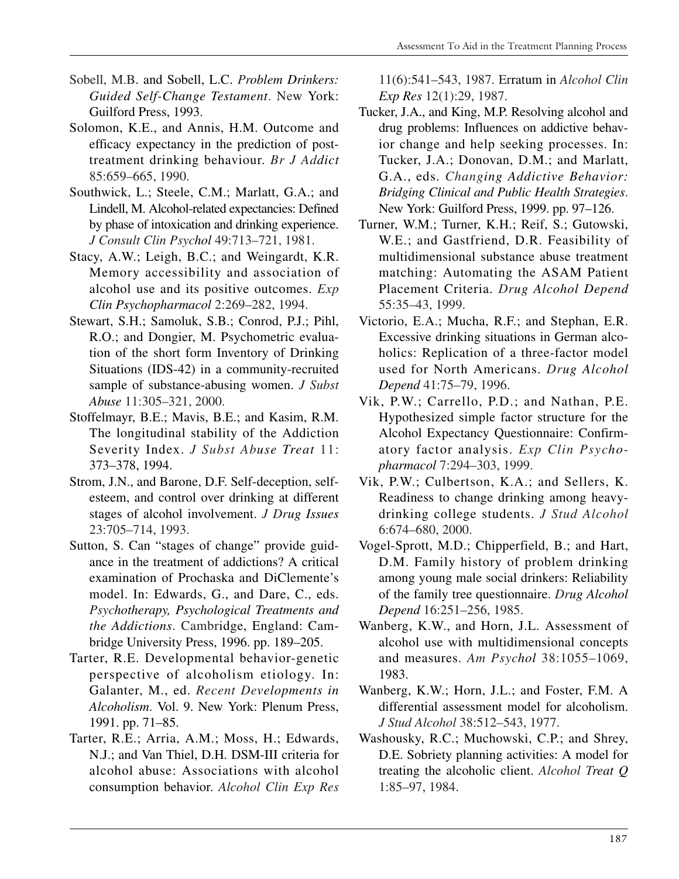- Sobell, M.B. and Sobell, L.C. *Problem Drinkers: Guided Self-Change Testament*. New York: Guilford Press, 1993.
- Solomon, K.E., and Annis, H.M. Outcome and efficacy expectancy in the prediction of posttreatment drinking behaviour. *Br J Addict*  85:659–665, 1990.
- Southwick, L.; Steele, C.M.; Marlatt, G.A.; and Lindell, M. Alcohol-related expectancies: Defined by phase of intoxication and drinking experience. *J Consult Clin Psychol* 49:713–721, 1981.
- Stacy, A.W.; Leigh, B.C.; and Weingardt, K.R. Memory accessibility and association of alcohol use and its positive outcomes. *Exp Clin Psychopharmacol* 2:269–282, 1994.
- Stewart, S.H.; Samoluk, S.B.; Conrod, P.J.; Pihl, R.O.; and Dongier, M. Psychometric evaluation of the short form Inventory of Drinking Situations (IDS-42) in a community-recruited sample of substance-abusing women. *J Subst Abuse* 11:305–321, 2000.
- Stoffelmayr, B.E.; Mavis, B.E.; and Kasim, R.M. The longitudinal stability of the Addiction Severity Index. *J Subst Abuse Treat* 11: 373–378, 1994.
- Strom, J.N., and Barone, D.F. Self-deception, selfesteem, and control over drinking at different stages of alcohol involvement. *J Drug Issues*  23:705–714, 1993.
- Sutton, S. Can "stages of change" provide guidance in the treatment of addictions? A critical examination of Prochaska and DiClemente's model. In: Edwards, G., and Dare, C., eds. *Psychotherapy, Psychological Treatments and the Addictions*. Cambridge, England: Cambridge University Press, 1996. pp. 189–205.
- Tarter, R.E. Developmental behavior-genetic perspective of alcoholism etiology. In: Galanter, M., ed. *Recent Developments in Alcoholism*. Vol. 9. New York: Plenum Press, 1991. pp. 71–85.
- Tarter, R.E.; Arria, A.M.; Moss, H.; Edwards, N.J.; and Van Thiel, D.H. DSM-III criteria for alcohol abuse: Associations with alcohol consumption behavior. *Alcohol Clin Exp Res*

11(6):541–543, 1987. Erratum in *Alcohol Clin Exp Res* 12(1):29, 1987.

- Tucker, J.A., and King, M.P. Resolving alcohol and drug problems: Influences on addictive behavior change and help seeking processes. In: Tucker, J.A.; Donovan, D.M.; and Marlatt, G.A., eds. *Changing Addictive Behavior: Bridging Clinical and Public Health Strategies*. New York: Guilford Press, 1999. pp. 97–126.
- Turner, W.M.; Turner, K.H.; Reif, S.; Gutowski, W.E.; and Gastfriend, D.R. Feasibility of multidimensional substance abuse treatment matching: Automating the ASAM Patient Placement Criteria. *Drug Alcohol Depend*  55:35–43, 1999.
- Victorio, E.A.; Mucha, R.F.; and Stephan, E.R. Excessive drinking situations in German alcoholics: Replication of a three-factor model used for North Americans. *Drug Alcohol Depend* 41:75–79, 1996.
- Vik, P.W.; Carrello, P.D.; and Nathan, P.E. Hypothesized simple factor structure for the Alcohol Expectancy Questionnaire: Confirmatory factor analysis. *Exp Clin Psychopharmacol* 7:294–303, 1999.
- Vik, P.W.; Culbertson, K.A.; and Sellers, K. Readiness to change drinking among heavydrinking college students. *J Stud Alcohol*  6:674–680, 2000.
- Vogel-Sprott, M.D.; Chipperfield, B.; and Hart, D.M. Family history of problem drinking among young male social drinkers: Reliability of the family tree questionnaire. *Drug Alcohol Depend* 16:251–256, 1985.
- Wanberg, K.W., and Horn, J.L. Assessment of alcohol use with multidimensional concepts and measures. *Am Psychol* 38:1055–1069, 1983.
- Wanberg, K.W.; Horn, J.L.; and Foster, F.M. A differential assessment model for alcoholism. *J Stud Alcohol* 38:512–543, 1977.
- Washousky, R.C.; Muchowski, C.P.; and Shrey, D.E. Sobriety planning activities: A model for treating the alcoholic client. *Alcohol Treat Q*  1:85–97, 1984.